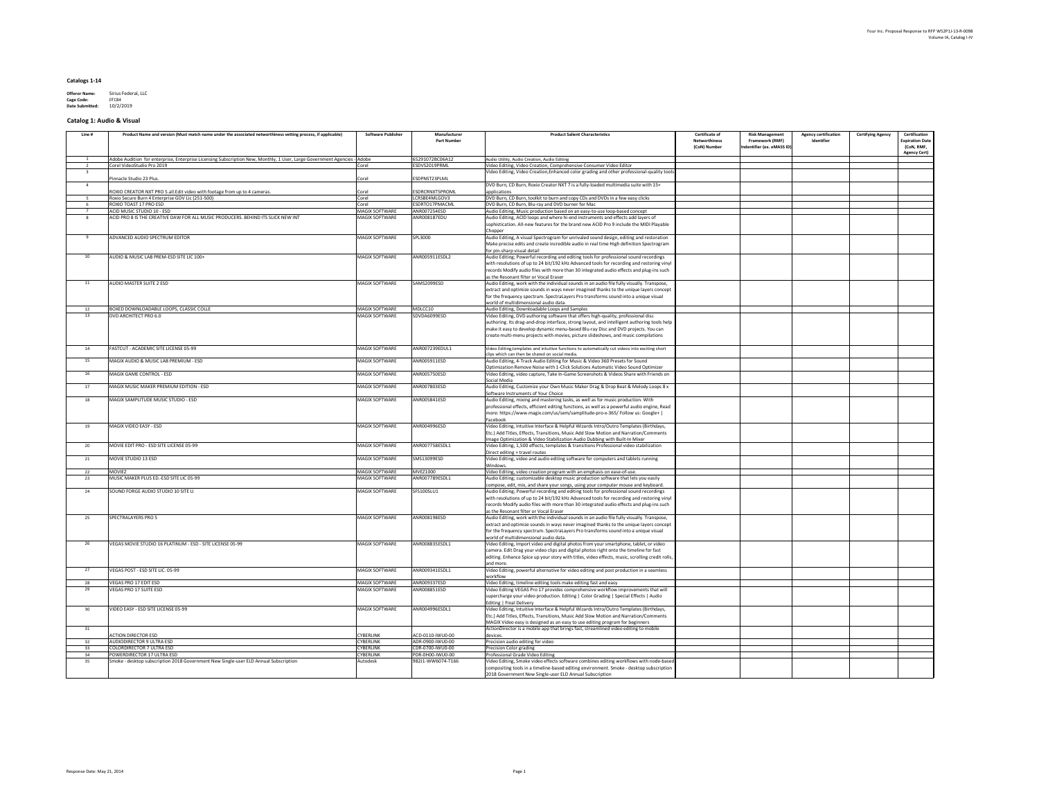| <b>Offeror Name:</b>   | Sirius Federal, LLC |
|------------------------|---------------------|
| <b>Cage Code:</b>      | 0TC84               |
| <b>Date Submitted:</b> | 10/2/2019           |

# **Catalog 1: Audio & Visual**

| 65291072BC06A12<br>Adobe Audition for enterprise, Enterprise Licensing Subscription New, Monthly, 1 User, Large Government Agencies - Adobe<br>Audio Utility, Audio Creation, Audio Editing<br>Corel VideoStudio Pro 2019<br>Corel<br>ESDVS2019PRML<br>Video Editing, Video Creation, Comprehensive Consumer Video Editor<br>Video Editing, Video Creation, Enhanced color grading and other professional-quality tools<br><b>ESDPNST23PLML</b><br>Pinnacle Studio 23 Plus<br>Corel<br>DVD Burn, CD Burn, Roxio Creator NXT 7 is a fully-loaded multimedia suite with 15+<br><b>ESDRCRNXT5PROML</b><br>ROXIO CREATOR NXT PRO 5.all. Edit video with footage from up to 4 cameras.<br>Corel<br>applications<br>DVD Burn, CD Burn, toolkit to burn and copy CDs and DVDs in a few easy clicks<br>Roxio Secure Burn 4 Enterprise GOV Lic (251-500)<br>Corel<br>LCRSBE4MLGOV3<br><b>ROXIO TOAST 17 PRO ESD</b><br>Corel<br>ESDRTO17PMACML<br>DVD Burn, CD Burn, Blu-ray and DVD burner for Mac<br><b>MAGIX SOFTWARE</b><br>ANR007254ESD<br>ACID MUSIC STUDIO 10 - ESD<br>Audio Editing, Music production based on an easy-to-use loop-based concept<br>ACID PRO 8 IS THE CREATIVE DAW FOR ALL MUSIC PRODUCERS. BEHIND ITS SLICK NEW INT<br>Audio Editing, ACID loops and where hi-end instruments and effects add layers of<br><b>MAGIX SOFTWARE</b><br>ANR008187EDU<br>sophistication. All-new features for the brand new ACID Pro 9 include the MIDI Playable<br>Chopper<br>ADVANCED AUDIO SPECTRUM EDITOR<br>MAGIX SOFTWARE<br>SPL3000<br>Audio Editing, A visual Spectrogram for unrivaled sound design, editing and restoration<br>Make precise edits and create incredible audio in real time High definition Spectrogram<br>for pin-sharp visual detail<br>MAGIX SOFTWARE<br>ANR005911ESDL2<br>Audio Editing; Powerful recording and editing tools for professional sound recordings<br>AUDIO & MUSIC LAB PREM-ESD SITE LIC 100+<br>10<br>with resolutions of up to 24 bit/192 kHz Advanced tools for recording and restoring vinyl<br>records Modify audio files with more than 30 integrated audio effects and plug-ins such<br>as the Resonant filter or Vocal Eraser<br><b>AUDIO MASTER SUITE 2 ESD</b><br>MAGIX SOFTWARE<br>SAMS2099ESD<br>Audio Editing, work with the individual sounds in an audio file fully visually. Transpose,<br>11<br>extract and optimize sounds in ways never imagined thanks to the unique layers concept<br>for the frequency spectrum. SpectraLayers Pro transforms sound into a unique visual<br>world of multidimensional audio data.<br>MDLCC10<br>BOXED DOWNLOADABLE LOOPS, CLASSIC COLLE<br><b>MAGIX SOFTWARE</b><br>Audio Editing, Downloadable Loops and Samples<br>12<br>DVD ARCHITECT PRO 6.0<br><b>MAGIX SOFTWARE</b><br>SDVDA6099ESD<br>Video Editing, DVD authoring software that offers high-quality, professional disc<br>13<br>authoring. Its drag-and-drop interface, strong layout, and intelligent authoring tools help<br>make it easy to develop dynamic menu-based Blu-ray Disc and DVD projects. You can<br>create multi-menu projects with movies, picture slideshows, and music compilations<br>Video Editing, templates and intuitive functions to automatically cut videos into exciting short<br><b>MAGIX SOFTWARE</b><br>ANR007239EDUL1<br>FASTCUT - ACADEMIC SITE LICENSE 05-99<br>14<br>clips which can then be shared on social media.<br>MAGIX AUDIO & MUSIC LAB PREMIUM - ESD<br><b>MAGIX SOFTWARE</b><br>ANR005911ESD<br>Audio Editing, 4-Track Audio Editing for Music & Video 360 Presets for Sound<br>15<br>Optimization Remove Noise with 1-Click Solutions Automatic Video Sound Optimizer<br>MAGIX GAME CONTROL - ESD<br><b>MAGIX SOFTWARE</b><br>ANR005750ESD<br>Video Editing, video capture, Take In-Game Screenshots & Videos Share with Friends on<br>16<br>Social Media<br><b>MAGIX SOFTWARE</b><br>ANR007803ESD<br>MAGIX MUSIC MAKER PREMIUM EDITION - ESD<br>Audio Editing, Customize your Own Music Maker Drag & Drop Beat & Melody Loops 8 x<br>17<br>Software Instruments of Your Choice<br>Audio Editing, mixing and mastering tasks, as well as for music production. With<br>MAGIX SAMPLITUDE MUSIC STUDIO - ESD<br>MAGIX SOFTWARE<br>ANR005841ESD<br>18<br>professional effects, efficient editing functions, as well as a powerful audio engine, Read<br> more: https://www.magix.com/us/sem/samplitude-pro-x-365/ Follow us: Google+  <br>Facebook<br>Video Editing, Intuitive Interface & Helpful Wizards Intro/Outro Templates (Birthdays,<br>MAGIX VIDEO EASY - ESD<br>MAGIX SOFTWARE<br>ANR004996ESD<br>19<br>Etc.) Add Titles, Effects, Transitions, Music Add Slow Motion and Narration/Comments<br>Image Optimization & Video Stabilization Audio Dubbing with Built-In Mixer<br>MOVIE EDIT PRO - ESD SITE LICENSE 05-99<br>MAGIX SOFTWARE<br>ANR007758ESDL1<br>20<br>Video Editing, 1,500 effects, templates & transitions Professional video stabilization<br>Direct editing + travel routes<br>SMS13099ESD<br>Video Editing, video and audio editing software for computers and tablets running<br>MOVIE STUDIO 13 ESD<br>MAGIX SOFTWARE<br>21<br>Windows<br>MAGIX SOFTWARE<br><b>MVEZ1000</b><br>Video Editing, video creation program with an emphasis on ease-of-use.<br>MOVIEZ<br>22<br>MUSIC MAKER PLUS ED.-ESD SITE LIC 05-99<br>Audio Editing; customizable desktop music production software that lets you easily<br><b>MAGIX SOFTWARE</b><br>ANR007789ESDL1<br>23<br>compose, edit, mix, and share your songs, using your computer mouse and keyboard.<br>SOUND FORGE AUDIO STUDIO 10 SITE LI<br>MAGIX SOFTWARE<br>SFS100SLU1<br>Audio Editing; Powerful recording and editing tools for professional sound recordings<br>24<br>with resolutions of up to 24 bit/192 kHz Advanced tools for recording and restoring vinyl<br>records Modify audio files with more than 30 integrated audio effects and plug-ins such<br>as the Resonant filter or Vocal Eraser<br>SPECTRALAYERS PRO 5<br>MAGIX SOFTWARE<br>ANR008198ESD<br>Audio Editing, work with the individual sounds in an audio file fully visually. Transpose,<br>extract and optimize sounds in ways never imagined thanks to the unique layers concept<br>for the frequency spectrum. SpectraLayers Pro transforms sound into a unique visual<br>world of multidimensional audio data.<br>ANR008835ESDL1<br>Video Editing, Import video and digital photos from your smartphone, tablet, or video<br>VEGAS MOVIE STUDIO 16 PLATINUM - ESD - SITE LICENSE 05-99<br><b>MAGIX SOFTWARE</b><br>26<br>camera. Edit Drag your video clips and digital photos right onto the timeline for fast<br>editing. Enhance Spice up your story with titles, video effects, music, scrolling credit rolls,<br>and more.<br>ANR009341ESDL1<br>Video Editing, powerful alternative for video editing and post production in a seamless<br>VEGAS POST - ESD SITE LIC. 05-99<br><b>MAGIX SOFTWARE</b><br>27<br>workflow<br>ANR009337ESD<br><b>VEGAS PRO 17 EDIT ESD</b><br><b>MAGIX SOFTWARE</b><br>Video Editing, timeline editing tools make editing fast and easy<br>VEGAS PRO 17 SUITE ESD<br>ANR008851ESD<br>Video Editing VEGAS Pro 17 provides comprehensive workflow improvements that will<br><b>MAGIX SOFTWARE</b><br> supercharge your video production. Editing   Color Grading   Special Effects   Audio<br>Editing   Final Delivery<br>MAGIX SOFTWARE<br>Video Editing, Intuitive Interface & Helpful Wizards Intro/Outro Templates (Birthdays,<br>VIDEO EASY - ESD SITE LICENSE 05-99<br>ANR004996ESDL1<br>30<br>Etc.) Add Titles, Effects, Transitions, Music Add Slow Motion and Narration/Comments<br>MAGIX Video easy is designed as an easy to use editing program for beginners<br>ActionDirector is a mobile app that brings fast, streamlined video editing to mobile<br>31<br><b>ACTION DIRECTOR ESD</b><br><b>CYBERLINK</b><br>ACD-0110-IWU0-00<br>devices.<br>Precision audio editing for video<br>AUDIODIRECTOR 9 ULTRA ESD<br><b>CYBERLINK</b><br>ADR-0900-IWU0-00<br>32 <sup>2</sup><br><b>CYBERLINK</b><br>CDR-0700-IWU0-00<br>Precision Color grading<br>COLORDIRECTOR 7 ULTRA ESD<br>Professional Grade Video Editing<br><b>POWERDIRECTOR 17 ULTRA ESD</b><br><b>CYBERLINK</b><br>PDR-0H00-IWU0-00<br>Video Editing, Smoke video effects software combines editing workflows with node-based<br>Smoke - desktop subscription 2018 Government New Single-user ELD Annual Subscription<br>35<br>Autodesk<br>982J1-WW6074-T166<br>compositing tools in a timeline-based editing environment. Smoke - desktop subscription<br>2018 Government New Single-user ELD Annual Subscription | Line # | Product Name and version (Must match name under the associated networthiness vetting process, if applicable) | <b>Software Publisher</b> | Manufacturer<br><b>Part Number</b> | <b>Product Salient Characteristics</b> | <b>Certificate of</b><br><b>Networthiness</b><br>(CoN) Number | <b>Risk Management</b><br><b>Framework (RMF)</b><br>Indentifier (ex. eMASS ID) | <b>Agency certification</b><br>Identifier | <b>Certifying Agency</b> | <b>Certification</b><br><b>Expiration Date</b><br>(CoN, RMF, |
|--------------------------------------------------------------------------------------------------------------------------------------------------------------------------------------------------------------------------------------------------------------------------------------------------------------------------------------------------------------------------------------------------------------------------------------------------------------------------------------------------------------------------------------------------------------------------------------------------------------------------------------------------------------------------------------------------------------------------------------------------------------------------------------------------------------------------------------------------------------------------------------------------------------------------------------------------------------------------------------------------------------------------------------------------------------------------------------------------------------------------------------------------------------------------------------------------------------------------------------------------------------------------------------------------------------------------------------------------------------------------------------------------------------------------------------------------------------------------------------------------------------------------------------------------------------------------------------------------------------------------------------------------------------------------------------------------------------------------------------------------------------------------------------------------------------------------------------------------------------------------------------------------------------------------------------------------------------------------------------------------------------------------------------------------------------------------------------------------------------------------------------------------------------------------------------------------------------------------------------------------------------------------------------------------------------------------------------------------------------------------------------------------------------------------------------------------------------------------------------------------------------------------------------------------------------------------------------------------------------------------------------------------------------------------------------------------------------------------------------------------------------------------------------------------------------------------------------------------------------------------------------------------------------------------------------------------------------------------------------------------------------------------------------------------------------------------------------------------------------------------------------------------------------------------------------------------------------------------------------------------------------------------------------------------------------------------------------------------------------------------------------------------------------------------------------------------------------------------------------------------------------------------------------------------------------------------------------------------------------------------------------------------------------------------------------------------------------------------------------------------------------------------------------------------------------------------------------------------------------------------------------------------------------------------------------------------------------------------------------------------------------------------------------------------------------------------------------------------------------------------------------------------------------------------------------------------------------------------------------------------------------------------------------------------------------------------------------------------------------------------------------------------------------------------------------------------------------------------------------------------------------------------------------------------------------------------------------------------------------------------------------------------------------------------------------------------------------------------------------------------------------------------------------------------------------------------------------------------------------------------------------------------------------------------------------------------------------------------------------------------------------------------------------------------------------------------------------------------------------------------------------------------------------------------------------------------------------------------------------------------------------------------------------------------------------------------------------------------------------------------------------------------------------------------------------------------------------------------------------------------------------------------------------------------------------------------------------------------------------------------------------------------------------------------------------------------------------------------------------------------------------------------------------------------------------------------------------------------------------------------------------------------------------------------------------------------------------------------------------------------------------------------------------------------------------------------------------------------------------------------------------------------------------------------------------------------------------------------------------------------------------------------------------------------------------------------------------------------------------------------------------------------------------------------------------------------------------------------------------------------------------------------------------------------------------------------------------------------------------------------------------------------------------------------------------------------------------------------------------------------------------------------------------------------------------------------------------------------------------------------------------------------------------------------------------------------------------------------------------------------------------------------------------------------------------------------------------------------------------------------------------------------------------------------------------------------------------------------------------------------------------------------------------------------------------------------------------------------------------------------------------------------------------------------------------------------------------------------------------------------------------------------------------------------------------------------------------------------------------------------------------------------------------------------------------------------------------------------------------------------------------------------------------------------------------------------------------------------------------------------------------------------------------------------------------------------------------------------------------------------------------------------------------------------------------------------------------------------------------------------------------------------------------------------------------------------------------------------------------------------------------------------------------------------------------------------------------------------------------------------------------------------------------------------------------------------------------------------------------------------------------------------------------------------------------------------------------------------------------------------------------------------------------------------|--------|--------------------------------------------------------------------------------------------------------------|---------------------------|------------------------------------|----------------------------------------|---------------------------------------------------------------|--------------------------------------------------------------------------------|-------------------------------------------|--------------------------|--------------------------------------------------------------|
|                                                                                                                                                                                                                                                                                                                                                                                                                                                                                                                                                                                                                                                                                                                                                                                                                                                                                                                                                                                                                                                                                                                                                                                                                                                                                                                                                                                                                                                                                                                                                                                                                                                                                                                                                                                                                                                                                                                                                                                                                                                                                                                                                                                                                                                                                                                                                                                                                                                                                                                                                                                                                                                                                                                                                                                                                                                                                                                                                                                                                                                                                                                                                                                                                                                                                                                                                                                                                                                                                                                                                                                                                                                                                                                                                                                                                                                                                                                                                                                                                                                                                                                                                                                                                                                                                                                                                                                                                                                                                                                                                                                                                                                                                                                                                                                                                                                                                                                                                                                                                                                                                                                                                                                                                                                                                                                                                                                                                                                                                                                                                                                                                                                                                                                                                                                                                                                                                                                                                                                                                                                                                                                                                                                                                                                                                                                                                                                                                                                                                                                                                                                                                                                                                                                                                                                                                                                                                                                                                                                                                                                                                                                                                                                                                                                                                                                                                                                                                                                                                                                                                                                                                                                                                                                                                                                                                                                                                                                                                                                                                                                                                                                                                                                                                                                                                                                                                                                                                                                                                                                                                                                                                                                                          |        |                                                                                                              |                           |                                    |                                        |                                                               |                                                                                |                                           |                          | <b>Agency Cert)</b>                                          |
|                                                                                                                                                                                                                                                                                                                                                                                                                                                                                                                                                                                                                                                                                                                                                                                                                                                                                                                                                                                                                                                                                                                                                                                                                                                                                                                                                                                                                                                                                                                                                                                                                                                                                                                                                                                                                                                                                                                                                                                                                                                                                                                                                                                                                                                                                                                                                                                                                                                                                                                                                                                                                                                                                                                                                                                                                                                                                                                                                                                                                                                                                                                                                                                                                                                                                                                                                                                                                                                                                                                                                                                                                                                                                                                                                                                                                                                                                                                                                                                                                                                                                                                                                                                                                                                                                                                                                                                                                                                                                                                                                                                                                                                                                                                                                                                                                                                                                                                                                                                                                                                                                                                                                                                                                                                                                                                                                                                                                                                                                                                                                                                                                                                                                                                                                                                                                                                                                                                                                                                                                                                                                                                                                                                                                                                                                                                                                                                                                                                                                                                                                                                                                                                                                                                                                                                                                                                                                                                                                                                                                                                                                                                                                                                                                                                                                                                                                                                                                                                                                                                                                                                                                                                                                                                                                                                                                                                                                                                                                                                                                                                                                                                                                                                                                                                                                                                                                                                                                                                                                                                                                                                                                                                                          |        |                                                                                                              |                           |                                    |                                        |                                                               |                                                                                |                                           |                          |                                                              |
|                                                                                                                                                                                                                                                                                                                                                                                                                                                                                                                                                                                                                                                                                                                                                                                                                                                                                                                                                                                                                                                                                                                                                                                                                                                                                                                                                                                                                                                                                                                                                                                                                                                                                                                                                                                                                                                                                                                                                                                                                                                                                                                                                                                                                                                                                                                                                                                                                                                                                                                                                                                                                                                                                                                                                                                                                                                                                                                                                                                                                                                                                                                                                                                                                                                                                                                                                                                                                                                                                                                                                                                                                                                                                                                                                                                                                                                                                                                                                                                                                                                                                                                                                                                                                                                                                                                                                                                                                                                                                                                                                                                                                                                                                                                                                                                                                                                                                                                                                                                                                                                                                                                                                                                                                                                                                                                                                                                                                                                                                                                                                                                                                                                                                                                                                                                                                                                                                                                                                                                                                                                                                                                                                                                                                                                                                                                                                                                                                                                                                                                                                                                                                                                                                                                                                                                                                                                                                                                                                                                                                                                                                                                                                                                                                                                                                                                                                                                                                                                                                                                                                                                                                                                                                                                                                                                                                                                                                                                                                                                                                                                                                                                                                                                                                                                                                                                                                                                                                                                                                                                                                                                                                                                                          |        |                                                                                                              |                           |                                    |                                        |                                                               |                                                                                |                                           |                          |                                                              |
|                                                                                                                                                                                                                                                                                                                                                                                                                                                                                                                                                                                                                                                                                                                                                                                                                                                                                                                                                                                                                                                                                                                                                                                                                                                                                                                                                                                                                                                                                                                                                                                                                                                                                                                                                                                                                                                                                                                                                                                                                                                                                                                                                                                                                                                                                                                                                                                                                                                                                                                                                                                                                                                                                                                                                                                                                                                                                                                                                                                                                                                                                                                                                                                                                                                                                                                                                                                                                                                                                                                                                                                                                                                                                                                                                                                                                                                                                                                                                                                                                                                                                                                                                                                                                                                                                                                                                                                                                                                                                                                                                                                                                                                                                                                                                                                                                                                                                                                                                                                                                                                                                                                                                                                                                                                                                                                                                                                                                                                                                                                                                                                                                                                                                                                                                                                                                                                                                                                                                                                                                                                                                                                                                                                                                                                                                                                                                                                                                                                                                                                                                                                                                                                                                                                                                                                                                                                                                                                                                                                                                                                                                                                                                                                                                                                                                                                                                                                                                                                                                                                                                                                                                                                                                                                                                                                                                                                                                                                                                                                                                                                                                                                                                                                                                                                                                                                                                                                                                                                                                                                                                                                                                                                                          |        |                                                                                                              |                           |                                    |                                        |                                                               |                                                                                |                                           |                          |                                                              |
|                                                                                                                                                                                                                                                                                                                                                                                                                                                                                                                                                                                                                                                                                                                                                                                                                                                                                                                                                                                                                                                                                                                                                                                                                                                                                                                                                                                                                                                                                                                                                                                                                                                                                                                                                                                                                                                                                                                                                                                                                                                                                                                                                                                                                                                                                                                                                                                                                                                                                                                                                                                                                                                                                                                                                                                                                                                                                                                                                                                                                                                                                                                                                                                                                                                                                                                                                                                                                                                                                                                                                                                                                                                                                                                                                                                                                                                                                                                                                                                                                                                                                                                                                                                                                                                                                                                                                                                                                                                                                                                                                                                                                                                                                                                                                                                                                                                                                                                                                                                                                                                                                                                                                                                                                                                                                                                                                                                                                                                                                                                                                                                                                                                                                                                                                                                                                                                                                                                                                                                                                                                                                                                                                                                                                                                                                                                                                                                                                                                                                                                                                                                                                                                                                                                                                                                                                                                                                                                                                                                                                                                                                                                                                                                                                                                                                                                                                                                                                                                                                                                                                                                                                                                                                                                                                                                                                                                                                                                                                                                                                                                                                                                                                                                                                                                                                                                                                                                                                                                                                                                                                                                                                                                                          |        |                                                                                                              |                           |                                    |                                        |                                                               |                                                                                |                                           |                          |                                                              |
|                                                                                                                                                                                                                                                                                                                                                                                                                                                                                                                                                                                                                                                                                                                                                                                                                                                                                                                                                                                                                                                                                                                                                                                                                                                                                                                                                                                                                                                                                                                                                                                                                                                                                                                                                                                                                                                                                                                                                                                                                                                                                                                                                                                                                                                                                                                                                                                                                                                                                                                                                                                                                                                                                                                                                                                                                                                                                                                                                                                                                                                                                                                                                                                                                                                                                                                                                                                                                                                                                                                                                                                                                                                                                                                                                                                                                                                                                                                                                                                                                                                                                                                                                                                                                                                                                                                                                                                                                                                                                                                                                                                                                                                                                                                                                                                                                                                                                                                                                                                                                                                                                                                                                                                                                                                                                                                                                                                                                                                                                                                                                                                                                                                                                                                                                                                                                                                                                                                                                                                                                                                                                                                                                                                                                                                                                                                                                                                                                                                                                                                                                                                                                                                                                                                                                                                                                                                                                                                                                                                                                                                                                                                                                                                                                                                                                                                                                                                                                                                                                                                                                                                                                                                                                                                                                                                                                                                                                                                                                                                                                                                                                                                                                                                                                                                                                                                                                                                                                                                                                                                                                                                                                                                                          |        |                                                                                                              |                           |                                    |                                        |                                                               |                                                                                |                                           |                          |                                                              |
|                                                                                                                                                                                                                                                                                                                                                                                                                                                                                                                                                                                                                                                                                                                                                                                                                                                                                                                                                                                                                                                                                                                                                                                                                                                                                                                                                                                                                                                                                                                                                                                                                                                                                                                                                                                                                                                                                                                                                                                                                                                                                                                                                                                                                                                                                                                                                                                                                                                                                                                                                                                                                                                                                                                                                                                                                                                                                                                                                                                                                                                                                                                                                                                                                                                                                                                                                                                                                                                                                                                                                                                                                                                                                                                                                                                                                                                                                                                                                                                                                                                                                                                                                                                                                                                                                                                                                                                                                                                                                                                                                                                                                                                                                                                                                                                                                                                                                                                                                                                                                                                                                                                                                                                                                                                                                                                                                                                                                                                                                                                                                                                                                                                                                                                                                                                                                                                                                                                                                                                                                                                                                                                                                                                                                                                                                                                                                                                                                                                                                                                                                                                                                                                                                                                                                                                                                                                                                                                                                                                                                                                                                                                                                                                                                                                                                                                                                                                                                                                                                                                                                                                                                                                                                                                                                                                                                                                                                                                                                                                                                                                                                                                                                                                                                                                                                                                                                                                                                                                                                                                                                                                                                                                                          |        |                                                                                                              |                           |                                    |                                        |                                                               |                                                                                |                                           |                          |                                                              |
|                                                                                                                                                                                                                                                                                                                                                                                                                                                                                                                                                                                                                                                                                                                                                                                                                                                                                                                                                                                                                                                                                                                                                                                                                                                                                                                                                                                                                                                                                                                                                                                                                                                                                                                                                                                                                                                                                                                                                                                                                                                                                                                                                                                                                                                                                                                                                                                                                                                                                                                                                                                                                                                                                                                                                                                                                                                                                                                                                                                                                                                                                                                                                                                                                                                                                                                                                                                                                                                                                                                                                                                                                                                                                                                                                                                                                                                                                                                                                                                                                                                                                                                                                                                                                                                                                                                                                                                                                                                                                                                                                                                                                                                                                                                                                                                                                                                                                                                                                                                                                                                                                                                                                                                                                                                                                                                                                                                                                                                                                                                                                                                                                                                                                                                                                                                                                                                                                                                                                                                                                                                                                                                                                                                                                                                                                                                                                                                                                                                                                                                                                                                                                                                                                                                                                                                                                                                                                                                                                                                                                                                                                                                                                                                                                                                                                                                                                                                                                                                                                                                                                                                                                                                                                                                                                                                                                                                                                                                                                                                                                                                                                                                                                                                                                                                                                                                                                                                                                                                                                                                                                                                                                                                                          |        |                                                                                                              |                           |                                    |                                        |                                                               |                                                                                |                                           |                          |                                                              |
|                                                                                                                                                                                                                                                                                                                                                                                                                                                                                                                                                                                                                                                                                                                                                                                                                                                                                                                                                                                                                                                                                                                                                                                                                                                                                                                                                                                                                                                                                                                                                                                                                                                                                                                                                                                                                                                                                                                                                                                                                                                                                                                                                                                                                                                                                                                                                                                                                                                                                                                                                                                                                                                                                                                                                                                                                                                                                                                                                                                                                                                                                                                                                                                                                                                                                                                                                                                                                                                                                                                                                                                                                                                                                                                                                                                                                                                                                                                                                                                                                                                                                                                                                                                                                                                                                                                                                                                                                                                                                                                                                                                                                                                                                                                                                                                                                                                                                                                                                                                                                                                                                                                                                                                                                                                                                                                                                                                                                                                                                                                                                                                                                                                                                                                                                                                                                                                                                                                                                                                                                                                                                                                                                                                                                                                                                                                                                                                                                                                                                                                                                                                                                                                                                                                                                                                                                                                                                                                                                                                                                                                                                                                                                                                                                                                                                                                                                                                                                                                                                                                                                                                                                                                                                                                                                                                                                                                                                                                                                                                                                                                                                                                                                                                                                                                                                                                                                                                                                                                                                                                                                                                                                                                                          |        |                                                                                                              |                           |                                    |                                        |                                                               |                                                                                |                                           |                          |                                                              |
|                                                                                                                                                                                                                                                                                                                                                                                                                                                                                                                                                                                                                                                                                                                                                                                                                                                                                                                                                                                                                                                                                                                                                                                                                                                                                                                                                                                                                                                                                                                                                                                                                                                                                                                                                                                                                                                                                                                                                                                                                                                                                                                                                                                                                                                                                                                                                                                                                                                                                                                                                                                                                                                                                                                                                                                                                                                                                                                                                                                                                                                                                                                                                                                                                                                                                                                                                                                                                                                                                                                                                                                                                                                                                                                                                                                                                                                                                                                                                                                                                                                                                                                                                                                                                                                                                                                                                                                                                                                                                                                                                                                                                                                                                                                                                                                                                                                                                                                                                                                                                                                                                                                                                                                                                                                                                                                                                                                                                                                                                                                                                                                                                                                                                                                                                                                                                                                                                                                                                                                                                                                                                                                                                                                                                                                                                                                                                                                                                                                                                                                                                                                                                                                                                                                                                                                                                                                                                                                                                                                                                                                                                                                                                                                                                                                                                                                                                                                                                                                                                                                                                                                                                                                                                                                                                                                                                                                                                                                                                                                                                                                                                                                                                                                                                                                                                                                                                                                                                                                                                                                                                                                                                                                                          |        |                                                                                                              |                           |                                    |                                        |                                                               |                                                                                |                                           |                          |                                                              |
|                                                                                                                                                                                                                                                                                                                                                                                                                                                                                                                                                                                                                                                                                                                                                                                                                                                                                                                                                                                                                                                                                                                                                                                                                                                                                                                                                                                                                                                                                                                                                                                                                                                                                                                                                                                                                                                                                                                                                                                                                                                                                                                                                                                                                                                                                                                                                                                                                                                                                                                                                                                                                                                                                                                                                                                                                                                                                                                                                                                                                                                                                                                                                                                                                                                                                                                                                                                                                                                                                                                                                                                                                                                                                                                                                                                                                                                                                                                                                                                                                                                                                                                                                                                                                                                                                                                                                                                                                                                                                                                                                                                                                                                                                                                                                                                                                                                                                                                                                                                                                                                                                                                                                                                                                                                                                                                                                                                                                                                                                                                                                                                                                                                                                                                                                                                                                                                                                                                                                                                                                                                                                                                                                                                                                                                                                                                                                                                                                                                                                                                                                                                                                                                                                                                                                                                                                                                                                                                                                                                                                                                                                                                                                                                                                                                                                                                                                                                                                                                                                                                                                                                                                                                                                                                                                                                                                                                                                                                                                                                                                                                                                                                                                                                                                                                                                                                                                                                                                                                                                                                                                                                                                                                                          |        |                                                                                                              |                           |                                    |                                        |                                                               |                                                                                |                                           |                          |                                                              |
|                                                                                                                                                                                                                                                                                                                                                                                                                                                                                                                                                                                                                                                                                                                                                                                                                                                                                                                                                                                                                                                                                                                                                                                                                                                                                                                                                                                                                                                                                                                                                                                                                                                                                                                                                                                                                                                                                                                                                                                                                                                                                                                                                                                                                                                                                                                                                                                                                                                                                                                                                                                                                                                                                                                                                                                                                                                                                                                                                                                                                                                                                                                                                                                                                                                                                                                                                                                                                                                                                                                                                                                                                                                                                                                                                                                                                                                                                                                                                                                                                                                                                                                                                                                                                                                                                                                                                                                                                                                                                                                                                                                                                                                                                                                                                                                                                                                                                                                                                                                                                                                                                                                                                                                                                                                                                                                                                                                                                                                                                                                                                                                                                                                                                                                                                                                                                                                                                                                                                                                                                                                                                                                                                                                                                                                                                                                                                                                                                                                                                                                                                                                                                                                                                                                                                                                                                                                                                                                                                                                                                                                                                                                                                                                                                                                                                                                                                                                                                                                                                                                                                                                                                                                                                                                                                                                                                                                                                                                                                                                                                                                                                                                                                                                                                                                                                                                                                                                                                                                                                                                                                                                                                                                                          |        |                                                                                                              |                           |                                    |                                        |                                                               |                                                                                |                                           |                          |                                                              |
|                                                                                                                                                                                                                                                                                                                                                                                                                                                                                                                                                                                                                                                                                                                                                                                                                                                                                                                                                                                                                                                                                                                                                                                                                                                                                                                                                                                                                                                                                                                                                                                                                                                                                                                                                                                                                                                                                                                                                                                                                                                                                                                                                                                                                                                                                                                                                                                                                                                                                                                                                                                                                                                                                                                                                                                                                                                                                                                                                                                                                                                                                                                                                                                                                                                                                                                                                                                                                                                                                                                                                                                                                                                                                                                                                                                                                                                                                                                                                                                                                                                                                                                                                                                                                                                                                                                                                                                                                                                                                                                                                                                                                                                                                                                                                                                                                                                                                                                                                                                                                                                                                                                                                                                                                                                                                                                                                                                                                                                                                                                                                                                                                                                                                                                                                                                                                                                                                                                                                                                                                                                                                                                                                                                                                                                                                                                                                                                                                                                                                                                                                                                                                                                                                                                                                                                                                                                                                                                                                                                                                                                                                                                                                                                                                                                                                                                                                                                                                                                                                                                                                                                                                                                                                                                                                                                                                                                                                                                                                                                                                                                                                                                                                                                                                                                                                                                                                                                                                                                                                                                                                                                                                                                                          |        |                                                                                                              |                           |                                    |                                        |                                                               |                                                                                |                                           |                          |                                                              |
|                                                                                                                                                                                                                                                                                                                                                                                                                                                                                                                                                                                                                                                                                                                                                                                                                                                                                                                                                                                                                                                                                                                                                                                                                                                                                                                                                                                                                                                                                                                                                                                                                                                                                                                                                                                                                                                                                                                                                                                                                                                                                                                                                                                                                                                                                                                                                                                                                                                                                                                                                                                                                                                                                                                                                                                                                                                                                                                                                                                                                                                                                                                                                                                                                                                                                                                                                                                                                                                                                                                                                                                                                                                                                                                                                                                                                                                                                                                                                                                                                                                                                                                                                                                                                                                                                                                                                                                                                                                                                                                                                                                                                                                                                                                                                                                                                                                                                                                                                                                                                                                                                                                                                                                                                                                                                                                                                                                                                                                                                                                                                                                                                                                                                                                                                                                                                                                                                                                                                                                                                                                                                                                                                                                                                                                                                                                                                                                                                                                                                                                                                                                                                                                                                                                                                                                                                                                                                                                                                                                                                                                                                                                                                                                                                                                                                                                                                                                                                                                                                                                                                                                                                                                                                                                                                                                                                                                                                                                                                                                                                                                                                                                                                                                                                                                                                                                                                                                                                                                                                                                                                                                                                                                                          |        |                                                                                                              |                           |                                    |                                        |                                                               |                                                                                |                                           |                          |                                                              |
|                                                                                                                                                                                                                                                                                                                                                                                                                                                                                                                                                                                                                                                                                                                                                                                                                                                                                                                                                                                                                                                                                                                                                                                                                                                                                                                                                                                                                                                                                                                                                                                                                                                                                                                                                                                                                                                                                                                                                                                                                                                                                                                                                                                                                                                                                                                                                                                                                                                                                                                                                                                                                                                                                                                                                                                                                                                                                                                                                                                                                                                                                                                                                                                                                                                                                                                                                                                                                                                                                                                                                                                                                                                                                                                                                                                                                                                                                                                                                                                                                                                                                                                                                                                                                                                                                                                                                                                                                                                                                                                                                                                                                                                                                                                                                                                                                                                                                                                                                                                                                                                                                                                                                                                                                                                                                                                                                                                                                                                                                                                                                                                                                                                                                                                                                                                                                                                                                                                                                                                                                                                                                                                                                                                                                                                                                                                                                                                                                                                                                                                                                                                                                                                                                                                                                                                                                                                                                                                                                                                                                                                                                                                                                                                                                                                                                                                                                                                                                                                                                                                                                                                                                                                                                                                                                                                                                                                                                                                                                                                                                                                                                                                                                                                                                                                                                                                                                                                                                                                                                                                                                                                                                                                                          |        |                                                                                                              |                           |                                    |                                        |                                                               |                                                                                |                                           |                          |                                                              |
|                                                                                                                                                                                                                                                                                                                                                                                                                                                                                                                                                                                                                                                                                                                                                                                                                                                                                                                                                                                                                                                                                                                                                                                                                                                                                                                                                                                                                                                                                                                                                                                                                                                                                                                                                                                                                                                                                                                                                                                                                                                                                                                                                                                                                                                                                                                                                                                                                                                                                                                                                                                                                                                                                                                                                                                                                                                                                                                                                                                                                                                                                                                                                                                                                                                                                                                                                                                                                                                                                                                                                                                                                                                                                                                                                                                                                                                                                                                                                                                                                                                                                                                                                                                                                                                                                                                                                                                                                                                                                                                                                                                                                                                                                                                                                                                                                                                                                                                                                                                                                                                                                                                                                                                                                                                                                                                                                                                                                                                                                                                                                                                                                                                                                                                                                                                                                                                                                                                                                                                                                                                                                                                                                                                                                                                                                                                                                                                                                                                                                                                                                                                                                                                                                                                                                                                                                                                                                                                                                                                                                                                                                                                                                                                                                                                                                                                                                                                                                                                                                                                                                                                                                                                                                                                                                                                                                                                                                                                                                                                                                                                                                                                                                                                                                                                                                                                                                                                                                                                                                                                                                                                                                                                                          |        |                                                                                                              |                           |                                    |                                        |                                                               |                                                                                |                                           |                          |                                                              |
|                                                                                                                                                                                                                                                                                                                                                                                                                                                                                                                                                                                                                                                                                                                                                                                                                                                                                                                                                                                                                                                                                                                                                                                                                                                                                                                                                                                                                                                                                                                                                                                                                                                                                                                                                                                                                                                                                                                                                                                                                                                                                                                                                                                                                                                                                                                                                                                                                                                                                                                                                                                                                                                                                                                                                                                                                                                                                                                                                                                                                                                                                                                                                                                                                                                                                                                                                                                                                                                                                                                                                                                                                                                                                                                                                                                                                                                                                                                                                                                                                                                                                                                                                                                                                                                                                                                                                                                                                                                                                                                                                                                                                                                                                                                                                                                                                                                                                                                                                                                                                                                                                                                                                                                                                                                                                                                                                                                                                                                                                                                                                                                                                                                                                                                                                                                                                                                                                                                                                                                                                                                                                                                                                                                                                                                                                                                                                                                                                                                                                                                                                                                                                                                                                                                                                                                                                                                                                                                                                                                                                                                                                                                                                                                                                                                                                                                                                                                                                                                                                                                                                                                                                                                                                                                                                                                                                                                                                                                                                                                                                                                                                                                                                                                                                                                                                                                                                                                                                                                                                                                                                                                                                                                                          |        |                                                                                                              |                           |                                    |                                        |                                                               |                                                                                |                                           |                          |                                                              |
|                                                                                                                                                                                                                                                                                                                                                                                                                                                                                                                                                                                                                                                                                                                                                                                                                                                                                                                                                                                                                                                                                                                                                                                                                                                                                                                                                                                                                                                                                                                                                                                                                                                                                                                                                                                                                                                                                                                                                                                                                                                                                                                                                                                                                                                                                                                                                                                                                                                                                                                                                                                                                                                                                                                                                                                                                                                                                                                                                                                                                                                                                                                                                                                                                                                                                                                                                                                                                                                                                                                                                                                                                                                                                                                                                                                                                                                                                                                                                                                                                                                                                                                                                                                                                                                                                                                                                                                                                                                                                                                                                                                                                                                                                                                                                                                                                                                                                                                                                                                                                                                                                                                                                                                                                                                                                                                                                                                                                                                                                                                                                                                                                                                                                                                                                                                                                                                                                                                                                                                                                                                                                                                                                                                                                                                                                                                                                                                                                                                                                                                                                                                                                                                                                                                                                                                                                                                                                                                                                                                                                                                                                                                                                                                                                                                                                                                                                                                                                                                                                                                                                                                                                                                                                                                                                                                                                                                                                                                                                                                                                                                                                                                                                                                                                                                                                                                                                                                                                                                                                                                                                                                                                                                                          |        |                                                                                                              |                           |                                    |                                        |                                                               |                                                                                |                                           |                          |                                                              |
|                                                                                                                                                                                                                                                                                                                                                                                                                                                                                                                                                                                                                                                                                                                                                                                                                                                                                                                                                                                                                                                                                                                                                                                                                                                                                                                                                                                                                                                                                                                                                                                                                                                                                                                                                                                                                                                                                                                                                                                                                                                                                                                                                                                                                                                                                                                                                                                                                                                                                                                                                                                                                                                                                                                                                                                                                                                                                                                                                                                                                                                                                                                                                                                                                                                                                                                                                                                                                                                                                                                                                                                                                                                                                                                                                                                                                                                                                                                                                                                                                                                                                                                                                                                                                                                                                                                                                                                                                                                                                                                                                                                                                                                                                                                                                                                                                                                                                                                                                                                                                                                                                                                                                                                                                                                                                                                                                                                                                                                                                                                                                                                                                                                                                                                                                                                                                                                                                                                                                                                                                                                                                                                                                                                                                                                                                                                                                                                                                                                                                                                                                                                                                                                                                                                                                                                                                                                                                                                                                                                                                                                                                                                                                                                                                                                                                                                                                                                                                                                                                                                                                                                                                                                                                                                                                                                                                                                                                                                                                                                                                                                                                                                                                                                                                                                                                                                                                                                                                                                                                                                                                                                                                                                                          |        |                                                                                                              |                           |                                    |                                        |                                                               |                                                                                |                                           |                          |                                                              |
|                                                                                                                                                                                                                                                                                                                                                                                                                                                                                                                                                                                                                                                                                                                                                                                                                                                                                                                                                                                                                                                                                                                                                                                                                                                                                                                                                                                                                                                                                                                                                                                                                                                                                                                                                                                                                                                                                                                                                                                                                                                                                                                                                                                                                                                                                                                                                                                                                                                                                                                                                                                                                                                                                                                                                                                                                                                                                                                                                                                                                                                                                                                                                                                                                                                                                                                                                                                                                                                                                                                                                                                                                                                                                                                                                                                                                                                                                                                                                                                                                                                                                                                                                                                                                                                                                                                                                                                                                                                                                                                                                                                                                                                                                                                                                                                                                                                                                                                                                                                                                                                                                                                                                                                                                                                                                                                                                                                                                                                                                                                                                                                                                                                                                                                                                                                                                                                                                                                                                                                                                                                                                                                                                                                                                                                                                                                                                                                                                                                                                                                                                                                                                                                                                                                                                                                                                                                                                                                                                                                                                                                                                                                                                                                                                                                                                                                                                                                                                                                                                                                                                                                                                                                                                                                                                                                                                                                                                                                                                                                                                                                                                                                                                                                                                                                                                                                                                                                                                                                                                                                                                                                                                                                                          |        |                                                                                                              |                           |                                    |                                        |                                                               |                                                                                |                                           |                          |                                                              |
|                                                                                                                                                                                                                                                                                                                                                                                                                                                                                                                                                                                                                                                                                                                                                                                                                                                                                                                                                                                                                                                                                                                                                                                                                                                                                                                                                                                                                                                                                                                                                                                                                                                                                                                                                                                                                                                                                                                                                                                                                                                                                                                                                                                                                                                                                                                                                                                                                                                                                                                                                                                                                                                                                                                                                                                                                                                                                                                                                                                                                                                                                                                                                                                                                                                                                                                                                                                                                                                                                                                                                                                                                                                                                                                                                                                                                                                                                                                                                                                                                                                                                                                                                                                                                                                                                                                                                                                                                                                                                                                                                                                                                                                                                                                                                                                                                                                                                                                                                                                                                                                                                                                                                                                                                                                                                                                                                                                                                                                                                                                                                                                                                                                                                                                                                                                                                                                                                                                                                                                                                                                                                                                                                                                                                                                                                                                                                                                                                                                                                                                                                                                                                                                                                                                                                                                                                                                                                                                                                                                                                                                                                                                                                                                                                                                                                                                                                                                                                                                                                                                                                                                                                                                                                                                                                                                                                                                                                                                                                                                                                                                                                                                                                                                                                                                                                                                                                                                                                                                                                                                                                                                                                                                                          |        |                                                                                                              |                           |                                    |                                        |                                                               |                                                                                |                                           |                          |                                                              |
|                                                                                                                                                                                                                                                                                                                                                                                                                                                                                                                                                                                                                                                                                                                                                                                                                                                                                                                                                                                                                                                                                                                                                                                                                                                                                                                                                                                                                                                                                                                                                                                                                                                                                                                                                                                                                                                                                                                                                                                                                                                                                                                                                                                                                                                                                                                                                                                                                                                                                                                                                                                                                                                                                                                                                                                                                                                                                                                                                                                                                                                                                                                                                                                                                                                                                                                                                                                                                                                                                                                                                                                                                                                                                                                                                                                                                                                                                                                                                                                                                                                                                                                                                                                                                                                                                                                                                                                                                                                                                                                                                                                                                                                                                                                                                                                                                                                                                                                                                                                                                                                                                                                                                                                                                                                                                                                                                                                                                                                                                                                                                                                                                                                                                                                                                                                                                                                                                                                                                                                                                                                                                                                                                                                                                                                                                                                                                                                                                                                                                                                                                                                                                                                                                                                                                                                                                                                                                                                                                                                                                                                                                                                                                                                                                                                                                                                                                                                                                                                                                                                                                                                                                                                                                                                                                                                                                                                                                                                                                                                                                                                                                                                                                                                                                                                                                                                                                                                                                                                                                                                                                                                                                                                                          |        |                                                                                                              |                           |                                    |                                        |                                                               |                                                                                |                                           |                          |                                                              |
|                                                                                                                                                                                                                                                                                                                                                                                                                                                                                                                                                                                                                                                                                                                                                                                                                                                                                                                                                                                                                                                                                                                                                                                                                                                                                                                                                                                                                                                                                                                                                                                                                                                                                                                                                                                                                                                                                                                                                                                                                                                                                                                                                                                                                                                                                                                                                                                                                                                                                                                                                                                                                                                                                                                                                                                                                                                                                                                                                                                                                                                                                                                                                                                                                                                                                                                                                                                                                                                                                                                                                                                                                                                                                                                                                                                                                                                                                                                                                                                                                                                                                                                                                                                                                                                                                                                                                                                                                                                                                                                                                                                                                                                                                                                                                                                                                                                                                                                                                                                                                                                                                                                                                                                                                                                                                                                                                                                                                                                                                                                                                                                                                                                                                                                                                                                                                                                                                                                                                                                                                                                                                                                                                                                                                                                                                                                                                                                                                                                                                                                                                                                                                                                                                                                                                                                                                                                                                                                                                                                                                                                                                                                                                                                                                                                                                                                                                                                                                                                                                                                                                                                                                                                                                                                                                                                                                                                                                                                                                                                                                                                                                                                                                                                                                                                                                                                                                                                                                                                                                                                                                                                                                                                                          |        |                                                                                                              |                           |                                    |                                        |                                                               |                                                                                |                                           |                          |                                                              |
|                                                                                                                                                                                                                                                                                                                                                                                                                                                                                                                                                                                                                                                                                                                                                                                                                                                                                                                                                                                                                                                                                                                                                                                                                                                                                                                                                                                                                                                                                                                                                                                                                                                                                                                                                                                                                                                                                                                                                                                                                                                                                                                                                                                                                                                                                                                                                                                                                                                                                                                                                                                                                                                                                                                                                                                                                                                                                                                                                                                                                                                                                                                                                                                                                                                                                                                                                                                                                                                                                                                                                                                                                                                                                                                                                                                                                                                                                                                                                                                                                                                                                                                                                                                                                                                                                                                                                                                                                                                                                                                                                                                                                                                                                                                                                                                                                                                                                                                                                                                                                                                                                                                                                                                                                                                                                                                                                                                                                                                                                                                                                                                                                                                                                                                                                                                                                                                                                                                                                                                                                                                                                                                                                                                                                                                                                                                                                                                                                                                                                                                                                                                                                                                                                                                                                                                                                                                                                                                                                                                                                                                                                                                                                                                                                                                                                                                                                                                                                                                                                                                                                                                                                                                                                                                                                                                                                                                                                                                                                                                                                                                                                                                                                                                                                                                                                                                                                                                                                                                                                                                                                                                                                                                                          |        |                                                                                                              |                           |                                    |                                        |                                                               |                                                                                |                                           |                          |                                                              |
|                                                                                                                                                                                                                                                                                                                                                                                                                                                                                                                                                                                                                                                                                                                                                                                                                                                                                                                                                                                                                                                                                                                                                                                                                                                                                                                                                                                                                                                                                                                                                                                                                                                                                                                                                                                                                                                                                                                                                                                                                                                                                                                                                                                                                                                                                                                                                                                                                                                                                                                                                                                                                                                                                                                                                                                                                                                                                                                                                                                                                                                                                                                                                                                                                                                                                                                                                                                                                                                                                                                                                                                                                                                                                                                                                                                                                                                                                                                                                                                                                                                                                                                                                                                                                                                                                                                                                                                                                                                                                                                                                                                                                                                                                                                                                                                                                                                                                                                                                                                                                                                                                                                                                                                                                                                                                                                                                                                                                                                                                                                                                                                                                                                                                                                                                                                                                                                                                                                                                                                                                                                                                                                                                                                                                                                                                                                                                                                                                                                                                                                                                                                                                                                                                                                                                                                                                                                                                                                                                                                                                                                                                                                                                                                                                                                                                                                                                                                                                                                                                                                                                                                                                                                                                                                                                                                                                                                                                                                                                                                                                                                                                                                                                                                                                                                                                                                                                                                                                                                                                                                                                                                                                                                                          |        |                                                                                                              |                           |                                    |                                        |                                                               |                                                                                |                                           |                          |                                                              |
|                                                                                                                                                                                                                                                                                                                                                                                                                                                                                                                                                                                                                                                                                                                                                                                                                                                                                                                                                                                                                                                                                                                                                                                                                                                                                                                                                                                                                                                                                                                                                                                                                                                                                                                                                                                                                                                                                                                                                                                                                                                                                                                                                                                                                                                                                                                                                                                                                                                                                                                                                                                                                                                                                                                                                                                                                                                                                                                                                                                                                                                                                                                                                                                                                                                                                                                                                                                                                                                                                                                                                                                                                                                                                                                                                                                                                                                                                                                                                                                                                                                                                                                                                                                                                                                                                                                                                                                                                                                                                                                                                                                                                                                                                                                                                                                                                                                                                                                                                                                                                                                                                                                                                                                                                                                                                                                                                                                                                                                                                                                                                                                                                                                                                                                                                                                                                                                                                                                                                                                                                                                                                                                                                                                                                                                                                                                                                                                                                                                                                                                                                                                                                                                                                                                                                                                                                                                                                                                                                                                                                                                                                                                                                                                                                                                                                                                                                                                                                                                                                                                                                                                                                                                                                                                                                                                                                                                                                                                                                                                                                                                                                                                                                                                                                                                                                                                                                                                                                                                                                                                                                                                                                                                                          |        |                                                                                                              |                           |                                    |                                        |                                                               |                                                                                |                                           |                          |                                                              |
|                                                                                                                                                                                                                                                                                                                                                                                                                                                                                                                                                                                                                                                                                                                                                                                                                                                                                                                                                                                                                                                                                                                                                                                                                                                                                                                                                                                                                                                                                                                                                                                                                                                                                                                                                                                                                                                                                                                                                                                                                                                                                                                                                                                                                                                                                                                                                                                                                                                                                                                                                                                                                                                                                                                                                                                                                                                                                                                                                                                                                                                                                                                                                                                                                                                                                                                                                                                                                                                                                                                                                                                                                                                                                                                                                                                                                                                                                                                                                                                                                                                                                                                                                                                                                                                                                                                                                                                                                                                                                                                                                                                                                                                                                                                                                                                                                                                                                                                                                                                                                                                                                                                                                                                                                                                                                                                                                                                                                                                                                                                                                                                                                                                                                                                                                                                                                                                                                                                                                                                                                                                                                                                                                                                                                                                                                                                                                                                                                                                                                                                                                                                                                                                                                                                                                                                                                                                                                                                                                                                                                                                                                                                                                                                                                                                                                                                                                                                                                                                                                                                                                                                                                                                                                                                                                                                                                                                                                                                                                                                                                                                                                                                                                                                                                                                                                                                                                                                                                                                                                                                                                                                                                                                                          |        |                                                                                                              |                           |                                    |                                        |                                                               |                                                                                |                                           |                          |                                                              |
|                                                                                                                                                                                                                                                                                                                                                                                                                                                                                                                                                                                                                                                                                                                                                                                                                                                                                                                                                                                                                                                                                                                                                                                                                                                                                                                                                                                                                                                                                                                                                                                                                                                                                                                                                                                                                                                                                                                                                                                                                                                                                                                                                                                                                                                                                                                                                                                                                                                                                                                                                                                                                                                                                                                                                                                                                                                                                                                                                                                                                                                                                                                                                                                                                                                                                                                                                                                                                                                                                                                                                                                                                                                                                                                                                                                                                                                                                                                                                                                                                                                                                                                                                                                                                                                                                                                                                                                                                                                                                                                                                                                                                                                                                                                                                                                                                                                                                                                                                                                                                                                                                                                                                                                                                                                                                                                                                                                                                                                                                                                                                                                                                                                                                                                                                                                                                                                                                                                                                                                                                                                                                                                                                                                                                                                                                                                                                                                                                                                                                                                                                                                                                                                                                                                                                                                                                                                                                                                                                                                                                                                                                                                                                                                                                                                                                                                                                                                                                                                                                                                                                                                                                                                                                                                                                                                                                                                                                                                                                                                                                                                                                                                                                                                                                                                                                                                                                                                                                                                                                                                                                                                                                                                                          |        |                                                                                                              |                           |                                    |                                        |                                                               |                                                                                |                                           |                          |                                                              |
|                                                                                                                                                                                                                                                                                                                                                                                                                                                                                                                                                                                                                                                                                                                                                                                                                                                                                                                                                                                                                                                                                                                                                                                                                                                                                                                                                                                                                                                                                                                                                                                                                                                                                                                                                                                                                                                                                                                                                                                                                                                                                                                                                                                                                                                                                                                                                                                                                                                                                                                                                                                                                                                                                                                                                                                                                                                                                                                                                                                                                                                                                                                                                                                                                                                                                                                                                                                                                                                                                                                                                                                                                                                                                                                                                                                                                                                                                                                                                                                                                                                                                                                                                                                                                                                                                                                                                                                                                                                                                                                                                                                                                                                                                                                                                                                                                                                                                                                                                                                                                                                                                                                                                                                                                                                                                                                                                                                                                                                                                                                                                                                                                                                                                                                                                                                                                                                                                                                                                                                                                                                                                                                                                                                                                                                                                                                                                                                                                                                                                                                                                                                                                                                                                                                                                                                                                                                                                                                                                                                                                                                                                                                                                                                                                                                                                                                                                                                                                                                                                                                                                                                                                                                                                                                                                                                                                                                                                                                                                                                                                                                                                                                                                                                                                                                                                                                                                                                                                                                                                                                                                                                                                                                                          |        |                                                                                                              |                           |                                    |                                        |                                                               |                                                                                |                                           |                          |                                                              |
|                                                                                                                                                                                                                                                                                                                                                                                                                                                                                                                                                                                                                                                                                                                                                                                                                                                                                                                                                                                                                                                                                                                                                                                                                                                                                                                                                                                                                                                                                                                                                                                                                                                                                                                                                                                                                                                                                                                                                                                                                                                                                                                                                                                                                                                                                                                                                                                                                                                                                                                                                                                                                                                                                                                                                                                                                                                                                                                                                                                                                                                                                                                                                                                                                                                                                                                                                                                                                                                                                                                                                                                                                                                                                                                                                                                                                                                                                                                                                                                                                                                                                                                                                                                                                                                                                                                                                                                                                                                                                                                                                                                                                                                                                                                                                                                                                                                                                                                                                                                                                                                                                                                                                                                                                                                                                                                                                                                                                                                                                                                                                                                                                                                                                                                                                                                                                                                                                                                                                                                                                                                                                                                                                                                                                                                                                                                                                                                                                                                                                                                                                                                                                                                                                                                                                                                                                                                                                                                                                                                                                                                                                                                                                                                                                                                                                                                                                                                                                                                                                                                                                                                                                                                                                                                                                                                                                                                                                                                                                                                                                                                                                                                                                                                                                                                                                                                                                                                                                                                                                                                                                                                                                                                                          |        |                                                                                                              |                           |                                    |                                        |                                                               |                                                                                |                                           |                          |                                                              |
|                                                                                                                                                                                                                                                                                                                                                                                                                                                                                                                                                                                                                                                                                                                                                                                                                                                                                                                                                                                                                                                                                                                                                                                                                                                                                                                                                                                                                                                                                                                                                                                                                                                                                                                                                                                                                                                                                                                                                                                                                                                                                                                                                                                                                                                                                                                                                                                                                                                                                                                                                                                                                                                                                                                                                                                                                                                                                                                                                                                                                                                                                                                                                                                                                                                                                                                                                                                                                                                                                                                                                                                                                                                                                                                                                                                                                                                                                                                                                                                                                                                                                                                                                                                                                                                                                                                                                                                                                                                                                                                                                                                                                                                                                                                                                                                                                                                                                                                                                                                                                                                                                                                                                                                                                                                                                                                                                                                                                                                                                                                                                                                                                                                                                                                                                                                                                                                                                                                                                                                                                                                                                                                                                                                                                                                                                                                                                                                                                                                                                                                                                                                                                                                                                                                                                                                                                                                                                                                                                                                                                                                                                                                                                                                                                                                                                                                                                                                                                                                                                                                                                                                                                                                                                                                                                                                                                                                                                                                                                                                                                                                                                                                                                                                                                                                                                                                                                                                                                                                                                                                                                                                                                                                                          |        |                                                                                                              |                           |                                    |                                        |                                                               |                                                                                |                                           |                          |                                                              |
|                                                                                                                                                                                                                                                                                                                                                                                                                                                                                                                                                                                                                                                                                                                                                                                                                                                                                                                                                                                                                                                                                                                                                                                                                                                                                                                                                                                                                                                                                                                                                                                                                                                                                                                                                                                                                                                                                                                                                                                                                                                                                                                                                                                                                                                                                                                                                                                                                                                                                                                                                                                                                                                                                                                                                                                                                                                                                                                                                                                                                                                                                                                                                                                                                                                                                                                                                                                                                                                                                                                                                                                                                                                                                                                                                                                                                                                                                                                                                                                                                                                                                                                                                                                                                                                                                                                                                                                                                                                                                                                                                                                                                                                                                                                                                                                                                                                                                                                                                                                                                                                                                                                                                                                                                                                                                                                                                                                                                                                                                                                                                                                                                                                                                                                                                                                                                                                                                                                                                                                                                                                                                                                                                                                                                                                                                                                                                                                                                                                                                                                                                                                                                                                                                                                                                                                                                                                                                                                                                                                                                                                                                                                                                                                                                                                                                                                                                                                                                                                                                                                                                                                                                                                                                                                                                                                                                                                                                                                                                                                                                                                                                                                                                                                                                                                                                                                                                                                                                                                                                                                                                                                                                                                                          |        |                                                                                                              |                           |                                    |                                        |                                                               |                                                                                |                                           |                          |                                                              |
|                                                                                                                                                                                                                                                                                                                                                                                                                                                                                                                                                                                                                                                                                                                                                                                                                                                                                                                                                                                                                                                                                                                                                                                                                                                                                                                                                                                                                                                                                                                                                                                                                                                                                                                                                                                                                                                                                                                                                                                                                                                                                                                                                                                                                                                                                                                                                                                                                                                                                                                                                                                                                                                                                                                                                                                                                                                                                                                                                                                                                                                                                                                                                                                                                                                                                                                                                                                                                                                                                                                                                                                                                                                                                                                                                                                                                                                                                                                                                                                                                                                                                                                                                                                                                                                                                                                                                                                                                                                                                                                                                                                                                                                                                                                                                                                                                                                                                                                                                                                                                                                                                                                                                                                                                                                                                                                                                                                                                                                                                                                                                                                                                                                                                                                                                                                                                                                                                                                                                                                                                                                                                                                                                                                                                                                                                                                                                                                                                                                                                                                                                                                                                                                                                                                                                                                                                                                                                                                                                                                                                                                                                                                                                                                                                                                                                                                                                                                                                                                                                                                                                                                                                                                                                                                                                                                                                                                                                                                                                                                                                                                                                                                                                                                                                                                                                                                                                                                                                                                                                                                                                                                                                                                                          |        |                                                                                                              |                           |                                    |                                        |                                                               |                                                                                |                                           |                          |                                                              |
|                                                                                                                                                                                                                                                                                                                                                                                                                                                                                                                                                                                                                                                                                                                                                                                                                                                                                                                                                                                                                                                                                                                                                                                                                                                                                                                                                                                                                                                                                                                                                                                                                                                                                                                                                                                                                                                                                                                                                                                                                                                                                                                                                                                                                                                                                                                                                                                                                                                                                                                                                                                                                                                                                                                                                                                                                                                                                                                                                                                                                                                                                                                                                                                                                                                                                                                                                                                                                                                                                                                                                                                                                                                                                                                                                                                                                                                                                                                                                                                                                                                                                                                                                                                                                                                                                                                                                                                                                                                                                                                                                                                                                                                                                                                                                                                                                                                                                                                                                                                                                                                                                                                                                                                                                                                                                                                                                                                                                                                                                                                                                                                                                                                                                                                                                                                                                                                                                                                                                                                                                                                                                                                                                                                                                                                                                                                                                                                                                                                                                                                                                                                                                                                                                                                                                                                                                                                                                                                                                                                                                                                                                                                                                                                                                                                                                                                                                                                                                                                                                                                                                                                                                                                                                                                                                                                                                                                                                                                                                                                                                                                                                                                                                                                                                                                                                                                                                                                                                                                                                                                                                                                                                                                                          |        |                                                                                                              |                           |                                    |                                        |                                                               |                                                                                |                                           |                          |                                                              |
|                                                                                                                                                                                                                                                                                                                                                                                                                                                                                                                                                                                                                                                                                                                                                                                                                                                                                                                                                                                                                                                                                                                                                                                                                                                                                                                                                                                                                                                                                                                                                                                                                                                                                                                                                                                                                                                                                                                                                                                                                                                                                                                                                                                                                                                                                                                                                                                                                                                                                                                                                                                                                                                                                                                                                                                                                                                                                                                                                                                                                                                                                                                                                                                                                                                                                                                                                                                                                                                                                                                                                                                                                                                                                                                                                                                                                                                                                                                                                                                                                                                                                                                                                                                                                                                                                                                                                                                                                                                                                                                                                                                                                                                                                                                                                                                                                                                                                                                                                                                                                                                                                                                                                                                                                                                                                                                                                                                                                                                                                                                                                                                                                                                                                                                                                                                                                                                                                                                                                                                                                                                                                                                                                                                                                                                                                                                                                                                                                                                                                                                                                                                                                                                                                                                                                                                                                                                                                                                                                                                                                                                                                                                                                                                                                                                                                                                                                                                                                                                                                                                                                                                                                                                                                                                                                                                                                                                                                                                                                                                                                                                                                                                                                                                                                                                                                                                                                                                                                                                                                                                                                                                                                                                                          |        |                                                                                                              |                           |                                    |                                        |                                                               |                                                                                |                                           |                          |                                                              |
|                                                                                                                                                                                                                                                                                                                                                                                                                                                                                                                                                                                                                                                                                                                                                                                                                                                                                                                                                                                                                                                                                                                                                                                                                                                                                                                                                                                                                                                                                                                                                                                                                                                                                                                                                                                                                                                                                                                                                                                                                                                                                                                                                                                                                                                                                                                                                                                                                                                                                                                                                                                                                                                                                                                                                                                                                                                                                                                                                                                                                                                                                                                                                                                                                                                                                                                                                                                                                                                                                                                                                                                                                                                                                                                                                                                                                                                                                                                                                                                                                                                                                                                                                                                                                                                                                                                                                                                                                                                                                                                                                                                                                                                                                                                                                                                                                                                                                                                                                                                                                                                                                                                                                                                                                                                                                                                                                                                                                                                                                                                                                                                                                                                                                                                                                                                                                                                                                                                                                                                                                                                                                                                                                                                                                                                                                                                                                                                                                                                                                                                                                                                                                                                                                                                                                                                                                                                                                                                                                                                                                                                                                                                                                                                                                                                                                                                                                                                                                                                                                                                                                                                                                                                                                                                                                                                                                                                                                                                                                                                                                                                                                                                                                                                                                                                                                                                                                                                                                                                                                                                                                                                                                                                                          |        |                                                                                                              |                           |                                    |                                        |                                                               |                                                                                |                                           |                          |                                                              |
|                                                                                                                                                                                                                                                                                                                                                                                                                                                                                                                                                                                                                                                                                                                                                                                                                                                                                                                                                                                                                                                                                                                                                                                                                                                                                                                                                                                                                                                                                                                                                                                                                                                                                                                                                                                                                                                                                                                                                                                                                                                                                                                                                                                                                                                                                                                                                                                                                                                                                                                                                                                                                                                                                                                                                                                                                                                                                                                                                                                                                                                                                                                                                                                                                                                                                                                                                                                                                                                                                                                                                                                                                                                                                                                                                                                                                                                                                                                                                                                                                                                                                                                                                                                                                                                                                                                                                                                                                                                                                                                                                                                                                                                                                                                                                                                                                                                                                                                                                                                                                                                                                                                                                                                                                                                                                                                                                                                                                                                                                                                                                                                                                                                                                                                                                                                                                                                                                                                                                                                                                                                                                                                                                                                                                                                                                                                                                                                                                                                                                                                                                                                                                                                                                                                                                                                                                                                                                                                                                                                                                                                                                                                                                                                                                                                                                                                                                                                                                                                                                                                                                                                                                                                                                                                                                                                                                                                                                                                                                                                                                                                                                                                                                                                                                                                                                                                                                                                                                                                                                                                                                                                                                                                                          |        |                                                                                                              |                           |                                    |                                        |                                                               |                                                                                |                                           |                          |                                                              |
|                                                                                                                                                                                                                                                                                                                                                                                                                                                                                                                                                                                                                                                                                                                                                                                                                                                                                                                                                                                                                                                                                                                                                                                                                                                                                                                                                                                                                                                                                                                                                                                                                                                                                                                                                                                                                                                                                                                                                                                                                                                                                                                                                                                                                                                                                                                                                                                                                                                                                                                                                                                                                                                                                                                                                                                                                                                                                                                                                                                                                                                                                                                                                                                                                                                                                                                                                                                                                                                                                                                                                                                                                                                                                                                                                                                                                                                                                                                                                                                                                                                                                                                                                                                                                                                                                                                                                                                                                                                                                                                                                                                                                                                                                                                                                                                                                                                                                                                                                                                                                                                                                                                                                                                                                                                                                                                                                                                                                                                                                                                                                                                                                                                                                                                                                                                                                                                                                                                                                                                                                                                                                                                                                                                                                                                                                                                                                                                                                                                                                                                                                                                                                                                                                                                                                                                                                                                                                                                                                                                                                                                                                                                                                                                                                                                                                                                                                                                                                                                                                                                                                                                                                                                                                                                                                                                                                                                                                                                                                                                                                                                                                                                                                                                                                                                                                                                                                                                                                                                                                                                                                                                                                                                                          |        |                                                                                                              |                           |                                    |                                        |                                                               |                                                                                |                                           |                          |                                                              |
|                                                                                                                                                                                                                                                                                                                                                                                                                                                                                                                                                                                                                                                                                                                                                                                                                                                                                                                                                                                                                                                                                                                                                                                                                                                                                                                                                                                                                                                                                                                                                                                                                                                                                                                                                                                                                                                                                                                                                                                                                                                                                                                                                                                                                                                                                                                                                                                                                                                                                                                                                                                                                                                                                                                                                                                                                                                                                                                                                                                                                                                                                                                                                                                                                                                                                                                                                                                                                                                                                                                                                                                                                                                                                                                                                                                                                                                                                                                                                                                                                                                                                                                                                                                                                                                                                                                                                                                                                                                                                                                                                                                                                                                                                                                                                                                                                                                                                                                                                                                                                                                                                                                                                                                                                                                                                                                                                                                                                                                                                                                                                                                                                                                                                                                                                                                                                                                                                                                                                                                                                                                                                                                                                                                                                                                                                                                                                                                                                                                                                                                                                                                                                                                                                                                                                                                                                                                                                                                                                                                                                                                                                                                                                                                                                                                                                                                                                                                                                                                                                                                                                                                                                                                                                                                                                                                                                                                                                                                                                                                                                                                                                                                                                                                                                                                                                                                                                                                                                                                                                                                                                                                                                                                                          |        |                                                                                                              |                           |                                    |                                        |                                                               |                                                                                |                                           |                          |                                                              |
|                                                                                                                                                                                                                                                                                                                                                                                                                                                                                                                                                                                                                                                                                                                                                                                                                                                                                                                                                                                                                                                                                                                                                                                                                                                                                                                                                                                                                                                                                                                                                                                                                                                                                                                                                                                                                                                                                                                                                                                                                                                                                                                                                                                                                                                                                                                                                                                                                                                                                                                                                                                                                                                                                                                                                                                                                                                                                                                                                                                                                                                                                                                                                                                                                                                                                                                                                                                                                                                                                                                                                                                                                                                                                                                                                                                                                                                                                                                                                                                                                                                                                                                                                                                                                                                                                                                                                                                                                                                                                                                                                                                                                                                                                                                                                                                                                                                                                                                                                                                                                                                                                                                                                                                                                                                                                                                                                                                                                                                                                                                                                                                                                                                                                                                                                                                                                                                                                                                                                                                                                                                                                                                                                                                                                                                                                                                                                                                                                                                                                                                                                                                                                                                                                                                                                                                                                                                                                                                                                                                                                                                                                                                                                                                                                                                                                                                                                                                                                                                                                                                                                                                                                                                                                                                                                                                                                                                                                                                                                                                                                                                                                                                                                                                                                                                                                                                                                                                                                                                                                                                                                                                                                                                                          |        |                                                                                                              |                           |                                    |                                        |                                                               |                                                                                |                                           |                          |                                                              |
|                                                                                                                                                                                                                                                                                                                                                                                                                                                                                                                                                                                                                                                                                                                                                                                                                                                                                                                                                                                                                                                                                                                                                                                                                                                                                                                                                                                                                                                                                                                                                                                                                                                                                                                                                                                                                                                                                                                                                                                                                                                                                                                                                                                                                                                                                                                                                                                                                                                                                                                                                                                                                                                                                                                                                                                                                                                                                                                                                                                                                                                                                                                                                                                                                                                                                                                                                                                                                                                                                                                                                                                                                                                                                                                                                                                                                                                                                                                                                                                                                                                                                                                                                                                                                                                                                                                                                                                                                                                                                                                                                                                                                                                                                                                                                                                                                                                                                                                                                                                                                                                                                                                                                                                                                                                                                                                                                                                                                                                                                                                                                                                                                                                                                                                                                                                                                                                                                                                                                                                                                                                                                                                                                                                                                                                                                                                                                                                                                                                                                                                                                                                                                                                                                                                                                                                                                                                                                                                                                                                                                                                                                                                                                                                                                                                                                                                                                                                                                                                                                                                                                                                                                                                                                                                                                                                                                                                                                                                                                                                                                                                                                                                                                                                                                                                                                                                                                                                                                                                                                                                                                                                                                                                                          |        |                                                                                                              |                           |                                    |                                        |                                                               |                                                                                |                                           |                          |                                                              |
|                                                                                                                                                                                                                                                                                                                                                                                                                                                                                                                                                                                                                                                                                                                                                                                                                                                                                                                                                                                                                                                                                                                                                                                                                                                                                                                                                                                                                                                                                                                                                                                                                                                                                                                                                                                                                                                                                                                                                                                                                                                                                                                                                                                                                                                                                                                                                                                                                                                                                                                                                                                                                                                                                                                                                                                                                                                                                                                                                                                                                                                                                                                                                                                                                                                                                                                                                                                                                                                                                                                                                                                                                                                                                                                                                                                                                                                                                                                                                                                                                                                                                                                                                                                                                                                                                                                                                                                                                                                                                                                                                                                                                                                                                                                                                                                                                                                                                                                                                                                                                                                                                                                                                                                                                                                                                                                                                                                                                                                                                                                                                                                                                                                                                                                                                                                                                                                                                                                                                                                                                                                                                                                                                                                                                                                                                                                                                                                                                                                                                                                                                                                                                                                                                                                                                                                                                                                                                                                                                                                                                                                                                                                                                                                                                                                                                                                                                                                                                                                                                                                                                                                                                                                                                                                                                                                                                                                                                                                                                                                                                                                                                                                                                                                                                                                                                                                                                                                                                                                                                                                                                                                                                                                                          |        |                                                                                                              |                           |                                    |                                        |                                                               |                                                                                |                                           |                          |                                                              |
|                                                                                                                                                                                                                                                                                                                                                                                                                                                                                                                                                                                                                                                                                                                                                                                                                                                                                                                                                                                                                                                                                                                                                                                                                                                                                                                                                                                                                                                                                                                                                                                                                                                                                                                                                                                                                                                                                                                                                                                                                                                                                                                                                                                                                                                                                                                                                                                                                                                                                                                                                                                                                                                                                                                                                                                                                                                                                                                                                                                                                                                                                                                                                                                                                                                                                                                                                                                                                                                                                                                                                                                                                                                                                                                                                                                                                                                                                                                                                                                                                                                                                                                                                                                                                                                                                                                                                                                                                                                                                                                                                                                                                                                                                                                                                                                                                                                                                                                                                                                                                                                                                                                                                                                                                                                                                                                                                                                                                                                                                                                                                                                                                                                                                                                                                                                                                                                                                                                                                                                                                                                                                                                                                                                                                                                                                                                                                                                                                                                                                                                                                                                                                                                                                                                                                                                                                                                                                                                                                                                                                                                                                                                                                                                                                                                                                                                                                                                                                                                                                                                                                                                                                                                                                                                                                                                                                                                                                                                                                                                                                                                                                                                                                                                                                                                                                                                                                                                                                                                                                                                                                                                                                                                                          |        |                                                                                                              |                           |                                    |                                        |                                                               |                                                                                |                                           |                          |                                                              |
|                                                                                                                                                                                                                                                                                                                                                                                                                                                                                                                                                                                                                                                                                                                                                                                                                                                                                                                                                                                                                                                                                                                                                                                                                                                                                                                                                                                                                                                                                                                                                                                                                                                                                                                                                                                                                                                                                                                                                                                                                                                                                                                                                                                                                                                                                                                                                                                                                                                                                                                                                                                                                                                                                                                                                                                                                                                                                                                                                                                                                                                                                                                                                                                                                                                                                                                                                                                                                                                                                                                                                                                                                                                                                                                                                                                                                                                                                                                                                                                                                                                                                                                                                                                                                                                                                                                                                                                                                                                                                                                                                                                                                                                                                                                                                                                                                                                                                                                                                                                                                                                                                                                                                                                                                                                                                                                                                                                                                                                                                                                                                                                                                                                                                                                                                                                                                                                                                                                                                                                                                                                                                                                                                                                                                                                                                                                                                                                                                                                                                                                                                                                                                                                                                                                                                                                                                                                                                                                                                                                                                                                                                                                                                                                                                                                                                                                                                                                                                                                                                                                                                                                                                                                                                                                                                                                                                                                                                                                                                                                                                                                                                                                                                                                                                                                                                                                                                                                                                                                                                                                                                                                                                                                                          |        |                                                                                                              |                           |                                    |                                        |                                                               |                                                                                |                                           |                          |                                                              |
|                                                                                                                                                                                                                                                                                                                                                                                                                                                                                                                                                                                                                                                                                                                                                                                                                                                                                                                                                                                                                                                                                                                                                                                                                                                                                                                                                                                                                                                                                                                                                                                                                                                                                                                                                                                                                                                                                                                                                                                                                                                                                                                                                                                                                                                                                                                                                                                                                                                                                                                                                                                                                                                                                                                                                                                                                                                                                                                                                                                                                                                                                                                                                                                                                                                                                                                                                                                                                                                                                                                                                                                                                                                                                                                                                                                                                                                                                                                                                                                                                                                                                                                                                                                                                                                                                                                                                                                                                                                                                                                                                                                                                                                                                                                                                                                                                                                                                                                                                                                                                                                                                                                                                                                                                                                                                                                                                                                                                                                                                                                                                                                                                                                                                                                                                                                                                                                                                                                                                                                                                                                                                                                                                                                                                                                                                                                                                                                                                                                                                                                                                                                                                                                                                                                                                                                                                                                                                                                                                                                                                                                                                                                                                                                                                                                                                                                                                                                                                                                                                                                                                                                                                                                                                                                                                                                                                                                                                                                                                                                                                                                                                                                                                                                                                                                                                                                                                                                                                                                                                                                                                                                                                                                                          |        |                                                                                                              |                           |                                    |                                        |                                                               |                                                                                |                                           |                          |                                                              |
|                                                                                                                                                                                                                                                                                                                                                                                                                                                                                                                                                                                                                                                                                                                                                                                                                                                                                                                                                                                                                                                                                                                                                                                                                                                                                                                                                                                                                                                                                                                                                                                                                                                                                                                                                                                                                                                                                                                                                                                                                                                                                                                                                                                                                                                                                                                                                                                                                                                                                                                                                                                                                                                                                                                                                                                                                                                                                                                                                                                                                                                                                                                                                                                                                                                                                                                                                                                                                                                                                                                                                                                                                                                                                                                                                                                                                                                                                                                                                                                                                                                                                                                                                                                                                                                                                                                                                                                                                                                                                                                                                                                                                                                                                                                                                                                                                                                                                                                                                                                                                                                                                                                                                                                                                                                                                                                                                                                                                                                                                                                                                                                                                                                                                                                                                                                                                                                                                                                                                                                                                                                                                                                                                                                                                                                                                                                                                                                                                                                                                                                                                                                                                                                                                                                                                                                                                                                                                                                                                                                                                                                                                                                                                                                                                                                                                                                                                                                                                                                                                                                                                                                                                                                                                                                                                                                                                                                                                                                                                                                                                                                                                                                                                                                                                                                                                                                                                                                                                                                                                                                                                                                                                                                                          |        |                                                                                                              |                           |                                    |                                        |                                                               |                                                                                |                                           |                          |                                                              |
|                                                                                                                                                                                                                                                                                                                                                                                                                                                                                                                                                                                                                                                                                                                                                                                                                                                                                                                                                                                                                                                                                                                                                                                                                                                                                                                                                                                                                                                                                                                                                                                                                                                                                                                                                                                                                                                                                                                                                                                                                                                                                                                                                                                                                                                                                                                                                                                                                                                                                                                                                                                                                                                                                                                                                                                                                                                                                                                                                                                                                                                                                                                                                                                                                                                                                                                                                                                                                                                                                                                                                                                                                                                                                                                                                                                                                                                                                                                                                                                                                                                                                                                                                                                                                                                                                                                                                                                                                                                                                                                                                                                                                                                                                                                                                                                                                                                                                                                                                                                                                                                                                                                                                                                                                                                                                                                                                                                                                                                                                                                                                                                                                                                                                                                                                                                                                                                                                                                                                                                                                                                                                                                                                                                                                                                                                                                                                                                                                                                                                                                                                                                                                                                                                                                                                                                                                                                                                                                                                                                                                                                                                                                                                                                                                                                                                                                                                                                                                                                                                                                                                                                                                                                                                                                                                                                                                                                                                                                                                                                                                                                                                                                                                                                                                                                                                                                                                                                                                                                                                                                                                                                                                                                                          |        |                                                                                                              |                           |                                    |                                        |                                                               |                                                                                |                                           |                          |                                                              |
|                                                                                                                                                                                                                                                                                                                                                                                                                                                                                                                                                                                                                                                                                                                                                                                                                                                                                                                                                                                                                                                                                                                                                                                                                                                                                                                                                                                                                                                                                                                                                                                                                                                                                                                                                                                                                                                                                                                                                                                                                                                                                                                                                                                                                                                                                                                                                                                                                                                                                                                                                                                                                                                                                                                                                                                                                                                                                                                                                                                                                                                                                                                                                                                                                                                                                                                                                                                                                                                                                                                                                                                                                                                                                                                                                                                                                                                                                                                                                                                                                                                                                                                                                                                                                                                                                                                                                                                                                                                                                                                                                                                                                                                                                                                                                                                                                                                                                                                                                                                                                                                                                                                                                                                                                                                                                                                                                                                                                                                                                                                                                                                                                                                                                                                                                                                                                                                                                                                                                                                                                                                                                                                                                                                                                                                                                                                                                                                                                                                                                                                                                                                                                                                                                                                                                                                                                                                                                                                                                                                                                                                                                                                                                                                                                                                                                                                                                                                                                                                                                                                                                                                                                                                                                                                                                                                                                                                                                                                                                                                                                                                                                                                                                                                                                                                                                                                                                                                                                                                                                                                                                                                                                                                                          |        |                                                                                                              |                           |                                    |                                        |                                                               |                                                                                |                                           |                          |                                                              |
|                                                                                                                                                                                                                                                                                                                                                                                                                                                                                                                                                                                                                                                                                                                                                                                                                                                                                                                                                                                                                                                                                                                                                                                                                                                                                                                                                                                                                                                                                                                                                                                                                                                                                                                                                                                                                                                                                                                                                                                                                                                                                                                                                                                                                                                                                                                                                                                                                                                                                                                                                                                                                                                                                                                                                                                                                                                                                                                                                                                                                                                                                                                                                                                                                                                                                                                                                                                                                                                                                                                                                                                                                                                                                                                                                                                                                                                                                                                                                                                                                                                                                                                                                                                                                                                                                                                                                                                                                                                                                                                                                                                                                                                                                                                                                                                                                                                                                                                                                                                                                                                                                                                                                                                                                                                                                                                                                                                                                                                                                                                                                                                                                                                                                                                                                                                                                                                                                                                                                                                                                                                                                                                                                                                                                                                                                                                                                                                                                                                                                                                                                                                                                                                                                                                                                                                                                                                                                                                                                                                                                                                                                                                                                                                                                                                                                                                                                                                                                                                                                                                                                                                                                                                                                                                                                                                                                                                                                                                                                                                                                                                                                                                                                                                                                                                                                                                                                                                                                                                                                                                                                                                                                                                                          |        |                                                                                                              |                           |                                    |                                        |                                                               |                                                                                |                                           |                          |                                                              |
|                                                                                                                                                                                                                                                                                                                                                                                                                                                                                                                                                                                                                                                                                                                                                                                                                                                                                                                                                                                                                                                                                                                                                                                                                                                                                                                                                                                                                                                                                                                                                                                                                                                                                                                                                                                                                                                                                                                                                                                                                                                                                                                                                                                                                                                                                                                                                                                                                                                                                                                                                                                                                                                                                                                                                                                                                                                                                                                                                                                                                                                                                                                                                                                                                                                                                                                                                                                                                                                                                                                                                                                                                                                                                                                                                                                                                                                                                                                                                                                                                                                                                                                                                                                                                                                                                                                                                                                                                                                                                                                                                                                                                                                                                                                                                                                                                                                                                                                                                                                                                                                                                                                                                                                                                                                                                                                                                                                                                                                                                                                                                                                                                                                                                                                                                                                                                                                                                                                                                                                                                                                                                                                                                                                                                                                                                                                                                                                                                                                                                                                                                                                                                                                                                                                                                                                                                                                                                                                                                                                                                                                                                                                                                                                                                                                                                                                                                                                                                                                                                                                                                                                                                                                                                                                                                                                                                                                                                                                                                                                                                                                                                                                                                                                                                                                                                                                                                                                                                                                                                                                                                                                                                                                                          |        |                                                                                                              |                           |                                    |                                        |                                                               |                                                                                |                                           |                          |                                                              |
|                                                                                                                                                                                                                                                                                                                                                                                                                                                                                                                                                                                                                                                                                                                                                                                                                                                                                                                                                                                                                                                                                                                                                                                                                                                                                                                                                                                                                                                                                                                                                                                                                                                                                                                                                                                                                                                                                                                                                                                                                                                                                                                                                                                                                                                                                                                                                                                                                                                                                                                                                                                                                                                                                                                                                                                                                                                                                                                                                                                                                                                                                                                                                                                                                                                                                                                                                                                                                                                                                                                                                                                                                                                                                                                                                                                                                                                                                                                                                                                                                                                                                                                                                                                                                                                                                                                                                                                                                                                                                                                                                                                                                                                                                                                                                                                                                                                                                                                                                                                                                                                                                                                                                                                                                                                                                                                                                                                                                                                                                                                                                                                                                                                                                                                                                                                                                                                                                                                                                                                                                                                                                                                                                                                                                                                                                                                                                                                                                                                                                                                                                                                                                                                                                                                                                                                                                                                                                                                                                                                                                                                                                                                                                                                                                                                                                                                                                                                                                                                                                                                                                                                                                                                                                                                                                                                                                                                                                                                                                                                                                                                                                                                                                                                                                                                                                                                                                                                                                                                                                                                                                                                                                                                                          |        |                                                                                                              |                           |                                    |                                        |                                                               |                                                                                |                                           |                          |                                                              |
|                                                                                                                                                                                                                                                                                                                                                                                                                                                                                                                                                                                                                                                                                                                                                                                                                                                                                                                                                                                                                                                                                                                                                                                                                                                                                                                                                                                                                                                                                                                                                                                                                                                                                                                                                                                                                                                                                                                                                                                                                                                                                                                                                                                                                                                                                                                                                                                                                                                                                                                                                                                                                                                                                                                                                                                                                                                                                                                                                                                                                                                                                                                                                                                                                                                                                                                                                                                                                                                                                                                                                                                                                                                                                                                                                                                                                                                                                                                                                                                                                                                                                                                                                                                                                                                                                                                                                                                                                                                                                                                                                                                                                                                                                                                                                                                                                                                                                                                                                                                                                                                                                                                                                                                                                                                                                                                                                                                                                                                                                                                                                                                                                                                                                                                                                                                                                                                                                                                                                                                                                                                                                                                                                                                                                                                                                                                                                                                                                                                                                                                                                                                                                                                                                                                                                                                                                                                                                                                                                                                                                                                                                                                                                                                                                                                                                                                                                                                                                                                                                                                                                                                                                                                                                                                                                                                                                                                                                                                                                                                                                                                                                                                                                                                                                                                                                                                                                                                                                                                                                                                                                                                                                                                                          |        |                                                                                                              |                           |                                    |                                        |                                                               |                                                                                |                                           |                          |                                                              |
|                                                                                                                                                                                                                                                                                                                                                                                                                                                                                                                                                                                                                                                                                                                                                                                                                                                                                                                                                                                                                                                                                                                                                                                                                                                                                                                                                                                                                                                                                                                                                                                                                                                                                                                                                                                                                                                                                                                                                                                                                                                                                                                                                                                                                                                                                                                                                                                                                                                                                                                                                                                                                                                                                                                                                                                                                                                                                                                                                                                                                                                                                                                                                                                                                                                                                                                                                                                                                                                                                                                                                                                                                                                                                                                                                                                                                                                                                                                                                                                                                                                                                                                                                                                                                                                                                                                                                                                                                                                                                                                                                                                                                                                                                                                                                                                                                                                                                                                                                                                                                                                                                                                                                                                                                                                                                                                                                                                                                                                                                                                                                                                                                                                                                                                                                                                                                                                                                                                                                                                                                                                                                                                                                                                                                                                                                                                                                                                                                                                                                                                                                                                                                                                                                                                                                                                                                                                                                                                                                                                                                                                                                                                                                                                                                                                                                                                                                                                                                                                                                                                                                                                                                                                                                                                                                                                                                                                                                                                                                                                                                                                                                                                                                                                                                                                                                                                                                                                                                                                                                                                                                                                                                                                                          |        |                                                                                                              |                           |                                    |                                        |                                                               |                                                                                |                                           |                          |                                                              |
|                                                                                                                                                                                                                                                                                                                                                                                                                                                                                                                                                                                                                                                                                                                                                                                                                                                                                                                                                                                                                                                                                                                                                                                                                                                                                                                                                                                                                                                                                                                                                                                                                                                                                                                                                                                                                                                                                                                                                                                                                                                                                                                                                                                                                                                                                                                                                                                                                                                                                                                                                                                                                                                                                                                                                                                                                                                                                                                                                                                                                                                                                                                                                                                                                                                                                                                                                                                                                                                                                                                                                                                                                                                                                                                                                                                                                                                                                                                                                                                                                                                                                                                                                                                                                                                                                                                                                                                                                                                                                                                                                                                                                                                                                                                                                                                                                                                                                                                                                                                                                                                                                                                                                                                                                                                                                                                                                                                                                                                                                                                                                                                                                                                                                                                                                                                                                                                                                                                                                                                                                                                                                                                                                                                                                                                                                                                                                                                                                                                                                                                                                                                                                                                                                                                                                                                                                                                                                                                                                                                                                                                                                                                                                                                                                                                                                                                                                                                                                                                                                                                                                                                                                                                                                                                                                                                                                                                                                                                                                                                                                                                                                                                                                                                                                                                                                                                                                                                                                                                                                                                                                                                                                                                                          |        |                                                                                                              |                           |                                    |                                        |                                                               |                                                                                |                                           |                          |                                                              |
|                                                                                                                                                                                                                                                                                                                                                                                                                                                                                                                                                                                                                                                                                                                                                                                                                                                                                                                                                                                                                                                                                                                                                                                                                                                                                                                                                                                                                                                                                                                                                                                                                                                                                                                                                                                                                                                                                                                                                                                                                                                                                                                                                                                                                                                                                                                                                                                                                                                                                                                                                                                                                                                                                                                                                                                                                                                                                                                                                                                                                                                                                                                                                                                                                                                                                                                                                                                                                                                                                                                                                                                                                                                                                                                                                                                                                                                                                                                                                                                                                                                                                                                                                                                                                                                                                                                                                                                                                                                                                                                                                                                                                                                                                                                                                                                                                                                                                                                                                                                                                                                                                                                                                                                                                                                                                                                                                                                                                                                                                                                                                                                                                                                                                                                                                                                                                                                                                                                                                                                                                                                                                                                                                                                                                                                                                                                                                                                                                                                                                                                                                                                                                                                                                                                                                                                                                                                                                                                                                                                                                                                                                                                                                                                                                                                                                                                                                                                                                                                                                                                                                                                                                                                                                                                                                                                                                                                                                                                                                                                                                                                                                                                                                                                                                                                                                                                                                                                                                                                                                                                                                                                                                                                                          |        |                                                                                                              |                           |                                    |                                        |                                                               |                                                                                |                                           |                          |                                                              |
|                                                                                                                                                                                                                                                                                                                                                                                                                                                                                                                                                                                                                                                                                                                                                                                                                                                                                                                                                                                                                                                                                                                                                                                                                                                                                                                                                                                                                                                                                                                                                                                                                                                                                                                                                                                                                                                                                                                                                                                                                                                                                                                                                                                                                                                                                                                                                                                                                                                                                                                                                                                                                                                                                                                                                                                                                                                                                                                                                                                                                                                                                                                                                                                                                                                                                                                                                                                                                                                                                                                                                                                                                                                                                                                                                                                                                                                                                                                                                                                                                                                                                                                                                                                                                                                                                                                                                                                                                                                                                                                                                                                                                                                                                                                                                                                                                                                                                                                                                                                                                                                                                                                                                                                                                                                                                                                                                                                                                                                                                                                                                                                                                                                                                                                                                                                                                                                                                                                                                                                                                                                                                                                                                                                                                                                                                                                                                                                                                                                                                                                                                                                                                                                                                                                                                                                                                                                                                                                                                                                                                                                                                                                                                                                                                                                                                                                                                                                                                                                                                                                                                                                                                                                                                                                                                                                                                                                                                                                                                                                                                                                                                                                                                                                                                                                                                                                                                                                                                                                                                                                                                                                                                                                                          |        |                                                                                                              |                           |                                    |                                        |                                                               |                                                                                |                                           |                          |                                                              |
|                                                                                                                                                                                                                                                                                                                                                                                                                                                                                                                                                                                                                                                                                                                                                                                                                                                                                                                                                                                                                                                                                                                                                                                                                                                                                                                                                                                                                                                                                                                                                                                                                                                                                                                                                                                                                                                                                                                                                                                                                                                                                                                                                                                                                                                                                                                                                                                                                                                                                                                                                                                                                                                                                                                                                                                                                                                                                                                                                                                                                                                                                                                                                                                                                                                                                                                                                                                                                                                                                                                                                                                                                                                                                                                                                                                                                                                                                                                                                                                                                                                                                                                                                                                                                                                                                                                                                                                                                                                                                                                                                                                                                                                                                                                                                                                                                                                                                                                                                                                                                                                                                                                                                                                                                                                                                                                                                                                                                                                                                                                                                                                                                                                                                                                                                                                                                                                                                                                                                                                                                                                                                                                                                                                                                                                                                                                                                                                                                                                                                                                                                                                                                                                                                                                                                                                                                                                                                                                                                                                                                                                                                                                                                                                                                                                                                                                                                                                                                                                                                                                                                                                                                                                                                                                                                                                                                                                                                                                                                                                                                                                                                                                                                                                                                                                                                                                                                                                                                                                                                                                                                                                                                                                                          |        |                                                                                                              |                           |                                    |                                        |                                                               |                                                                                |                                           |                          |                                                              |
|                                                                                                                                                                                                                                                                                                                                                                                                                                                                                                                                                                                                                                                                                                                                                                                                                                                                                                                                                                                                                                                                                                                                                                                                                                                                                                                                                                                                                                                                                                                                                                                                                                                                                                                                                                                                                                                                                                                                                                                                                                                                                                                                                                                                                                                                                                                                                                                                                                                                                                                                                                                                                                                                                                                                                                                                                                                                                                                                                                                                                                                                                                                                                                                                                                                                                                                                                                                                                                                                                                                                                                                                                                                                                                                                                                                                                                                                                                                                                                                                                                                                                                                                                                                                                                                                                                                                                                                                                                                                                                                                                                                                                                                                                                                                                                                                                                                                                                                                                                                                                                                                                                                                                                                                                                                                                                                                                                                                                                                                                                                                                                                                                                                                                                                                                                                                                                                                                                                                                                                                                                                                                                                                                                                                                                                                                                                                                                                                                                                                                                                                                                                                                                                                                                                                                                                                                                                                                                                                                                                                                                                                                                                                                                                                                                                                                                                                                                                                                                                                                                                                                                                                                                                                                                                                                                                                                                                                                                                                                                                                                                                                                                                                                                                                                                                                                                                                                                                                                                                                                                                                                                                                                                                                          |        |                                                                                                              |                           |                                    |                                        |                                                               |                                                                                |                                           |                          |                                                              |
|                                                                                                                                                                                                                                                                                                                                                                                                                                                                                                                                                                                                                                                                                                                                                                                                                                                                                                                                                                                                                                                                                                                                                                                                                                                                                                                                                                                                                                                                                                                                                                                                                                                                                                                                                                                                                                                                                                                                                                                                                                                                                                                                                                                                                                                                                                                                                                                                                                                                                                                                                                                                                                                                                                                                                                                                                                                                                                                                                                                                                                                                                                                                                                                                                                                                                                                                                                                                                                                                                                                                                                                                                                                                                                                                                                                                                                                                                                                                                                                                                                                                                                                                                                                                                                                                                                                                                                                                                                                                                                                                                                                                                                                                                                                                                                                                                                                                                                                                                                                                                                                                                                                                                                                                                                                                                                                                                                                                                                                                                                                                                                                                                                                                                                                                                                                                                                                                                                                                                                                                                                                                                                                                                                                                                                                                                                                                                                                                                                                                                                                                                                                                                                                                                                                                                                                                                                                                                                                                                                                                                                                                                                                                                                                                                                                                                                                                                                                                                                                                                                                                                                                                                                                                                                                                                                                                                                                                                                                                                                                                                                                                                                                                                                                                                                                                                                                                                                                                                                                                                                                                                                                                                                                                          |        |                                                                                                              |                           |                                    |                                        |                                                               |                                                                                |                                           |                          |                                                              |
|                                                                                                                                                                                                                                                                                                                                                                                                                                                                                                                                                                                                                                                                                                                                                                                                                                                                                                                                                                                                                                                                                                                                                                                                                                                                                                                                                                                                                                                                                                                                                                                                                                                                                                                                                                                                                                                                                                                                                                                                                                                                                                                                                                                                                                                                                                                                                                                                                                                                                                                                                                                                                                                                                                                                                                                                                                                                                                                                                                                                                                                                                                                                                                                                                                                                                                                                                                                                                                                                                                                                                                                                                                                                                                                                                                                                                                                                                                                                                                                                                                                                                                                                                                                                                                                                                                                                                                                                                                                                                                                                                                                                                                                                                                                                                                                                                                                                                                                                                                                                                                                                                                                                                                                                                                                                                                                                                                                                                                                                                                                                                                                                                                                                                                                                                                                                                                                                                                                                                                                                                                                                                                                                                                                                                                                                                                                                                                                                                                                                                                                                                                                                                                                                                                                                                                                                                                                                                                                                                                                                                                                                                                                                                                                                                                                                                                                                                                                                                                                                                                                                                                                                                                                                                                                                                                                                                                                                                                                                                                                                                                                                                                                                                                                                                                                                                                                                                                                                                                                                                                                                                                                                                                                                          |        |                                                                                                              |                           |                                    |                                        |                                                               |                                                                                |                                           |                          |                                                              |
|                                                                                                                                                                                                                                                                                                                                                                                                                                                                                                                                                                                                                                                                                                                                                                                                                                                                                                                                                                                                                                                                                                                                                                                                                                                                                                                                                                                                                                                                                                                                                                                                                                                                                                                                                                                                                                                                                                                                                                                                                                                                                                                                                                                                                                                                                                                                                                                                                                                                                                                                                                                                                                                                                                                                                                                                                                                                                                                                                                                                                                                                                                                                                                                                                                                                                                                                                                                                                                                                                                                                                                                                                                                                                                                                                                                                                                                                                                                                                                                                                                                                                                                                                                                                                                                                                                                                                                                                                                                                                                                                                                                                                                                                                                                                                                                                                                                                                                                                                                                                                                                                                                                                                                                                                                                                                                                                                                                                                                                                                                                                                                                                                                                                                                                                                                                                                                                                                                                                                                                                                                                                                                                                                                                                                                                                                                                                                                                                                                                                                                                                                                                                                                                                                                                                                                                                                                                                                                                                                                                                                                                                                                                                                                                                                                                                                                                                                                                                                                                                                                                                                                                                                                                                                                                                                                                                                                                                                                                                                                                                                                                                                                                                                                                                                                                                                                                                                                                                                                                                                                                                                                                                                                                                          |        |                                                                                                              |                           |                                    |                                        |                                                               |                                                                                |                                           |                          |                                                              |
|                                                                                                                                                                                                                                                                                                                                                                                                                                                                                                                                                                                                                                                                                                                                                                                                                                                                                                                                                                                                                                                                                                                                                                                                                                                                                                                                                                                                                                                                                                                                                                                                                                                                                                                                                                                                                                                                                                                                                                                                                                                                                                                                                                                                                                                                                                                                                                                                                                                                                                                                                                                                                                                                                                                                                                                                                                                                                                                                                                                                                                                                                                                                                                                                                                                                                                                                                                                                                                                                                                                                                                                                                                                                                                                                                                                                                                                                                                                                                                                                                                                                                                                                                                                                                                                                                                                                                                                                                                                                                                                                                                                                                                                                                                                                                                                                                                                                                                                                                                                                                                                                                                                                                                                                                                                                                                                                                                                                                                                                                                                                                                                                                                                                                                                                                                                                                                                                                                                                                                                                                                                                                                                                                                                                                                                                                                                                                                                                                                                                                                                                                                                                                                                                                                                                                                                                                                                                                                                                                                                                                                                                                                                                                                                                                                                                                                                                                                                                                                                                                                                                                                                                                                                                                                                                                                                                                                                                                                                                                                                                                                                                                                                                                                                                                                                                                                                                                                                                                                                                                                                                                                                                                                                                          |        |                                                                                                              |                           |                                    |                                        |                                                               |                                                                                |                                           |                          |                                                              |
|                                                                                                                                                                                                                                                                                                                                                                                                                                                                                                                                                                                                                                                                                                                                                                                                                                                                                                                                                                                                                                                                                                                                                                                                                                                                                                                                                                                                                                                                                                                                                                                                                                                                                                                                                                                                                                                                                                                                                                                                                                                                                                                                                                                                                                                                                                                                                                                                                                                                                                                                                                                                                                                                                                                                                                                                                                                                                                                                                                                                                                                                                                                                                                                                                                                                                                                                                                                                                                                                                                                                                                                                                                                                                                                                                                                                                                                                                                                                                                                                                                                                                                                                                                                                                                                                                                                                                                                                                                                                                                                                                                                                                                                                                                                                                                                                                                                                                                                                                                                                                                                                                                                                                                                                                                                                                                                                                                                                                                                                                                                                                                                                                                                                                                                                                                                                                                                                                                                                                                                                                                                                                                                                                                                                                                                                                                                                                                                                                                                                                                                                                                                                                                                                                                                                                                                                                                                                                                                                                                                                                                                                                                                                                                                                                                                                                                                                                                                                                                                                                                                                                                                                                                                                                                                                                                                                                                                                                                                                                                                                                                                                                                                                                                                                                                                                                                                                                                                                                                                                                                                                                                                                                                                                          |        |                                                                                                              |                           |                                    |                                        |                                                               |                                                                                |                                           |                          |                                                              |
|                                                                                                                                                                                                                                                                                                                                                                                                                                                                                                                                                                                                                                                                                                                                                                                                                                                                                                                                                                                                                                                                                                                                                                                                                                                                                                                                                                                                                                                                                                                                                                                                                                                                                                                                                                                                                                                                                                                                                                                                                                                                                                                                                                                                                                                                                                                                                                                                                                                                                                                                                                                                                                                                                                                                                                                                                                                                                                                                                                                                                                                                                                                                                                                                                                                                                                                                                                                                                                                                                                                                                                                                                                                                                                                                                                                                                                                                                                                                                                                                                                                                                                                                                                                                                                                                                                                                                                                                                                                                                                                                                                                                                                                                                                                                                                                                                                                                                                                                                                                                                                                                                                                                                                                                                                                                                                                                                                                                                                                                                                                                                                                                                                                                                                                                                                                                                                                                                                                                                                                                                                                                                                                                                                                                                                                                                                                                                                                                                                                                                                                                                                                                                                                                                                                                                                                                                                                                                                                                                                                                                                                                                                                                                                                                                                                                                                                                                                                                                                                                                                                                                                                                                                                                                                                                                                                                                                                                                                                                                                                                                                                                                                                                                                                                                                                                                                                                                                                                                                                                                                                                                                                                                                                                          |        |                                                                                                              |                           |                                    |                                        |                                                               |                                                                                |                                           |                          |                                                              |
|                                                                                                                                                                                                                                                                                                                                                                                                                                                                                                                                                                                                                                                                                                                                                                                                                                                                                                                                                                                                                                                                                                                                                                                                                                                                                                                                                                                                                                                                                                                                                                                                                                                                                                                                                                                                                                                                                                                                                                                                                                                                                                                                                                                                                                                                                                                                                                                                                                                                                                                                                                                                                                                                                                                                                                                                                                                                                                                                                                                                                                                                                                                                                                                                                                                                                                                                                                                                                                                                                                                                                                                                                                                                                                                                                                                                                                                                                                                                                                                                                                                                                                                                                                                                                                                                                                                                                                                                                                                                                                                                                                                                                                                                                                                                                                                                                                                                                                                                                                                                                                                                                                                                                                                                                                                                                                                                                                                                                                                                                                                                                                                                                                                                                                                                                                                                                                                                                                                                                                                                                                                                                                                                                                                                                                                                                                                                                                                                                                                                                                                                                                                                                                                                                                                                                                                                                                                                                                                                                                                                                                                                                                                                                                                                                                                                                                                                                                                                                                                                                                                                                                                                                                                                                                                                                                                                                                                                                                                                                                                                                                                                                                                                                                                                                                                                                                                                                                                                                                                                                                                                                                                                                                                                          |        |                                                                                                              |                           |                                    |                                        |                                                               |                                                                                |                                           |                          |                                                              |
|                                                                                                                                                                                                                                                                                                                                                                                                                                                                                                                                                                                                                                                                                                                                                                                                                                                                                                                                                                                                                                                                                                                                                                                                                                                                                                                                                                                                                                                                                                                                                                                                                                                                                                                                                                                                                                                                                                                                                                                                                                                                                                                                                                                                                                                                                                                                                                                                                                                                                                                                                                                                                                                                                                                                                                                                                                                                                                                                                                                                                                                                                                                                                                                                                                                                                                                                                                                                                                                                                                                                                                                                                                                                                                                                                                                                                                                                                                                                                                                                                                                                                                                                                                                                                                                                                                                                                                                                                                                                                                                                                                                                                                                                                                                                                                                                                                                                                                                                                                                                                                                                                                                                                                                                                                                                                                                                                                                                                                                                                                                                                                                                                                                                                                                                                                                                                                                                                                                                                                                                                                                                                                                                                                                                                                                                                                                                                                                                                                                                                                                                                                                                                                                                                                                                                                                                                                                                                                                                                                                                                                                                                                                                                                                                                                                                                                                                                                                                                                                                                                                                                                                                                                                                                                                                                                                                                                                                                                                                                                                                                                                                                                                                                                                                                                                                                                                                                                                                                                                                                                                                                                                                                                                                          |        |                                                                                                              |                           |                                    |                                        |                                                               |                                                                                |                                           |                          |                                                              |
|                                                                                                                                                                                                                                                                                                                                                                                                                                                                                                                                                                                                                                                                                                                                                                                                                                                                                                                                                                                                                                                                                                                                                                                                                                                                                                                                                                                                                                                                                                                                                                                                                                                                                                                                                                                                                                                                                                                                                                                                                                                                                                                                                                                                                                                                                                                                                                                                                                                                                                                                                                                                                                                                                                                                                                                                                                                                                                                                                                                                                                                                                                                                                                                                                                                                                                                                                                                                                                                                                                                                                                                                                                                                                                                                                                                                                                                                                                                                                                                                                                                                                                                                                                                                                                                                                                                                                                                                                                                                                                                                                                                                                                                                                                                                                                                                                                                                                                                                                                                                                                                                                                                                                                                                                                                                                                                                                                                                                                                                                                                                                                                                                                                                                                                                                                                                                                                                                                                                                                                                                                                                                                                                                                                                                                                                                                                                                                                                                                                                                                                                                                                                                                                                                                                                                                                                                                                                                                                                                                                                                                                                                                                                                                                                                                                                                                                                                                                                                                                                                                                                                                                                                                                                                                                                                                                                                                                                                                                                                                                                                                                                                                                                                                                                                                                                                                                                                                                                                                                                                                                                                                                                                                                                          |        |                                                                                                              |                           |                                    |                                        |                                                               |                                                                                |                                           |                          |                                                              |
|                                                                                                                                                                                                                                                                                                                                                                                                                                                                                                                                                                                                                                                                                                                                                                                                                                                                                                                                                                                                                                                                                                                                                                                                                                                                                                                                                                                                                                                                                                                                                                                                                                                                                                                                                                                                                                                                                                                                                                                                                                                                                                                                                                                                                                                                                                                                                                                                                                                                                                                                                                                                                                                                                                                                                                                                                                                                                                                                                                                                                                                                                                                                                                                                                                                                                                                                                                                                                                                                                                                                                                                                                                                                                                                                                                                                                                                                                                                                                                                                                                                                                                                                                                                                                                                                                                                                                                                                                                                                                                                                                                                                                                                                                                                                                                                                                                                                                                                                                                                                                                                                                                                                                                                                                                                                                                                                                                                                                                                                                                                                                                                                                                                                                                                                                                                                                                                                                                                                                                                                                                                                                                                                                                                                                                                                                                                                                                                                                                                                                                                                                                                                                                                                                                                                                                                                                                                                                                                                                                                                                                                                                                                                                                                                                                                                                                                                                                                                                                                                                                                                                                                                                                                                                                                                                                                                                                                                                                                                                                                                                                                                                                                                                                                                                                                                                                                                                                                                                                                                                                                                                                                                                                                                          |        |                                                                                                              |                           |                                    |                                        |                                                               |                                                                                |                                           |                          |                                                              |
|                                                                                                                                                                                                                                                                                                                                                                                                                                                                                                                                                                                                                                                                                                                                                                                                                                                                                                                                                                                                                                                                                                                                                                                                                                                                                                                                                                                                                                                                                                                                                                                                                                                                                                                                                                                                                                                                                                                                                                                                                                                                                                                                                                                                                                                                                                                                                                                                                                                                                                                                                                                                                                                                                                                                                                                                                                                                                                                                                                                                                                                                                                                                                                                                                                                                                                                                                                                                                                                                                                                                                                                                                                                                                                                                                                                                                                                                                                                                                                                                                                                                                                                                                                                                                                                                                                                                                                                                                                                                                                                                                                                                                                                                                                                                                                                                                                                                                                                                                                                                                                                                                                                                                                                                                                                                                                                                                                                                                                                                                                                                                                                                                                                                                                                                                                                                                                                                                                                                                                                                                                                                                                                                                                                                                                                                                                                                                                                                                                                                                                                                                                                                                                                                                                                                                                                                                                                                                                                                                                                                                                                                                                                                                                                                                                                                                                                                                                                                                                                                                                                                                                                                                                                                                                                                                                                                                                                                                                                                                                                                                                                                                                                                                                                                                                                                                                                                                                                                                                                                                                                                                                                                                                                                          |        |                                                                                                              |                           |                                    |                                        |                                                               |                                                                                |                                           |                          |                                                              |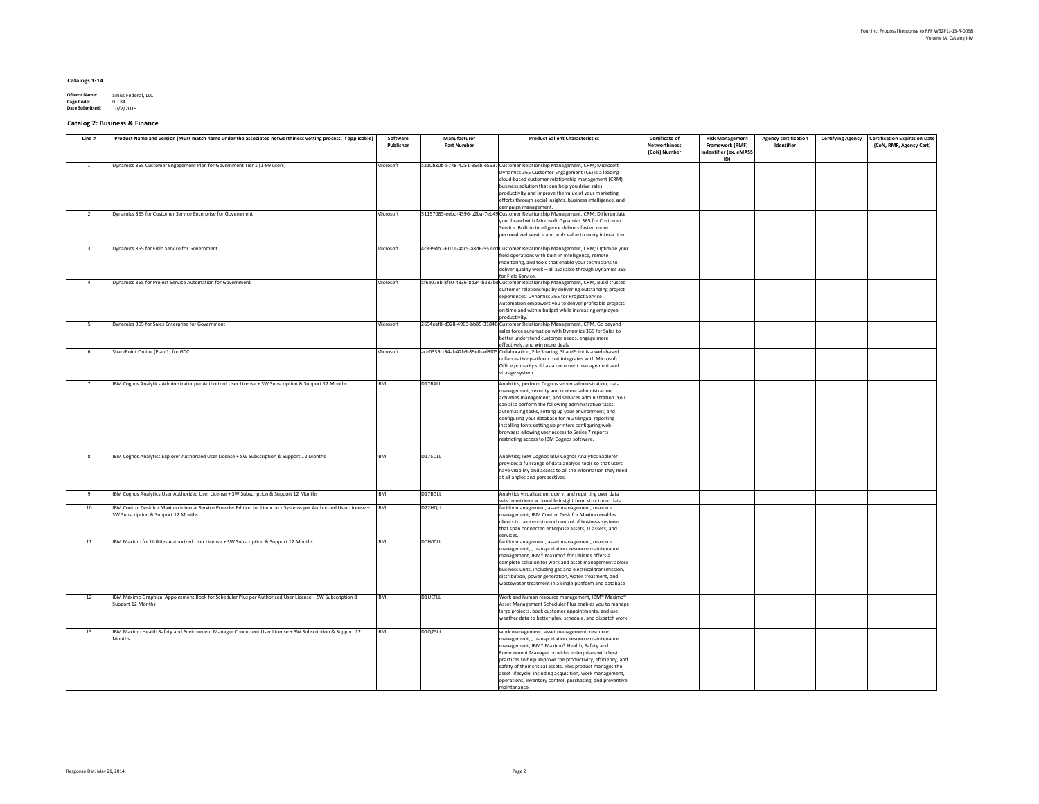| <b>Agency certification</b><br>Identifier | <b>Certifying Agency</b> | <b>Certification Expiration Date</b><br>(CoN, RMF, Agency Cert) |
|-------------------------------------------|--------------------------|-----------------------------------------------------------------|
|                                           |                          |                                                                 |
|                                           |                          |                                                                 |
|                                           |                          |                                                                 |
|                                           |                          |                                                                 |
|                                           |                          |                                                                 |
|                                           |                          |                                                                 |
|                                           |                          |                                                                 |
|                                           |                          |                                                                 |
|                                           |                          |                                                                 |
|                                           |                          |                                                                 |
|                                           |                          |                                                                 |
|                                           |                          |                                                                 |
|                                           |                          |                                                                 |
|                                           |                          |                                                                 |
|                                           |                          |                                                                 |
|                                           |                          |                                                                 |
|                                           |                          |                                                                 |
|                                           |                          |                                                                 |
|                                           |                          |                                                                 |
|                                           |                          |                                                                 |
|                                           |                          |                                                                 |
|                                           |                          |                                                                 |
|                                           |                          |                                                                 |

### **Catalogs 1-14**

| <b>Offeror Name:</b>   | Sirius Federal, LLC |
|------------------------|---------------------|
| <b>Cage Code:</b>      | 0TC84               |
| <b>Date Submitted:</b> | 10/2/2019           |

# **Catalog 2: Business & Finance**

| Line # | Product Name and version (Must match name under the associated networthiness vetting process, if applicable)                                              | Software<br><b>Publisher</b> | Manufacturer<br><b>Part Number</b> | <b>Product Salient Characteristics</b>                                                                                                                                                                                                                                                                                                                                                                                                                                                                | <b>Certificate of</b><br><b>Networthiness</b><br>(CoN) Number | <b>Risk Management</b><br><b>Framework (RMF)</b><br>Indentifier (ex. eMASS<br>ID) | <b>Agency certification</b><br>Identifier | <b>Certifying Agency</b> | Certification<br>(CoN, RMF |
|--------|-----------------------------------------------------------------------------------------------------------------------------------------------------------|------------------------------|------------------------------------|-------------------------------------------------------------------------------------------------------------------------------------------------------------------------------------------------------------------------------------------------------------------------------------------------------------------------------------------------------------------------------------------------------------------------------------------------------------------------------------------------------|---------------------------------------------------------------|-----------------------------------------------------------------------------------|-------------------------------------------|--------------------------|----------------------------|
|        | Dynamics 365 Customer Engagement Plan for Government Tier 1 (1-99 users)                                                                                  | Microsoft                    |                                    | a210b80b-5748-4251-95cb-e5937 Customer Relationship Management, CRM; Microsoft<br>Dynamics 365 Customer Engagement (CE) is a leading<br>cloud-based customer relationship management (CRM)<br>business solution that can help you drive sales<br>productivity and improve the value of your marketing<br>efforts through social insights, business intelligence, and<br>campaign management.                                                                                                          |                                                               |                                                                                   |                                           |                          |                            |
|        | Dynamics 365 for Customer Service Enterprise for Government                                                                                               | Microsoft                    |                                    | 51157085-eebd-4396-b2ba-7eb49 Customer Relationship Management, CRM; Differentiate<br>your brand with Microsoft Dynamics 365 for Customer<br>Service. Built-in intelligence delivers faster, more<br>personalized service and adds value to every interaction.                                                                                                                                                                                                                                        |                                                               |                                                                                   |                                           |                          |                            |
|        | Dynamics 365 for Field Service for Government                                                                                                             | Microsoft                    |                                    | 4c839db0-6011-4ac5-a8d6-5522c(Customer Relationship Management, CRM; Optimize your <br>field operations with built-in intelligence, remote<br>monitoring, and tools that enable your technicians to<br>deliver quality work—all available through Dynamics 365<br>for Field Service.                                                                                                                                                                                                                  |                                                               |                                                                                   |                                           |                          |                            |
|        | Dynamics 365 for Project Service Automation for Government                                                                                                | Microsoft                    |                                    | af6e07eb-8fc0-4336-8b34-b337bd Customer Relationship Management, CRM, Build trusted<br>customer relationships by delivering outstanding project<br>experiences. Dynamics 365 for Project Service<br>Automation empowers you to deliver profitable projects<br>on time and within budget while increasing employee<br>productivity.                                                                                                                                                                    |                                                               |                                                                                   |                                           |                          |                            |
|        | Dynamics 365 for Sales Enterprise for Government                                                                                                          | Microsoft                    |                                    | 2694eaf8-d928-4903-bb85-31848 Customer Relationship Management, CRM, Go beyond<br>sales force automation with Dynamics 365 for Sales to<br>better understand customer needs, engage more<br>effectively, and win more deals                                                                                                                                                                                                                                                                           |                                                               |                                                                                   |                                           |                          |                            |
|        | SharePoint Online (Plan 1) for GCC                                                                                                                        | Microsoft                    |                                    | ace0339c-34af-42b9-89e0-ad3f05 Collaboration, File Sharing, SharePoint is a web-based<br>collaborative platform that integrates with Microsoft<br>Office primarily sold as a document management and<br>storage system                                                                                                                                                                                                                                                                                |                                                               |                                                                                   |                                           |                          |                            |
|        | IBM Cognos Analytics Administrator per Authorized User License + SW Subscription & Support 12 Months                                                      | <b>IBM</b>                   | D17BALL                            | Analytics, perform Cognos server administration, data<br>management, security and content administration,<br>activities management, and services administration. You<br>can also perform the following administrative tasks:<br>automating tasks, setting up your environment, and<br>configuring your database for multilingual reporting<br>installing fonts setting up printers configuring web<br>browsers allowing user access to Series 7 reports<br>restricting access to IBM Cognos software. |                                                               |                                                                                   |                                           |                          |                            |
|        | IBM Cognos Analytics Explorer Authorized User License + SW Subscription & Support 12 Months                                                               | <b>IBM</b>                   | D175DLL                            | Analytics; IBM Cognos IBM Cognos Analytics Explorer<br>provides a full range of data analysis tools so that users<br>have visibility and access to all the information they need<br>at all angles and perspectives.                                                                                                                                                                                                                                                                                   |                                                               |                                                                                   |                                           |                          |                            |
|        | IBM Cognos Analytics User Authorized User License + SW Subscription & Support 12 Months                                                                   | <b>IBM</b>                   | D17BGLL                            | Analytics visualization, query, and reporting over data                                                                                                                                                                                                                                                                                                                                                                                                                                               |                                                               |                                                                                   |                                           |                          |                            |
| 10     | IBM Control Desk for Maximo Internal Service Provider Edition for Linux on z Systems per Authorized User License +<br>SW Subscription & Support 12 Months | <b>IBM</b>                   | D22HQLL                            | sets to retrieve actionable insight from structured data<br>facility management, asset management, resource<br>management, IBM Control Desk for Maximo enables<br>clients to take end-to-end control of business systems<br>that span connected enterprise assets, IT assets, and IT<br>services                                                                                                                                                                                                      |                                                               |                                                                                   |                                           |                          |                            |
|        | IBM Maximo for Utilities Authorized User License + SW Subscription & Support 12 Months                                                                    | IBM                          | D0H00LL                            | facility management, asset management, resource<br>management,, transportation, resource maintenance<br>management, IBM® Maximo® for Utilities offers a<br>complete solution for work and asset management across<br>business units, including gas and electrical transmission,<br>distribution, power generation, water treatment, and<br>wastewater treatment in a single platform and database                                                                                                     |                                                               |                                                                                   |                                           |                          |                            |
| 12     | IBM Maximo Graphical Appointment Book for Scheduler Plus per Authorized User License + SW Subscription &<br>Support 12 Months                             | <b>IBM</b>                   | D1UEFLL                            | Work and human resource management, IBM® Maximo®<br>Asset Management Scheduler Plus enables you to manage<br>large projects, book customer appointments, and use<br>weather data to better plan, schedule, and dispatch work.                                                                                                                                                                                                                                                                         |                                                               |                                                                                   |                                           |                          |                            |
| 13     | IBM Maximo Health Safety and Environment Manager Concurrent User License + SW Subscription & Support 12<br>Months                                         | <b>IBM</b>                   | <b>D1Q75LL</b>                     | work management, asset management, resource<br>management,, transportation, resource maintenance<br>management, IBM® Maximo® Health, Safety and<br>Environment Manager provides enterprises with best<br>practices to help improve the productivity, efficiency, and<br>safety of their critical assets. This product manages the<br>asset lifecycle, including acquisition, work management,<br>operations, inventory control, purchasing, and preventive<br>maintenance.                            |                                                               |                                                                                   |                                           |                          |                            |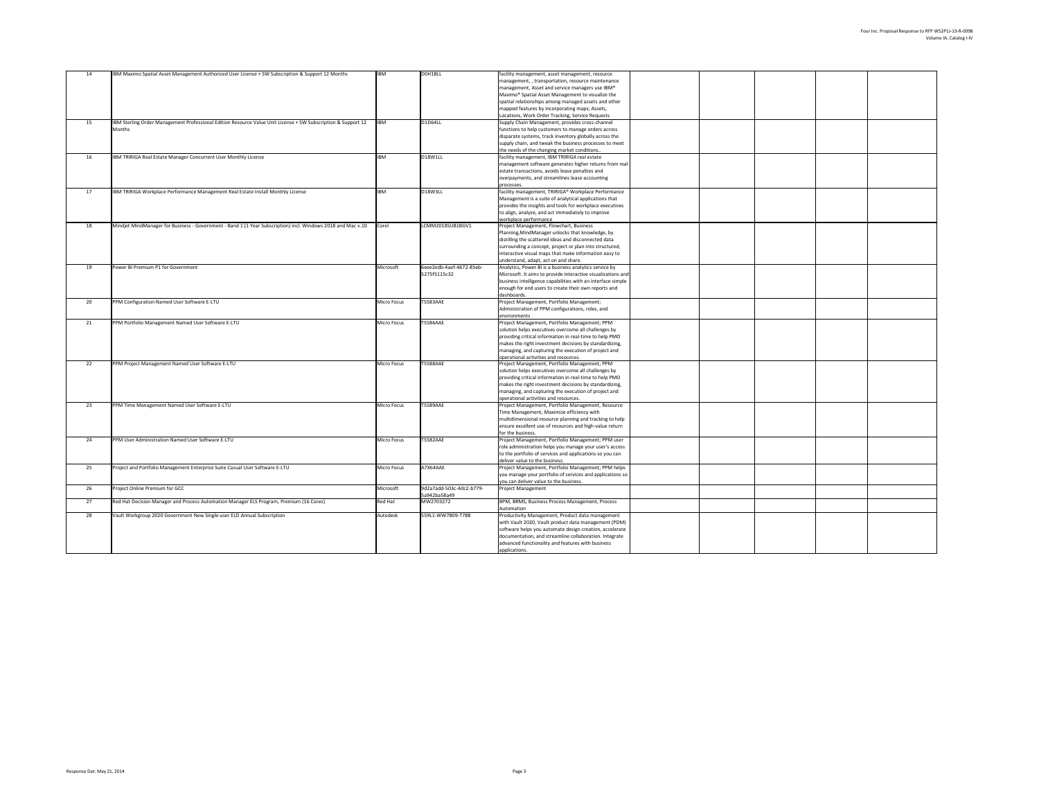| 14              | <b>IBM Maximo Spatial Asset Management Authorized User License + SW Subscription &amp; Support 12 Months</b>  | <b>IBM</b>         | DOH <sub>1</sub> BLL             | facility management, asset management, resource               |  |
|-----------------|---------------------------------------------------------------------------------------------------------------|--------------------|----------------------------------|---------------------------------------------------------------|--|
|                 |                                                                                                               |                    |                                  | management,, transportation, resource maintenance             |  |
|                 |                                                                                                               |                    |                                  | management, Asset and service managers use IBM®               |  |
|                 |                                                                                                               |                    |                                  |                                                               |  |
|                 |                                                                                                               |                    |                                  | Maximo <sup>®</sup> Spatial Asset Management to visualize the |  |
|                 |                                                                                                               |                    |                                  | spatial relationships among managed assets and other          |  |
|                 |                                                                                                               |                    |                                  | mapped features by incorporating maps; Assets,                |  |
|                 |                                                                                                               |                    |                                  | Locations, Work Order Tracking, Service Requests              |  |
| 15              | IBM Sterling Order Management Professional Edition Resource Value Unit License + SW Subscription & Support 12 | <b>IBM</b>         | D1D64LL                          | Supply Chain Management, provides cross-channel               |  |
|                 |                                                                                                               |                    |                                  |                                                               |  |
|                 | Months                                                                                                        |                    |                                  | functions to help customers to manage orders across           |  |
|                 |                                                                                                               |                    |                                  | disparate systems, track inventory globally across the        |  |
|                 |                                                                                                               |                    |                                  | supply chain, and tweak the business processes to meet        |  |
|                 |                                                                                                               |                    |                                  | the needs of the changing market conditions                   |  |
|                 |                                                                                                               |                    |                                  |                                                               |  |
| 16              | IBM TRIRIGA Real Estate Manager Concurrent User Monthly License                                               | <b>IBM</b>         | D <sub>18</sub> W <sub>1LL</sub> | facility management, IBM TRIRIGA real estate                  |  |
|                 |                                                                                                               |                    |                                  | management software generates higher returns from real        |  |
|                 |                                                                                                               |                    |                                  | estate transactions, avoids lease penalties and               |  |
|                 |                                                                                                               |                    |                                  | overpayments, and streamlines lease accounting                |  |
|                 |                                                                                                               |                    |                                  | processes.                                                    |  |
|                 |                                                                                                               |                    |                                  |                                                               |  |
| 17              | IBM TRIRIGA Workplace Performance Management Real Estate Install Monthly License                              | <b>IBM</b>         | D <sub>18</sub> W <sub>3LL</sub> | facility management, TRIRIGA® Workplace Performance           |  |
|                 |                                                                                                               |                    |                                  | Management is a suite of analytical applications that         |  |
|                 |                                                                                                               |                    |                                  | provides the insights and tools for workplace executives      |  |
|                 |                                                                                                               |                    |                                  | to align, analyze, and act immediately to improve             |  |
|                 |                                                                                                               |                    |                                  |                                                               |  |
|                 |                                                                                                               |                    |                                  | workplace performance                                         |  |
| 18              | Mindjet MindManager for Business - Government - Band 1 (1 Year Subscription) incl. Windows 2018 and Mac v.10  | Corel              | LCMM2018SUB1BGV1                 | Project Management, Flowchart, Business                       |  |
|                 |                                                                                                               |                    |                                  | Planning, Mind Manager unlocks that knowledge, by             |  |
|                 |                                                                                                               |                    |                                  | distilling the scattered ideas and disconnected data          |  |
|                 |                                                                                                               |                    |                                  | surrounding a concept, project or plan into structured,       |  |
|                 |                                                                                                               |                    |                                  |                                                               |  |
|                 |                                                                                                               |                    |                                  | interactive visual maps that make information easy to         |  |
|                 |                                                                                                               |                    |                                  | understand, adapt, act on and share.                          |  |
| 19              | Power BI Premium P1 for Government                                                                            | Microsoft          | 6eee2edb-4aef-4672-85eb-         | Analytics, Power BI is a business analytics service by        |  |
|                 |                                                                                                               |                    | 5275f5115c32                     | Microsoft. It aims to provide interactive visualizations and  |  |
|                 |                                                                                                               |                    |                                  | business intelligence capabilities with an interface simple   |  |
|                 |                                                                                                               |                    |                                  |                                                               |  |
|                 |                                                                                                               |                    |                                  | enough for end users to create their own reports and          |  |
|                 |                                                                                                               |                    |                                  | dashboards.                                                   |  |
| 20 <sub>2</sub> | PPM Configuration Named User Software E-LTU                                                                   | <b>Micro Focus</b> | <b>T5583AAE</b>                  | Project Management, Portfolio Management;                     |  |
|                 |                                                                                                               |                    |                                  | Administration of PPM configurations, roles, and              |  |
|                 |                                                                                                               |                    |                                  | environments                                                  |  |
|                 |                                                                                                               |                    | <b>T5586AAE</b>                  | Project Management, Portfolio Management; PPM                 |  |
| 21              | PPM Portfolio Management Named User Software E-LTU                                                            | Micro Focus        |                                  |                                                               |  |
|                 |                                                                                                               |                    |                                  | solution helps executives overcome all challenges by          |  |
|                 |                                                                                                               |                    |                                  | providing critical information in real-time to help PMO       |  |
|                 |                                                                                                               |                    |                                  | makes the right investment decisions by standardizing,        |  |
|                 |                                                                                                               |                    |                                  | managing, and capturing the execution of project and          |  |
|                 |                                                                                                               |                    |                                  |                                                               |  |
|                 |                                                                                                               |                    |                                  | operational activities and resources.                         |  |
| 22              | <b>PPM Project Management Named User Software E-LTU</b>                                                       | Micro Focus        | T5588AAE                         | Project Management, Portfolio Management; PPM                 |  |
|                 |                                                                                                               |                    |                                  | solution helps executives overcome all challenges by          |  |
|                 |                                                                                                               |                    |                                  | providing critical information in real-time to help PMO       |  |
|                 |                                                                                                               |                    |                                  | makes the right investment decisions by standardizing,        |  |
|                 |                                                                                                               |                    |                                  |                                                               |  |
|                 |                                                                                                               |                    |                                  | managing, and capturing the execution of project and          |  |
|                 |                                                                                                               |                    |                                  | operational activities and resources.                         |  |
| 23              | <b>PPM Time Management Named User Software E-LTU</b>                                                          | Micro Focus        | T5589AAE                         | Project Management, Portfolio Management, Resource            |  |
|                 |                                                                                                               |                    |                                  | Time Management, Maximize efficiency with                     |  |
|                 |                                                                                                               |                    |                                  | multidimensional resource planning and tracking to help       |  |
|                 |                                                                                                               |                    |                                  |                                                               |  |
|                 |                                                                                                               |                    |                                  | ensure excellent use of resources and high-value return       |  |
|                 |                                                                                                               |                    |                                  | for the business.                                             |  |
| 24              | <b>PPM User Administration Named User Software E-LTU</b>                                                      | Micro Focus        | <b>T5582AAE</b>                  | Project Management, Portfolio Management; PPM user            |  |
|                 |                                                                                                               |                    |                                  | role administration helps you manage your user's access       |  |
|                 |                                                                                                               |                    |                                  | to the portfolio of services and applications so you can      |  |
|                 |                                                                                                               |                    |                                  |                                                               |  |
|                 |                                                                                                               |                    |                                  | deliver value to the business.                                |  |
| 25              | Project and Portfolio Management Enterprise Suite Casual User Software E-LTU                                  | Micro Focus        | A7X64AAE                         | Project Management, Portfolio Management; PPM helps           |  |
|                 |                                                                                                               |                    |                                  | you manage your portfolio of services and applications so     |  |
|                 |                                                                                                               |                    |                                  | you can deliver value to the business.                        |  |
| 26              | Project Online Premium for GCC                                                                                | Microsoft          | 9d2a7add-503c-4dc2-b779-         | <b>Project Management</b>                                     |  |
|                 |                                                                                                               |                    |                                  |                                                               |  |
|                 |                                                                                                               |                    | 5a942ba58a49                     |                                                               |  |
| 27              | Red Hat Decision Manager and Process Automation Manager ELS Program, Premium (16 Cores)                       | <b>Red Hat</b>     | MW2703272                        | BPM, BRMS, Business Process Management, Process               |  |
|                 |                                                                                                               |                    |                                  | Automation                                                    |  |
| 28              | Vault Workgroup 2020 Government New Single-user ELD Annual Subscription                                       | Autodesk           | 559L1-WW7809-T788                | Productivity Management, Product data management              |  |
|                 |                                                                                                               |                    |                                  | with Vault 2020, Vault product data management (PDM)          |  |
|                 |                                                                                                               |                    |                                  |                                                               |  |
|                 |                                                                                                               |                    |                                  | software helps you automate design creation, accelerate       |  |
|                 |                                                                                                               |                    |                                  | documentation, and streamline collaboration. Integrate        |  |
|                 |                                                                                                               |                    |                                  | advanced functionality and features with business             |  |
|                 |                                                                                                               |                    |                                  | applications.                                                 |  |
|                 |                                                                                                               |                    |                                  |                                                               |  |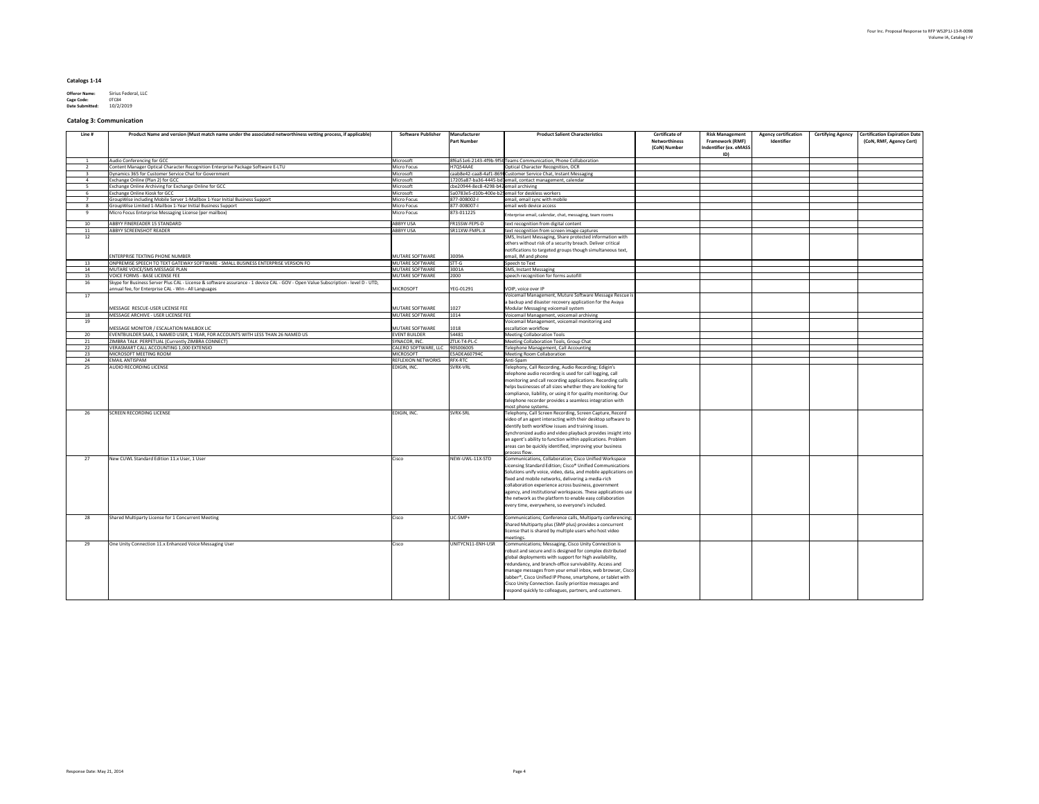### **Catalogs 1-14**

| <b>Offeror Name:</b>   | Sirius Federal, LLC |
|------------------------|---------------------|
| <b>Cage Code:</b>      | 0TC84               |
| <b>Date Submitted:</b> | 10/2/2019           |

### **Catalog 3: Communication**

| Line # | Product Name and version (Must match name under the associated networthiness vetting process, if applicable)                      | <b>Software Publisher</b>            | Manufacturer<br><b>Part Number</b>     | <b>Product Salient Characteristics</b>                                                                                | <b>Certificate of</b><br><b>Networthiness</b><br>(CoN) Number | <b>Risk Management</b><br><b>Framework (RMF)</b><br>Indentifier (ex. eMASS) | <b>Agency certification</b><br>Identifier | Certification Expiration Date<br><b>Certifying Agency</b><br>(CoN, RMF, Agency Cert) |
|--------|-----------------------------------------------------------------------------------------------------------------------------------|--------------------------------------|----------------------------------------|-----------------------------------------------------------------------------------------------------------------------|---------------------------------------------------------------|-----------------------------------------------------------------------------|-------------------------------------------|--------------------------------------------------------------------------------------|
|        | Audio Conferencing for GCC                                                                                                        | Microsoft                            |                                        | 8f6a51e6-2143-4f9b-9f5t Teams Communication, Phone Collaboration                                                      |                                                               | ID)                                                                         |                                           |                                                                                      |
|        | Content Manager Optical Character Recognition Enterprise Package Software E-LTU                                                   | Micro Focus                          | H7Q54AAE                               | Optical Character Recognition, OCR                                                                                    |                                                               |                                                                             |                                           |                                                                                      |
|        | Dynamics 365 for Customer Service Chat for Government                                                                             | Microsoft                            |                                        | caab8e42-caa8-4af1-869 Customer Service Chat, Instant Messaging                                                       |                                                               |                                                                             |                                           |                                                                                      |
|        | Exchange Online (Plan 2) for GCC                                                                                                  | Microsoft                            |                                        | 17205a87-ba36-4445-bd1email, contact management, calendar                                                             |                                                               |                                                                             |                                           |                                                                                      |
|        | Exchange Online Archiving for Exchange Online for GCC                                                                             | Microsoft                            | cbe20944-8ec8-4298-b42 email archiving |                                                                                                                       |                                                               |                                                                             |                                           |                                                                                      |
|        | <b>Exchange Online Kiosk for GCC</b>                                                                                              | Microsoft                            |                                        | 5a0783e5-d10b-400e-b25 email for deskless workers                                                                     |                                                               |                                                                             |                                           |                                                                                      |
|        | GroupWise including Mobile Server 1-Mailbox 1-Year Initial Business Support                                                       | Micro Focus                          | 877-008002-1                           | email, email sync with mobile                                                                                         |                                                               |                                                                             |                                           |                                                                                      |
|        | GroupWise Limited 1-Mailbox 1-Year Initial Business Support                                                                       | Micro Focus                          | 877-008007-I                           | email web device access                                                                                               |                                                               |                                                                             |                                           |                                                                                      |
|        | Micro Focus Enterprise Messaging License (per mailbox)                                                                            | Micro Focus                          | 873-011225                             | Enterprise email, calendar, chat, messaging, team rooms                                                               |                                                               |                                                                             |                                           |                                                                                      |
|        | ABBYY FINEREADER 15 STANDARD<br><b>ABBYY SCREENSHOT READER</b>                                                                    | <b>ABBYY USA</b><br><b>ABBYY USA</b> | FR15SW-FEPS-D<br>SR11XW-FMPL-X         | text recognition from digital content<br>text recognition from screen image captures                                  |                                                               |                                                                             |                                           |                                                                                      |
| 12     |                                                                                                                                   |                                      |                                        | SMS, Instant Messaging, Share protected information with                                                              |                                                               |                                                                             |                                           |                                                                                      |
|        |                                                                                                                                   |                                      |                                        | others without risk of a security breach. Deliver critical                                                            |                                                               |                                                                             |                                           |                                                                                      |
|        |                                                                                                                                   |                                      |                                        | notifications to targeted groups though simultaneous text,                                                            |                                                               |                                                                             |                                           |                                                                                      |
|        | <b>ENTERPRISE TEXTING PHONE NUMBER</b>                                                                                            | MUTARE SOFTWARE                      | 3009A                                  | email, IM and phone                                                                                                   |                                                               |                                                                             |                                           |                                                                                      |
| 13     | ONPREMISE SPEECH TO TEXT GATEWAY SOFTWARE - SMALL BUSINESS ENTERPRISE VERSION FO                                                  | MUTARE SOFTWARE                      | $STT-G$                                | Speech to Text                                                                                                        |                                                               |                                                                             |                                           |                                                                                      |
|        | MUTARE VOICE/SMS MESSAGE PLAN                                                                                                     | MUTARE SOFTWARE                      | 3001A                                  | <b>SMS, Instant Messaging</b>                                                                                         |                                                               |                                                                             |                                           |                                                                                      |
|        | <b>VOICE FORMS - BASE LICENSE FEE</b>                                                                                             | MUTARE SOFTWARE                      | 2000                                   | speech recognition for forms autofill                                                                                 |                                                               |                                                                             |                                           |                                                                                      |
|        | Skype for Business Server Plus CAL - License & software assurance - 1 device CAL - GOV - Open Value Subscription - level D - UTD, |                                      |                                        |                                                                                                                       |                                                               |                                                                             |                                           |                                                                                      |
|        | annual fee, for Enterprise CAL - Win - All Languages                                                                              | MICROSOFT                            | YEG-01291                              | VOIP, voice over IP                                                                                                   |                                                               |                                                                             |                                           |                                                                                      |
| 17     |                                                                                                                                   |                                      |                                        | Voicemail Management, Muture Software Message Rescue is                                                               |                                                               |                                                                             |                                           |                                                                                      |
|        |                                                                                                                                   |                                      |                                        | a backup and disaster recovery application for the Avaya                                                              |                                                               |                                                                             |                                           |                                                                                      |
|        | MESSAGE RESCUE-USER LICENSE FEE                                                                                                   | MUTARE SOFTWARE                      | 1027                                   | Modular Messaging voicemail system                                                                                    |                                                               |                                                                             |                                           |                                                                                      |
|        | MESSAGE ARCHIVE - USER LICENSE FEE                                                                                                | MUTARE SOFTWARE                      | 1014                                   | Voicemail Management, voicemail archiving                                                                             |                                                               |                                                                             |                                           |                                                                                      |
| 19     |                                                                                                                                   |                                      |                                        | Voicemail Management, voicemail monitoring and                                                                        |                                                               |                                                                             |                                           |                                                                                      |
|        | MESSAGE MONITOR / ESCALATION MAILBOX LIC                                                                                          | MUTARE SOFTWARE                      | 1018                                   | escallation workflow                                                                                                  |                                                               |                                                                             |                                           |                                                                                      |
| 20     | EVENTBUILDER SAAS, 1 NAMED USER, 1 YEAR, FOR ACCOUNTS WITH LESS THAN 26 NAMED US                                                  | <b>EVENT BUILDER</b>                 | 54481                                  | <b>Meeting Collaboration Tools</b>                                                                                    |                                                               |                                                                             |                                           |                                                                                      |
| 21     | ZIMBRA TALK PERPETUAL (Currently ZIMBRA CONNECT)                                                                                  | SYNACOR, INC.                        | ZTLK-T4-PL-C                           | Meeting Collaboration Tools, Group Chat                                                                               |                                                               |                                                                             |                                           |                                                                                      |
| 22     | VERASMART CALL ACCOUNTING 1,000 EXTENSIO                                                                                          | CALERO SOFTWARE, LLC                 | 90S006005                              | Telephone Management, Call Accounting                                                                                 |                                                               |                                                                             |                                           |                                                                                      |
| 23     | MICROSOFT MEETING ROOM                                                                                                            | MICROSOFT                            | E5ADEA60794C                           | <b>Meeting Room Collaboration</b>                                                                                     |                                                               |                                                                             |                                           |                                                                                      |
| 24     | <b>EMAIL ANTISPAM</b>                                                                                                             | <b>REFLEXION NETWORKS</b>            | <b>RFX-RTC</b>                         | Anti-Spam                                                                                                             |                                                               |                                                                             |                                           |                                                                                      |
| 25     | <b>AUDIO RECORDING LICENSE</b>                                                                                                    | EDIGIN, INC.                         | SVRX-VRL                               | Telephony, Call Recording, Audio Recording; Edigin's<br>telephone audio recording is used for call logging, call      |                                                               |                                                                             |                                           |                                                                                      |
|        |                                                                                                                                   |                                      |                                        | monitoring and call recording applications. Recording calls                                                           |                                                               |                                                                             |                                           |                                                                                      |
|        |                                                                                                                                   |                                      |                                        | helps businesses of all sizes whether they are looking for                                                            |                                                               |                                                                             |                                           |                                                                                      |
|        |                                                                                                                                   |                                      |                                        | compliance, liability, or using it for quality monitoring. Our                                                        |                                                               |                                                                             |                                           |                                                                                      |
|        |                                                                                                                                   |                                      |                                        | telephone recorder provides a seamless integration with                                                               |                                                               |                                                                             |                                           |                                                                                      |
|        |                                                                                                                                   |                                      |                                        | most phone systems.                                                                                                   |                                                               |                                                                             |                                           |                                                                                      |
| 26     | <b>SCREEN RECORDING LICENSE</b>                                                                                                   | EDIGIN, INC.                         | <b>SVRX-SRL</b>                        | Telephony, Call Screen Recording, Screen Capture, Record                                                              |                                                               |                                                                             |                                           |                                                                                      |
|        |                                                                                                                                   |                                      |                                        | video of an agent interacting with their desktop software to                                                          |                                                               |                                                                             |                                           |                                                                                      |
|        |                                                                                                                                   |                                      |                                        | identify both workflow issues and training issues.                                                                    |                                                               |                                                                             |                                           |                                                                                      |
|        |                                                                                                                                   |                                      |                                        | Synchronized audio and video playback provides insight into                                                           |                                                               |                                                                             |                                           |                                                                                      |
|        |                                                                                                                                   |                                      |                                        | an agent's ability to function within applications. Problem                                                           |                                                               |                                                                             |                                           |                                                                                      |
|        |                                                                                                                                   |                                      |                                        | areas can be quickly identified, improving your business                                                              |                                                               |                                                                             |                                           |                                                                                      |
|        |                                                                                                                                   |                                      |                                        | process flow.                                                                                                         |                                                               |                                                                             |                                           |                                                                                      |
| 27     | New CUWL Standard Edition 11.x User, 1 User                                                                                       | Cisco                                | NEW-UWL-11X-STD                        | Communications, Collaboration; Cisco Unified Workspace                                                                |                                                               |                                                                             |                                           |                                                                                      |
|        |                                                                                                                                   |                                      |                                        | Licensing Standard Edition; Cisco <sup>®</sup> Unified Communications                                                 |                                                               |                                                                             |                                           |                                                                                      |
|        |                                                                                                                                   |                                      |                                        | Solutions unify voice, video, data, and mobile applications on                                                        |                                                               |                                                                             |                                           |                                                                                      |
|        |                                                                                                                                   |                                      |                                        | fixed and mobile networks, delivering a media-rich                                                                    |                                                               |                                                                             |                                           |                                                                                      |
|        |                                                                                                                                   |                                      |                                        | collaboration experience across business, government                                                                  |                                                               |                                                                             |                                           |                                                                                      |
|        |                                                                                                                                   |                                      |                                        | agency, and institutional workspaces. These applications use                                                          |                                                               |                                                                             |                                           |                                                                                      |
|        |                                                                                                                                   |                                      |                                        | the network as the platform to enable easy collaboration                                                              |                                                               |                                                                             |                                           |                                                                                      |
|        |                                                                                                                                   |                                      |                                        | every time, everywhere, so everyone's included.                                                                       |                                                               |                                                                             |                                           |                                                                                      |
|        |                                                                                                                                   |                                      |                                        |                                                                                                                       |                                                               |                                                                             |                                           |                                                                                      |
|        | Shared Multiparty License for 1 Concurrent Meeting                                                                                | Cisco                                | LIC-SMP+                               | Communications; Conference calls, Multiparty conferencing;<br>Shared Multiparty plus (SMP plus) provides a concurrent |                                                               |                                                                             |                                           |                                                                                      |
|        |                                                                                                                                   |                                      |                                        | license that is shared by multiple users who host video                                                               |                                                               |                                                                             |                                           |                                                                                      |
|        |                                                                                                                                   |                                      |                                        | meetings.                                                                                                             |                                                               |                                                                             |                                           |                                                                                      |
| 29     | One Unity Connection 11.x Enhanced Voice Messaging User                                                                           | Cisco                                | UNITYCN11-ENH-USR                      | Communications; Messaging, Cisco Unity Connection is                                                                  |                                                               |                                                                             |                                           |                                                                                      |
|        |                                                                                                                                   |                                      |                                        | robust and secure and is designed for complex distributed                                                             |                                                               |                                                                             |                                           |                                                                                      |
|        |                                                                                                                                   |                                      |                                        | global deployments with support for high availability,                                                                |                                                               |                                                                             |                                           |                                                                                      |
|        |                                                                                                                                   |                                      |                                        | redundancy, and branch-office survivability. Access and                                                               |                                                               |                                                                             |                                           |                                                                                      |
|        |                                                                                                                                   |                                      |                                        | manage messages from your email inbox, web browser, Cisco                                                             |                                                               |                                                                             |                                           |                                                                                      |
|        |                                                                                                                                   |                                      |                                        | Jabber®, Cisco Unified IP Phone, smartphone, or tablet with                                                           |                                                               |                                                                             |                                           |                                                                                      |
|        |                                                                                                                                   |                                      |                                        | Cisco Unity Connection. Easily prioritize messages and                                                                |                                                               |                                                                             |                                           |                                                                                      |
|        |                                                                                                                                   |                                      |                                        | respond quickly to colleagues, partners, and customers.                                                               |                                                               |                                                                             |                                           |                                                                                      |
|        |                                                                                                                                   |                                      |                                        |                                                                                                                       |                                                               |                                                                             |                                           |                                                                                      |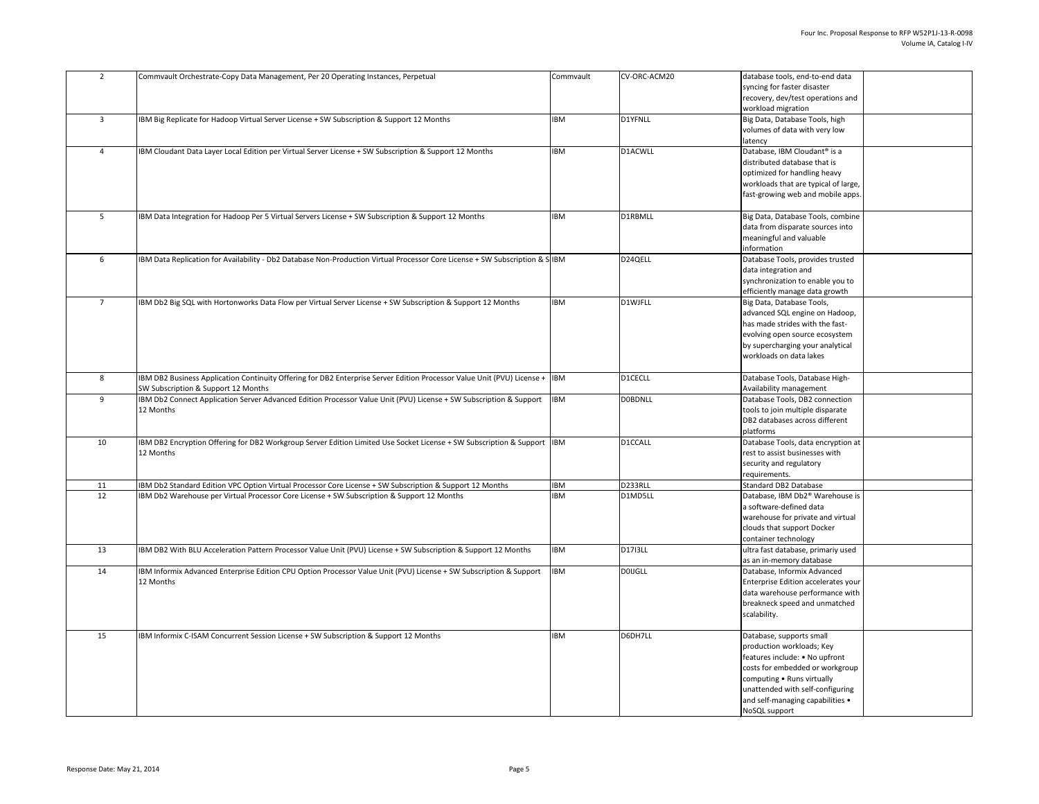|          | Commvault Orchestrate-Copy Data Management, Per 20 Operating Instances, Perpetual                                                                                                                      | Commvault                | CV-ORC-ACM20       | database tools, end-to-end data                                             |
|----------|--------------------------------------------------------------------------------------------------------------------------------------------------------------------------------------------------------|--------------------------|--------------------|-----------------------------------------------------------------------------|
|          |                                                                                                                                                                                                        |                          |                    | syncing for faster disaster                                                 |
|          |                                                                                                                                                                                                        |                          |                    | recovery, dev/test operations and<br>workload migration                     |
| 3        | IBM Big Replicate for Hadoop Virtual Server License + SW Subscription & Support 12 Months                                                                                                              | <b>IBM</b>               | <b>D1YFNLL</b>     |                                                                             |
|          |                                                                                                                                                                                                        |                          |                    | Big Data, Database Tools, high<br>volumes of data with very low             |
|          |                                                                                                                                                                                                        |                          |                    | latency                                                                     |
|          | IBM Cloudant Data Layer Local Edition per Virtual Server License + SW Subscription & Support 12 Months                                                                                                 | <b>IBM</b>               | D1ACWLL            | Database, IBM Cloudant <sup>®</sup> is a                                    |
|          |                                                                                                                                                                                                        |                          |                    | distributed database that is                                                |
|          |                                                                                                                                                                                                        |                          |                    | optimized for handling heavy                                                |
|          |                                                                                                                                                                                                        |                          |                    | workloads that are typical of large,                                        |
|          |                                                                                                                                                                                                        |                          |                    | fast-growing web and mobile apps.                                           |
|          |                                                                                                                                                                                                        |                          |                    |                                                                             |
| 5        | IBM Data Integration for Hadoop Per 5 Virtual Servers License + SW Subscription & Support 12 Months                                                                                                    | <b>IBM</b>               | D1RBMLL            | Big Data, Database Tools, combine                                           |
|          |                                                                                                                                                                                                        |                          |                    | data from disparate sources into                                            |
|          |                                                                                                                                                                                                        |                          |                    | meaningful and valuable                                                     |
|          |                                                                                                                                                                                                        |                          |                    | Information                                                                 |
| 6        | IBM Data Replication for Availability - Db2 Database Non-Production Virtual Processor Core License + SW Subscription & S IBM                                                                           |                          | D24QELL            | Database Tools, provides trusted                                            |
|          |                                                                                                                                                                                                        |                          |                    | data integration and                                                        |
|          |                                                                                                                                                                                                        |                          |                    | synchronization to enable you to                                            |
|          |                                                                                                                                                                                                        |                          |                    | efficiently manage data growth                                              |
|          | IBM Db2 Big SQL with Hortonworks Data Flow per Virtual Server License + SW Subscription & Support 12 Months                                                                                            | <b>IBM</b>               | D1WJFLL            | Big Data, Database Tools,                                                   |
|          |                                                                                                                                                                                                        |                          |                    | advanced SQL engine on Hadoop,                                              |
|          |                                                                                                                                                                                                        |                          |                    | has made strides with the fast-                                             |
|          |                                                                                                                                                                                                        |                          |                    | evolving open source ecosystem                                              |
|          |                                                                                                                                                                                                        |                          |                    | by supercharging your analytical<br>workloads on data lakes                 |
|          |                                                                                                                                                                                                        |                          |                    |                                                                             |
| 8        | IBM DB2 Business Application Continuity Offering for DB2 Enterprise Server Edition Processor Value Unit (PVU) License + IBM                                                                            |                          | <b>D1CECLL</b>     | Database Tools, Database High-                                              |
|          | <b>SW Subscription &amp; Support 12 Months</b>                                                                                                                                                         |                          |                    | Availability management                                                     |
| 9        | IBM Db2 Connect Application Server Advanced Edition Processor Value Unit (PVU) License + SW Subscription & Support                                                                                     | <b>IBM</b>               | <b>DOBDNLL</b>     | Database Tools, DB2 connection                                              |
|          | 12 Months                                                                                                                                                                                              |                          |                    | tools to join multiple disparate                                            |
|          |                                                                                                                                                                                                        |                          |                    | DB2 databases across different                                              |
|          |                                                                                                                                                                                                        |                          |                    | platforms                                                                   |
| 10       | IBM DB2 Encryption Offering for DB2 Workgroup Server Edition Limited Use Socket License + SW Subscription & Support IBM                                                                                |                          | D1CCALL            | Database Tools, data encryption at                                          |
|          | 12 Months                                                                                                                                                                                              |                          |                    | rest to assist businesses with                                              |
|          |                                                                                                                                                                                                        |                          |                    | security and regulatory                                                     |
|          |                                                                                                                                                                                                        |                          |                    | requirements.                                                               |
| 11<br>12 | IBM Db2 Standard Edition VPC Option Virtual Processor Core License + SW Subscription & Support 12 Months<br>IBM Db2 Warehouse per Virtual Processor Core License + SW Subscription & Support 12 Months | <b>IBM</b><br><b>IBM</b> | D233RLL<br>D1MD5LL | <b>Standard DB2 Database</b><br>Database, IBM Db2 <sup>®</sup> Warehouse is |
|          |                                                                                                                                                                                                        |                          |                    | a software-defined data                                                     |
|          |                                                                                                                                                                                                        |                          |                    | warehouse for private and virtual                                           |
|          |                                                                                                                                                                                                        |                          |                    | clouds that support Docker                                                  |
|          |                                                                                                                                                                                                        |                          |                    | container technology                                                        |
| 13       | IBM DB2 With BLU Acceleration Pattern Processor Value Unit (PVU) License + SW Subscription & Support 12 Months                                                                                         | <b>IBM</b>               | D1713LL            | ultra fast database, primariy used                                          |
|          |                                                                                                                                                                                                        |                          |                    | as an in-memory database                                                    |
| 14       | IBM Informix Advanced Enterprise Edition CPU Option Processor Value Unit (PVU) License + SW Subscription & Support                                                                                     | <b>IBM</b>               | <b>DOIJGLL</b>     | Database, Informix Advanced                                                 |
|          | 12 Months                                                                                                                                                                                              |                          |                    | Enterprise Edition accelerates your                                         |
|          |                                                                                                                                                                                                        |                          |                    | data warehouse performance with                                             |
|          |                                                                                                                                                                                                        |                          |                    | breakneck speed and unmatched                                               |
|          |                                                                                                                                                                                                        |                          |                    | scalability.                                                                |
|          |                                                                                                                                                                                                        |                          |                    |                                                                             |
| 15       | IBM Informix C-ISAM Concurrent Session License + SW Subscription & Support 12 Months                                                                                                                   | <b>IBM</b>               | D6DH7LL            | Database, supports small<br>production workloads; Key                       |
|          |                                                                                                                                                                                                        |                          |                    | features include: • No upfront                                              |
|          |                                                                                                                                                                                                        |                          |                    | costs for embedded or workgroup                                             |
|          |                                                                                                                                                                                                        |                          |                    | computing • Runs virtually                                                  |
|          |                                                                                                                                                                                                        |                          |                    | unattended with self-configuring                                            |
|          |                                                                                                                                                                                                        |                          |                    | and self-managing capabilities •                                            |
|          |                                                                                                                                                                                                        |                          |                    | NoSQL support                                                               |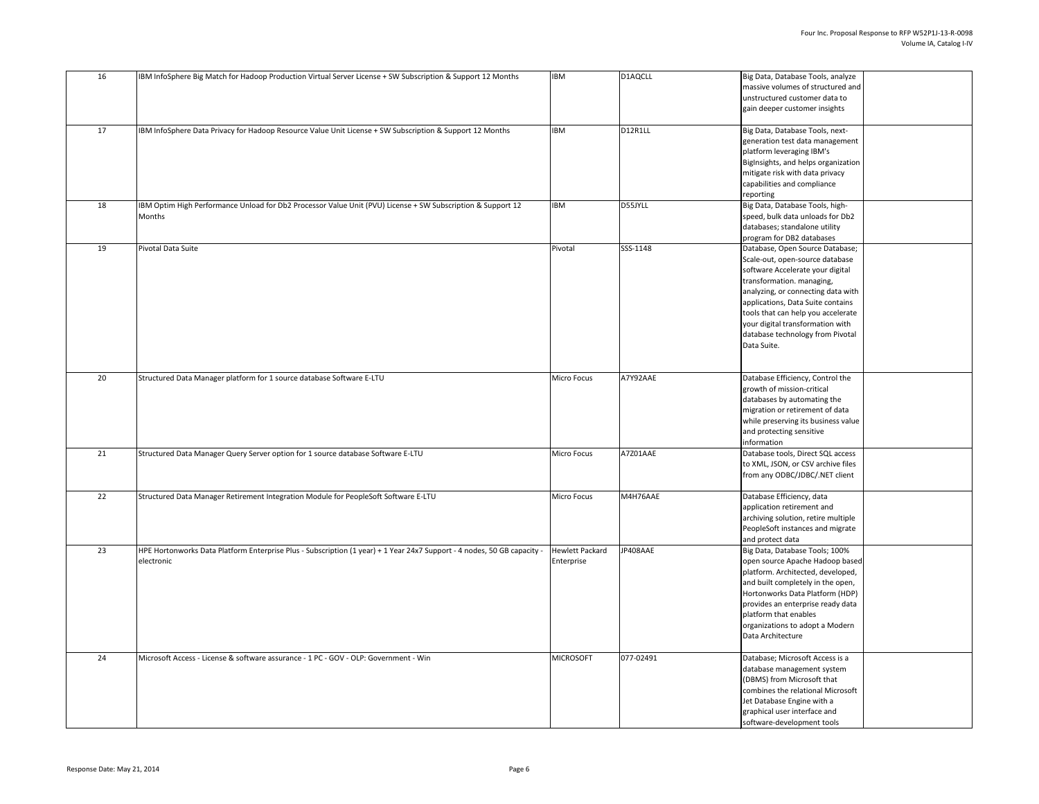| 16              | IBM InfoSphere Big Match for Hadoop Production Virtual Server License + SW Subscription & Support 12 Months                           | <b>IBM</b>                    | D1AQCLL   | Big Data, Database Tools, analyze<br>massive volumes of structured and<br>unstructured customer data to<br>gain deeper customer insights                                                                                                                                                                                                    |
|-----------------|---------------------------------------------------------------------------------------------------------------------------------------|-------------------------------|-----------|---------------------------------------------------------------------------------------------------------------------------------------------------------------------------------------------------------------------------------------------------------------------------------------------------------------------------------------------|
| 17              | IBM InfoSphere Data Privacy for Hadoop Resource Value Unit License + SW Subscription & Support 12 Months                              | <b>IBM</b>                    | D12R1LL   | Big Data, Database Tools, next-<br>generation test data management<br>platform leveraging IBM's<br>BigInsights, and helps organization<br>mitigate risk with data privacy<br>capabilities and compliance<br>reporting                                                                                                                       |
| 18              | IBM Optim High Performance Unload for Db2 Processor Value Unit (PVU) License + SW Subscription & Support 12<br>Months                 | <b>IBM</b>                    | D55JYLL   | Big Data, Database Tools, high-<br>speed, bulk data unloads for Db2<br>databases; standalone utility<br>program for DB2 databases                                                                                                                                                                                                           |
| 19              | Pivotal Data Suite                                                                                                                    | Pivotal                       | SSS-1148  | Database, Open Source Database;<br>Scale-out, open-source database<br>software Accelerate your digital<br>transformation. managing,<br>analyzing, or connecting data with<br>applications, Data Suite contains<br>tools that can help you accelerate<br>your digital transformation with<br>database technology from Pivotal<br>Data Suite. |
| 20 <sub>2</sub> | Structured Data Manager platform for 1 source database Software E-LTU                                                                 | <b>Micro Focus</b>            | A7Y92AAE  | Database Efficiency, Control the<br>growth of mission-critical<br>databases by automating the<br>migration or retirement of data<br>while preserving its business value<br>and protecting sensitive<br>information                                                                                                                          |
| 21              | Structured Data Manager Query Server option for 1 source database Software E-LTU                                                      | Micro Focus                   | A7Z01AAE  | Database tools, Direct SQL access<br>to XML, JSON, or CSV archive files<br>from any ODBC/JDBC/.NET client                                                                                                                                                                                                                                   |
| 22              | Structured Data Manager Retirement Integration Module for PeopleSoft Software E-LTU                                                   | <b>Micro Focus</b>            | M4H76AAE  | Database Efficiency, data<br>application retirement and<br>archiving solution, retire multiple<br>PeopleSoft instances and migrate<br>and protect data                                                                                                                                                                                      |
| 23              | HPE Hortonworks Data Platform Enterprise Plus - Subscription (1 year) + 1 Year 24x7 Support - 4 nodes, 50 GB capacity -<br>electronic | Hewlett Packard<br>Enterprise | JP408AAE  | Big Data, Database Tools; 100%<br>open source Apache Hadoop based<br>platform. Architected, developed,<br>and built completely in the open,<br>Hortonworks Data Platform (HDP)<br>provides an enterprise ready data<br>platform that enables<br>organizations to adopt a Modern<br>Data Architecture                                        |
| 24              | Microsoft Access - License & software assurance - 1 PC - GOV - OLP: Government - Win                                                  | <b>MICROSOFT</b>              | 077-02491 | Database; Microsoft Access is a<br>database management system<br>(DBMS) from Microsoft that<br>combines the relational Microsoft<br>Jet Database Engine with a<br>graphical user interface and<br>software-development tools                                                                                                                |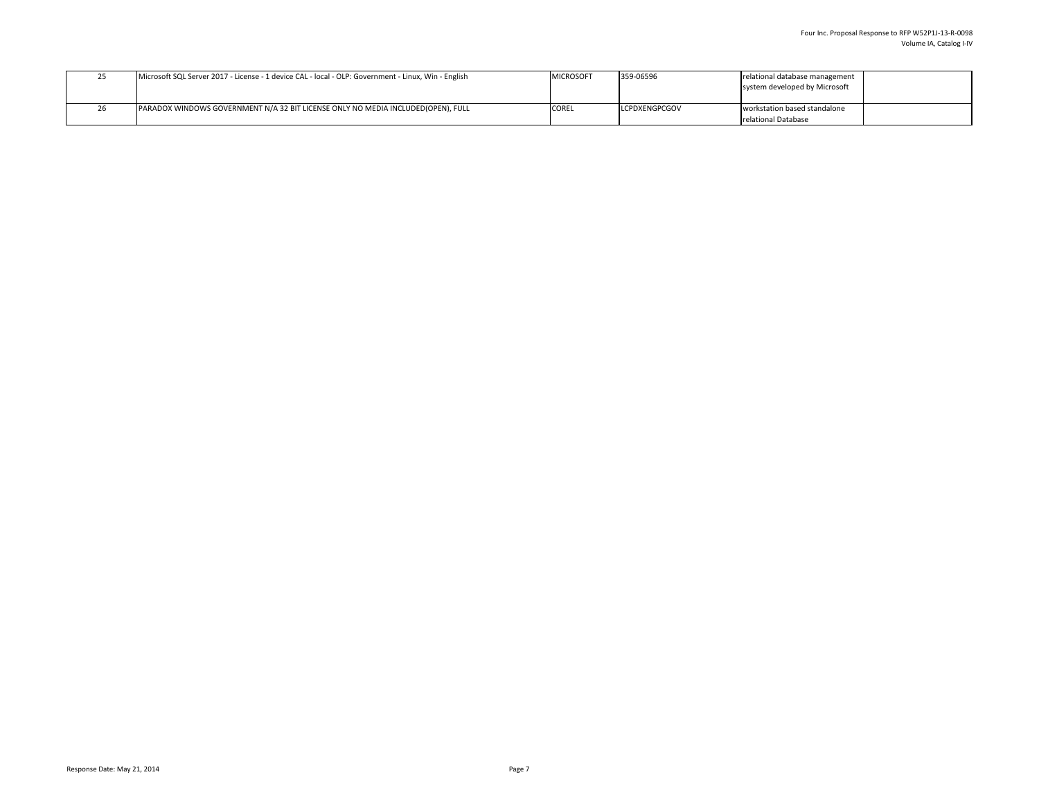| <u>__</u> | Microsoft SQL Server 2017 - License - 1 device CAL - local - OLP: Government - Linux, Win - English | MICROSOFT    | 359-06596            | relational database management<br>system developed by Microsoft |
|-----------|-----------------------------------------------------------------------------------------------------|--------------|----------------------|-----------------------------------------------------------------|
|           | <b>PARADOX WINDOWS GOVERNMENT N/A 32 BIT LICENSE ONLY NO MEDIA INCLUDED(OPEN), FULL</b>             | <b>COREL</b> | <b>LCPDXENGPCGOV</b> | workstation based standalone<br>relational Database             |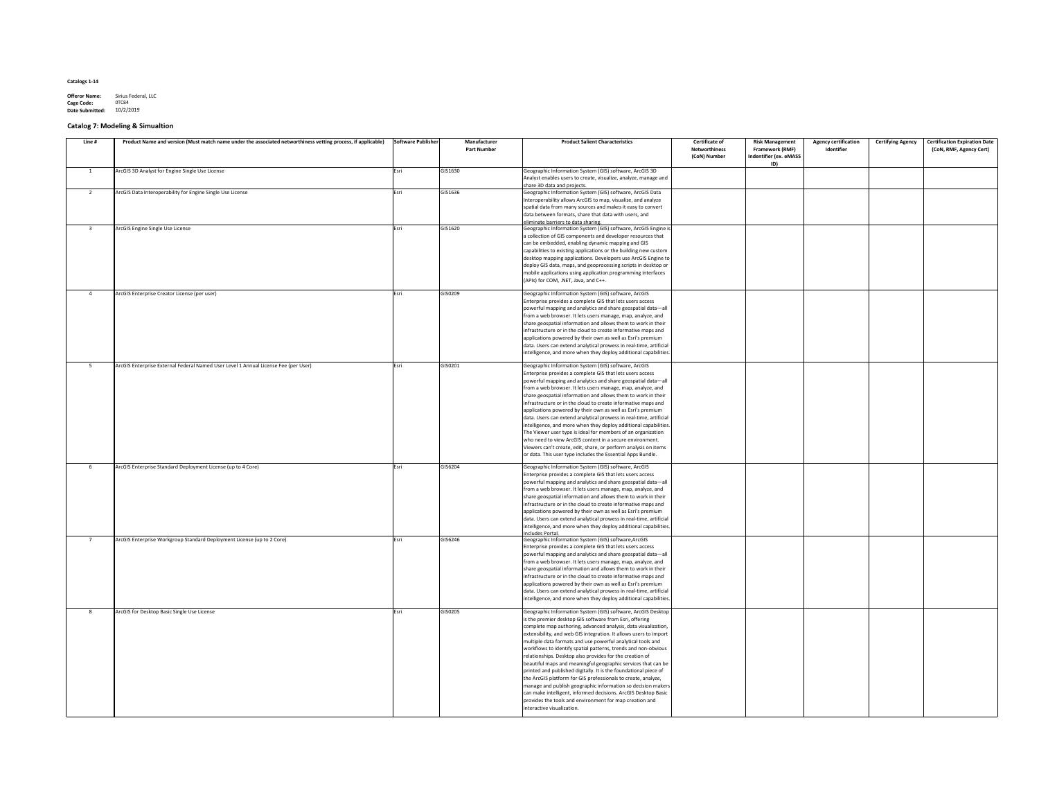**Offeror Name:** Sirius Federal, LLC<br> **Cage Code:** 0TC84 **Cage Code: Date Submitted:** 10/2/2019

# **Catalog 7: Modeling & Simualtion**

| Line # | Product Name and version (Must match name under the associated networthiness vetting process, if applicable) | Software Publisher | <b>Manufacturer</b><br><b>Part Number</b> | <b>Product Salient Characteristics</b>                                                                                                                                                                                                                                                                                                                                                                                                                                                                                                                                                                                                                                                                                                                                                                                                                                                           | <b>Certificate of</b><br><b>Networthiness</b><br>(CoN) Number | <b>Risk Management</b><br><b>Framework (RMF)</b><br><b>Indentifier (ex. eMASS</b> | <b>Agency certification</b><br>Identifier | <b>Certifying Agency</b> | <b>Certification Expiration Date</b><br>(CoN, RMF, Agency Cert) |
|--------|--------------------------------------------------------------------------------------------------------------|--------------------|-------------------------------------------|--------------------------------------------------------------------------------------------------------------------------------------------------------------------------------------------------------------------------------------------------------------------------------------------------------------------------------------------------------------------------------------------------------------------------------------------------------------------------------------------------------------------------------------------------------------------------------------------------------------------------------------------------------------------------------------------------------------------------------------------------------------------------------------------------------------------------------------------------------------------------------------------------|---------------------------------------------------------------|-----------------------------------------------------------------------------------|-------------------------------------------|--------------------------|-----------------------------------------------------------------|
|        | ArcGIS 3D Analyst for Engine Single Use License                                                              | Esri               | GIS1630                                   | Geographic Information System (GIS) software, ArcGIS 3D<br>Analyst enables users to create, visualize, analyze, manage and<br>share 3D data and projects.                                                                                                                                                                                                                                                                                                                                                                                                                                                                                                                                                                                                                                                                                                                                        |                                                               | ID)                                                                               |                                           |                          |                                                                 |
|        | ArcGIS Data Interoperability for Engine Single Use License                                                   | Esri               | GIS1636                                   | Geographic Information System (GIS) software, ArcGIS Data<br>Interoperability allows ArcGIS to map, visualize, and analyze<br>spatial data from many sources and makes it easy to convert<br>data between formats, share that data with users, and<br>eliminate barriers to data sharing.                                                                                                                                                                                                                                                                                                                                                                                                                                                                                                                                                                                                        |                                                               |                                                                                   |                                           |                          |                                                                 |
|        | ArcGIS Engine Single Use License                                                                             | Esri               | GIS1620                                   | Geographic Information System (GIS) software, ArcGIS Engine is<br>a collection of GIS components and developer resources that<br>can be embedded, enabling dynamic mapping and GIS<br>capabilities to existing applications or the building new custom<br>desktop mapping applications. Developers use ArcGIS Engine to<br>deploy GIS data, maps, and geoprocessing scripts in desktop or<br>mobile applications using application programming interfaces<br>(APIs) for COM, .NET, Java, and C++.                                                                                                                                                                                                                                                                                                                                                                                                |                                                               |                                                                                   |                                           |                          |                                                                 |
|        | ArcGIS Enterprise Creator License (per user)                                                                 | Esri               | GIS0209                                   | Geographic Information System (GIS) software, ArcGIS<br>Enterprise provides a complete GIS that lets users access<br>powerful mapping and analytics and share geospatial data-all<br>from a web browser. It lets users manage, map, analyze, and<br>share geospatial information and allows them to work in their<br>infrastructure or in the cloud to create informative maps and<br>applications powered by their own as well as Esri's premium<br>data. Users can extend analytical prowess in real-time, artificial<br>intelligence, and more when they deploy additional capabilities.                                                                                                                                                                                                                                                                                                      |                                                               |                                                                                   |                                           |                          |                                                                 |
|        | ArcGIS Enterprise External Federal Named User Level 1 Annual License Fee (per User)                          | Esri               | GIS0201                                   | Geographic Information System (GIS) software, ArcGIS<br>Enterprise provides a complete GIS that lets users access<br>powerful mapping and analytics and share geospatial data-all<br>from a web browser. It lets users manage, map, analyze, and<br>share geospatial information and allows them to work in their<br>infrastructure or in the cloud to create informative maps and<br>applications powered by their own as well as Esri's premium<br>data. Users can extend analytical prowess in real-time, artificial<br>intelligence, and more when they deploy additional capabilities.<br>The Viewer user type is ideal for members of an organization<br>who need to view ArcGIS content in a secure environment.<br>Viewers can't create, edit, share, or perform analysis on items<br>or data. This user type includes the Essential Apps Bundle.                                        |                                                               |                                                                                   |                                           |                          |                                                                 |
|        | ArcGIS Enterprise Standard Deployment License (up to 4 Core)                                                 | Esri               | GIS6204                                   | Geographic Information System (GIS) software, ArcGIS<br>Enterprise provides a complete GIS that lets users access<br>powerful mapping and analytics and share geospatial data-all<br>from a web browser. It lets users manage, map, analyze, and<br>share geospatial information and allows them to work in their<br>infrastructure or in the cloud to create informative maps and<br>applications powered by their own as well as Esri's premium<br>data. Users can extend analytical prowess in real-time, artificial<br>intelligence, and more when they deploy additional capabilities.<br>Includes Portal.                                                                                                                                                                                                                                                                                  |                                                               |                                                                                   |                                           |                          |                                                                 |
|        | ArcGIS Enterprise Workgroup Standard Deployment License (up to 2 Core)                                       | Esri               | GIS6246                                   | Geographic Information System (GIS) software, ArcGIS<br>Enterprise provides a complete GIS that lets users access<br>powerful mapping and analytics and share geospatial data—all<br>from a web browser. It lets users manage, map, analyze, and<br>share geospatial information and allows them to work in their<br>infrastructure or in the cloud to create informative maps and<br>applications powered by their own as well as Esri's premium<br>data. Users can extend analytical prowess in real-time, artificial<br>intelligence, and more when they deploy additional capabilities.                                                                                                                                                                                                                                                                                                      |                                                               |                                                                                   |                                           |                          |                                                                 |
|        | ArcGIS for Desktop Basic Single Use License                                                                  | Esri               | GIS0205                                   | Geographic Information System (GIS) software, ArcGIS Desktop<br>is the premier desktop GIS software from Esri, offering<br>complete map authoring, advanced analysis, data visualization,<br>extensibility, and web GIS integration. It allows users to import<br>multiple data formats and use powerful analytical tools and<br>workflows to identify spatial patterns, trends and non-obvious<br>relationships. Desktop also provides for the creation of<br>beautiful maps and meaningful geographic services that can be<br>printed and published digitally. It is the foundational piece of<br>the ArcGIS platform for GIS professionals to create, analyze,<br>  manage and publish geographic information so decision makers  <br>can make intelligent, informed decisions. ArcGIS Desktop Basic<br>provides the tools and environment for map creation and<br>interactive visualization. |                                                               |                                                                                   |                                           |                          |                                                                 |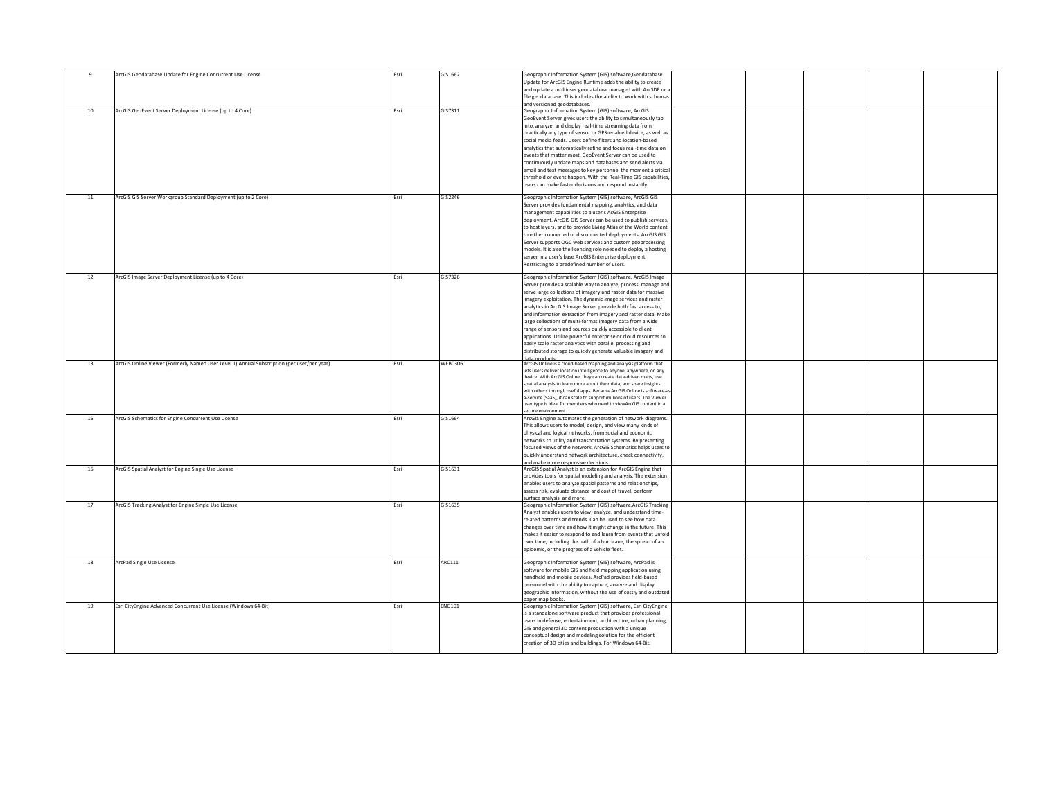|                 | ArcGIS Geodatabase Update for Engine Concurrent Use License                                | <b>Esri</b> | GIS1662        | Geographic Information System (GIS) software, Geodatabase               |  |
|-----------------|--------------------------------------------------------------------------------------------|-------------|----------------|-------------------------------------------------------------------------|--|
|                 |                                                                                            |             |                | Update for ArcGIS Engine Runtime adds the ability to create             |  |
|                 |                                                                                            |             |                |                                                                         |  |
|                 |                                                                                            |             |                | and update a multiuser geodatabase managed with ArcSDE or a             |  |
|                 |                                                                                            |             |                | file geodatabase. This includes the ability to work with schemas        |  |
|                 |                                                                                            |             |                | and versioned geodatabases.                                             |  |
| 10 <sup>°</sup> | ArcGIS GeoEvent Server Deployment License (up to 4 Core)                                   | Esri        | GIS7311        | Geographic Information System (GIS) software, ArcGIS                    |  |
|                 |                                                                                            |             |                |                                                                         |  |
|                 |                                                                                            |             |                | GeoEvent Server gives users the ability to simultaneously tap           |  |
|                 |                                                                                            |             |                | into, analyze, and display real-time streaming data from                |  |
|                 |                                                                                            |             |                | practically any type of sensor or GPS-enabled device, as well as        |  |
|                 |                                                                                            |             |                |                                                                         |  |
|                 |                                                                                            |             |                | social media feeds. Users define filters and location-based             |  |
|                 |                                                                                            |             |                | analytics that automatically refine and focus real-time data on         |  |
|                 |                                                                                            |             |                | events that matter most. GeoEvent Server can be used to                 |  |
|                 |                                                                                            |             |                | continuously update maps and databases and send alerts via              |  |
|                 |                                                                                            |             |                |                                                                         |  |
|                 |                                                                                            |             |                | email and text messages to key personnel the moment a critical          |  |
|                 |                                                                                            |             |                | threshold or event happen. With the Real-Time GIS capabilities,         |  |
|                 |                                                                                            |             |                | users can make faster decisions and respond instantly.                  |  |
|                 |                                                                                            |             |                |                                                                         |  |
|                 |                                                                                            |             |                |                                                                         |  |
| 11              | ArcGIS GIS Server Workgroup Standard Deployment (up to 2 Core)                             | Esri        | GIS2246        | Geographic Information System (GIS) software, ArcGIS GIS                |  |
|                 |                                                                                            |             |                | Server provides fundamental mapping, analytics, and data                |  |
|                 |                                                                                            |             |                | management capabilities to a user's AcGIS Enterprise                    |  |
|                 |                                                                                            |             |                | deployment. ArcGIS GIS Server can be used to publish services,          |  |
|                 |                                                                                            |             |                |                                                                         |  |
|                 |                                                                                            |             |                | to host layers, and to provide Living Atlas of the World content        |  |
|                 |                                                                                            |             |                | to either connected or disconnected deployments. ArcGIS GIS             |  |
|                 |                                                                                            |             |                | Server supports OGC web services and custom geoprocessing               |  |
|                 |                                                                                            |             |                |                                                                         |  |
|                 |                                                                                            |             |                | models. It is also the licensing role needed to deploy a hosting        |  |
|                 |                                                                                            |             |                | server in a user's base ArcGIS Enterprise deployment.                   |  |
|                 |                                                                                            |             |                | Restricting to a predefined number of users.                            |  |
|                 |                                                                                            |             |                |                                                                         |  |
|                 |                                                                                            |             | GIS7326        | Geographic Information System (GIS) software, ArcGIS Image              |  |
|                 | ArcGIS Image Server Deployment License (up to 4 Core)                                      | <b>Esri</b> |                |                                                                         |  |
|                 |                                                                                            |             |                | Server provides a scalable way to analyze, process, manage and          |  |
|                 |                                                                                            |             |                | serve large collections of imagery and raster data for massive          |  |
|                 |                                                                                            |             |                | imagery exploitation. The dynamic image services and raster             |  |
|                 |                                                                                            |             |                |                                                                         |  |
|                 |                                                                                            |             |                | analytics in ArcGIS Image Server provide both fast access to,           |  |
|                 |                                                                                            |             |                | and information extraction from imagery and raster data. Make           |  |
|                 |                                                                                            |             |                | large collections of multi-format imagery data from a wide              |  |
|                 |                                                                                            |             |                | range of sensors and sources quickly accessible to client               |  |
|                 |                                                                                            |             |                |                                                                         |  |
|                 |                                                                                            |             |                | applications. Utilize powerful enterprise or cloud resources to         |  |
|                 |                                                                                            |             |                | easily scale raster analytics with parallel processing and              |  |
|                 |                                                                                            |             |                | distributed storage to quickly generate valuable imagery and            |  |
|                 |                                                                                            |             |                | data products                                                           |  |
| 13              | ArcGIS Online Viewer (Formerly Named User Level 1) Annual Subscription (per user/per year) | Esri        | <b>WEB0306</b> | ArcGIS Online is a cloud-based mapping and analysis platform that       |  |
|                 |                                                                                            |             |                | lets users deliver location intelligence to anyone, anywhere, on any    |  |
|                 |                                                                                            |             |                | device. With ArcGIS Online, they can create data-driven maps, use       |  |
|                 |                                                                                            |             |                | spatial analysis to learn more about their data, and share insights     |  |
|                 |                                                                                            |             |                |                                                                         |  |
|                 |                                                                                            |             |                | with others through useful apps. Because ArcGIS Online is software-as-  |  |
|                 |                                                                                            |             |                | a-service (SaaS), it can scale to support millions of users. The Viewer |  |
|                 |                                                                                            |             |                | user type is ideal for members who need to viewArcGIS content in a      |  |
|                 |                                                                                            |             |                | secure environment.                                                     |  |
| 15              | ArcGIS Schematics for Engine Concurrent Use License                                        | <b>Esri</b> | GIS1664        | ArcGIS Engine automates the generation of network diagrams.             |  |
|                 |                                                                                            |             |                | This allows users to model, design, and view many kinds of              |  |
|                 |                                                                                            |             |                | physical and logical networks, from social and economic                 |  |
|                 |                                                                                            |             |                |                                                                         |  |
|                 |                                                                                            |             |                |                                                                         |  |
|                 |                                                                                            |             |                | networks to utility and transportation systems. By presenting           |  |
|                 |                                                                                            |             |                | focused views of the network, ArcGIS Schematics helps users to          |  |
|                 |                                                                                            |             |                | quickly understand network architecture, check connectivity,            |  |
|                 |                                                                                            |             |                | and make more responsive decisions.                                     |  |
| 16              |                                                                                            | Esri        | GIS1631        |                                                                         |  |
|                 | ArcGIS Spatial Analyst for Engine Single Use License                                       |             |                | ArcGIS Spatial Analyst is an extension for ArcGIS Engine that           |  |
|                 |                                                                                            |             |                | provides tools for spatial modeling and analysis. The extension         |  |
|                 |                                                                                            |             |                | enables users to analyze spatial patterns and relationships,            |  |
|                 |                                                                                            |             |                | assess risk, evaluate distance and cost of travel, perform              |  |
|                 |                                                                                            |             |                | surface analysis, and more.                                             |  |
| 17              | ArcGIS Tracking Analyst for Engine Single Use License                                      | Esri        | GIS1635        | Geographic Information System (GIS) software, ArcGIS Tracking           |  |
|                 |                                                                                            |             |                |                                                                         |  |
|                 |                                                                                            |             |                | Analyst enables users to view, analyze, and understand time-            |  |
|                 |                                                                                            |             |                | related patterns and trends. Can be used to see how data                |  |
|                 |                                                                                            |             |                | changes over time and how it might change in the future. This           |  |
|                 |                                                                                            |             |                | makes it easier to respond to and learn from events that unfold         |  |
|                 |                                                                                            |             |                | over time, including the path of a hurricane, the spread of an          |  |
|                 |                                                                                            |             |                |                                                                         |  |
|                 |                                                                                            |             |                | epidemic, or the progress of a vehicle fleet.                           |  |
|                 |                                                                                            |             |                |                                                                         |  |
| 18              | ArcPad Single Use License                                                                  | Esri        | <b>ARC111</b>  | Geographic Information System (GIS) software, ArcPad is                 |  |
|                 |                                                                                            |             |                | software for mobile GIS and field mapping application using             |  |
|                 |                                                                                            |             |                | handheld and mobile devices. ArcPad provides field-based                |  |
|                 |                                                                                            |             |                | personnel with the ability to capture, analyze and display              |  |
|                 |                                                                                            |             |                |                                                                         |  |
|                 |                                                                                            |             |                | geographic information, without the use of costly and outdated          |  |
|                 |                                                                                            |             |                | paper map books.                                                        |  |
| 19              | Esri CityEngine Advanced Concurrent Use License (Windows 64-Bit)                           | Esri        | <b>ENG101</b>  | Geographic Information System (GIS) software, Esri CityEngine           |  |
|                 |                                                                                            |             |                | is a standalone software product that provides professional             |  |
|                 |                                                                                            |             |                | users in defense, entertainment, architecture, urban planning,          |  |
|                 |                                                                                            |             |                |                                                                         |  |
|                 |                                                                                            |             |                | GIS and general 3D content production with a unique                     |  |
|                 |                                                                                            |             |                | conceptual design and modeling solution for the efficient               |  |
|                 |                                                                                            |             |                | creation of 3D cities and buildings. For Windows 64-Bit.                |  |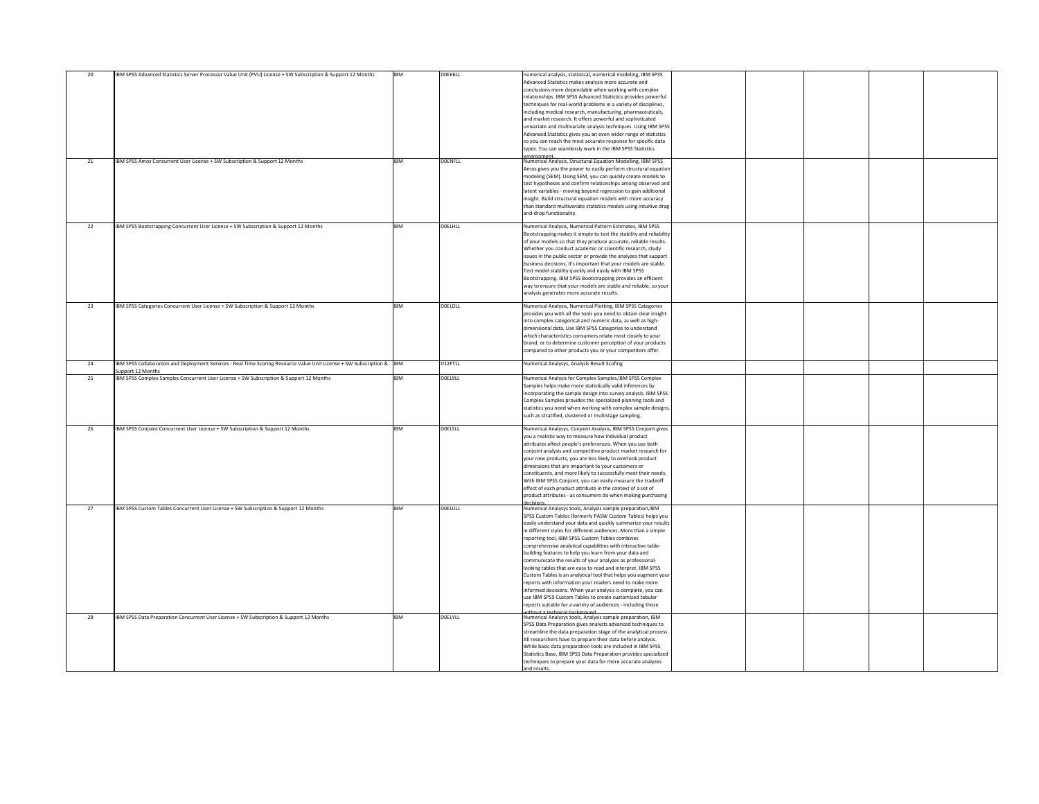| 20 | IBM SPSS Advanced Statistics Server Processor Value Unit (PVU) License + SW Subscription & Support 12 Months                      | <b>IBM</b> | DOEK6LL        | numerical analysis, statistical, numerical modeling, IBM SPSS<br>Advanced Statistics makes analysis more accurate and |  |  |
|----|-----------------------------------------------------------------------------------------------------------------------------------|------------|----------------|-----------------------------------------------------------------------------------------------------------------------|--|--|
|    |                                                                                                                                   |            |                | conclusions more dependable when working with complex                                                                 |  |  |
|    |                                                                                                                                   |            |                | relationships. IBM SPSS Advanced Statistics provides powerful                                                         |  |  |
|    |                                                                                                                                   |            |                | techniques for real-world problems in a variety of disciplines,                                                       |  |  |
|    |                                                                                                                                   |            |                | including medical research, manufacturing, pharmaceuticals,                                                           |  |  |
|    |                                                                                                                                   |            |                | and market research. It offers powerful and sophisticated                                                             |  |  |
|    |                                                                                                                                   |            |                | univariate and multivariate analysis techniques. Using IBM SPSS                                                       |  |  |
|    |                                                                                                                                   |            |                | Advanced Statistics gives you an even wider range of statistics                                                       |  |  |
|    |                                                                                                                                   |            |                | so you can reach the most accurate response for specific data                                                         |  |  |
|    |                                                                                                                                   |            |                | types. You can seamlessly work in the IBM SPSS Statistics                                                             |  |  |
|    |                                                                                                                                   |            |                | environment                                                                                                           |  |  |
| 21 | <b>IBM SPSS Amos Concurrent User License + SW Subscription &amp; Support 12 Months</b>                                            | <b>IBM</b> | <b>DOENFLL</b> | Numerical Analysis, Structural Equation Modelling, IBM SPSS                                                           |  |  |
|    |                                                                                                                                   |            |                | Amos gives you the power to easily perform structural equation                                                        |  |  |
|    |                                                                                                                                   |            |                | modeling (SEM). Using SEM, you can quickly create models to                                                           |  |  |
|    |                                                                                                                                   |            |                | test hypotheses and confirm relationships among observed and                                                          |  |  |
|    |                                                                                                                                   |            |                | latent variables - moving beyond regression to gain additional                                                        |  |  |
|    |                                                                                                                                   |            |                | insight. Build structural equation models with more accuracy                                                          |  |  |
|    |                                                                                                                                   |            |                | than standard multivariate statistics models using intuitive drag-                                                    |  |  |
|    |                                                                                                                                   |            |                | and-drop functionality.                                                                                               |  |  |
|    |                                                                                                                                   |            |                |                                                                                                                       |  |  |
| 22 | <b>IBM SPSS Bootstrapping Concurrent User License + SW Subscription &amp; Support 12 Months</b>                                   | <b>IBM</b> | <b>DOELHLL</b> | Numerical Analysis, Numerical Pattern Estimates, IBM SPSS                                                             |  |  |
|    |                                                                                                                                   |            |                | Bootstrapping makes it simple to test the stability and reliability                                                   |  |  |
|    |                                                                                                                                   |            |                | of your models so that they produce accurate, reliable results.                                                       |  |  |
|    |                                                                                                                                   |            |                | Whether you conduct academic or scientific research, study                                                            |  |  |
|    |                                                                                                                                   |            |                | issues in the public sector or provide the analyzes that support                                                      |  |  |
|    |                                                                                                                                   |            |                | business decisions, it's important that your models are stable.                                                       |  |  |
|    |                                                                                                                                   |            |                | Test model stability quickly and easily with IBM SPSS                                                                 |  |  |
|    |                                                                                                                                   |            |                | Bootstrapping. IBM SPSS Bootstrapping provides an efficient                                                           |  |  |
|    |                                                                                                                                   |            |                | way to ensure that your models are stable and reliable, so your                                                       |  |  |
|    |                                                                                                                                   |            |                | analysis generates more accurate results.                                                                             |  |  |
|    |                                                                                                                                   |            |                |                                                                                                                       |  |  |
| 23 | <b>IBM SPSS Categories Concurrent User License + SW Subscription &amp; Support 12 Months</b>                                      | <b>IBM</b> | <b>DOELDLL</b> | Numerical Analysis, Numerical Plotting, IBM SPSS Categories                                                           |  |  |
|    |                                                                                                                                   |            |                | provides you with all the tools you need to obtain clear insight                                                      |  |  |
|    |                                                                                                                                   |            |                | into complex categorical and numeric data, as well as high-                                                           |  |  |
|    |                                                                                                                                   |            |                | dimensional data. Use IBM SPSS Categories to understand                                                               |  |  |
|    |                                                                                                                                   |            |                | which characteristics consumers relate most closely to your                                                           |  |  |
|    |                                                                                                                                   |            |                | brand, or to determine customer perception of your products                                                           |  |  |
|    |                                                                                                                                   |            |                | compared to other products you or your competitors offer.                                                             |  |  |
|    |                                                                                                                                   |            |                |                                                                                                                       |  |  |
| 24 | <b>IBM SPSS Collaboration and Deployment Services - Real Time Scoring Resource Value Unit License + SW Subscription &amp; IBM</b> |            | D12FTLL        | Numerical Analysys, Analysis Result Scofing                                                                           |  |  |
|    | Support 12 Months                                                                                                                 |            |                |                                                                                                                       |  |  |
| 25 | <b>IBM SPSS Complex Samples Concurrent User License + SW Subscription &amp; Support 12 Months</b>                                 | <b>IBM</b> | DOEL9LL        | Numerical Analysis for Complex Samples, IBM SPSS Complex                                                              |  |  |
|    |                                                                                                                                   |            |                | Samples helps make more statistically valid inferences by                                                             |  |  |
|    |                                                                                                                                   |            |                | incorporating the sample design into survey analysis. IBM SPSS                                                        |  |  |
|    |                                                                                                                                   |            |                | Complex Samples provides the specialized planning tools and                                                           |  |  |
|    |                                                                                                                                   |            |                | statistics you need when working with complex sample designs,                                                         |  |  |
|    |                                                                                                                                   |            |                | such as stratified, clustered or multistage sampling.                                                                 |  |  |
|    | <b>IBM SPSS Conjoint Concurrent User License + SW Subscription &amp; Support 12 Months</b>                                        | <b>IBM</b> | DOEL5LL        |                                                                                                                       |  |  |
| 26 |                                                                                                                                   |            |                | Numerical Analysys, Conjoint Analysis, IBM SPSS Conjoint gives                                                        |  |  |
|    |                                                                                                                                   |            |                | you a realistic way to measure how individual product                                                                 |  |  |
|    |                                                                                                                                   |            |                | attributes affect people's preferences. When you use both                                                             |  |  |
|    |                                                                                                                                   |            |                | conjoint analysis and competitive product market research for                                                         |  |  |
|    |                                                                                                                                   |            |                | your new products, you are less likely to overlook product                                                            |  |  |
|    |                                                                                                                                   |            |                | dimensions that are important to your customers or                                                                    |  |  |
|    |                                                                                                                                   |            |                | constituents, and more likely to successfully meet their needs.                                                       |  |  |
|    |                                                                                                                                   |            |                | With IBM SPSS Conjoint, you can easily measure the tradeoff                                                           |  |  |
|    |                                                                                                                                   |            |                | effect of each product attribute in the context of a set of                                                           |  |  |
|    |                                                                                                                                   |            |                | product attributes - as consumers do when making purchasing                                                           |  |  |
| 27 | <b>IBM SPSS Custom Tables Concurrent User License + SW Subscription &amp; Support 12 Months</b>                                   | <b>IBM</b> | <b>DOELULL</b> | Numerical Analysys tools, Analysis sample preparation, IBM                                                            |  |  |
|    |                                                                                                                                   |            |                | SPSS Custom Tables (formerly PASW Custom Tables) helps you                                                            |  |  |
|    |                                                                                                                                   |            |                | easily understand your data and quickly summarize your results                                                        |  |  |
|    |                                                                                                                                   |            |                | in different styles for different audiences. More than a simple                                                       |  |  |
|    |                                                                                                                                   |            |                | reporting tool, IBM SPSS Custom Tables combines                                                                       |  |  |
|    |                                                                                                                                   |            |                | comprehensive analytical capabilities with interactive table-                                                         |  |  |
|    |                                                                                                                                   |            |                | building features to help you learn from your data and                                                                |  |  |
|    |                                                                                                                                   |            |                | communicate the results of your analyzes as professional-                                                             |  |  |
|    |                                                                                                                                   |            |                | looking tables that are easy to read and interpret. IBM SPSS                                                          |  |  |
|    |                                                                                                                                   |            |                | Custom Tables is an analytical tool that helps you augment your                                                       |  |  |
|    |                                                                                                                                   |            |                | reports with information your readers need to make more                                                               |  |  |
|    |                                                                                                                                   |            |                | informed decisions. When your analysis is complete, you can                                                           |  |  |
|    |                                                                                                                                   |            |                | use IBM SPSS Custom Tables to create customized tabular                                                               |  |  |
|    |                                                                                                                                   |            |                | reports suitable for a variety of audiences - including those                                                         |  |  |
|    |                                                                                                                                   |            |                | without a technical hackground                                                                                        |  |  |
| 28 | <b>IBM SPSS Data Preparation Concurrent User License + SW Subscription &amp; Support 12 Months</b>                                | <b>IBM</b> | <b>DOELYLL</b> | Numerical Analysys tools, Analysis sample preparation, IBM                                                            |  |  |
|    |                                                                                                                                   |            |                | SPSS Data Preparation gives analysts advanced techniques to                                                           |  |  |
|    |                                                                                                                                   |            |                | streamline the data preparation stage of the analytical process.                                                      |  |  |
|    |                                                                                                                                   |            |                | All researchers have to prepare their data before analysis.                                                           |  |  |
|    |                                                                                                                                   |            |                | While basic data preparation tools are included in IBM SPSS                                                           |  |  |
|    |                                                                                                                                   |            |                | Statistics Base, IBM SPSS Data Preparation provides specialized                                                       |  |  |
|    |                                                                                                                                   |            |                | techniques to prepare your data for more accurate analyzes                                                            |  |  |
|    |                                                                                                                                   |            |                | and results.                                                                                                          |  |  |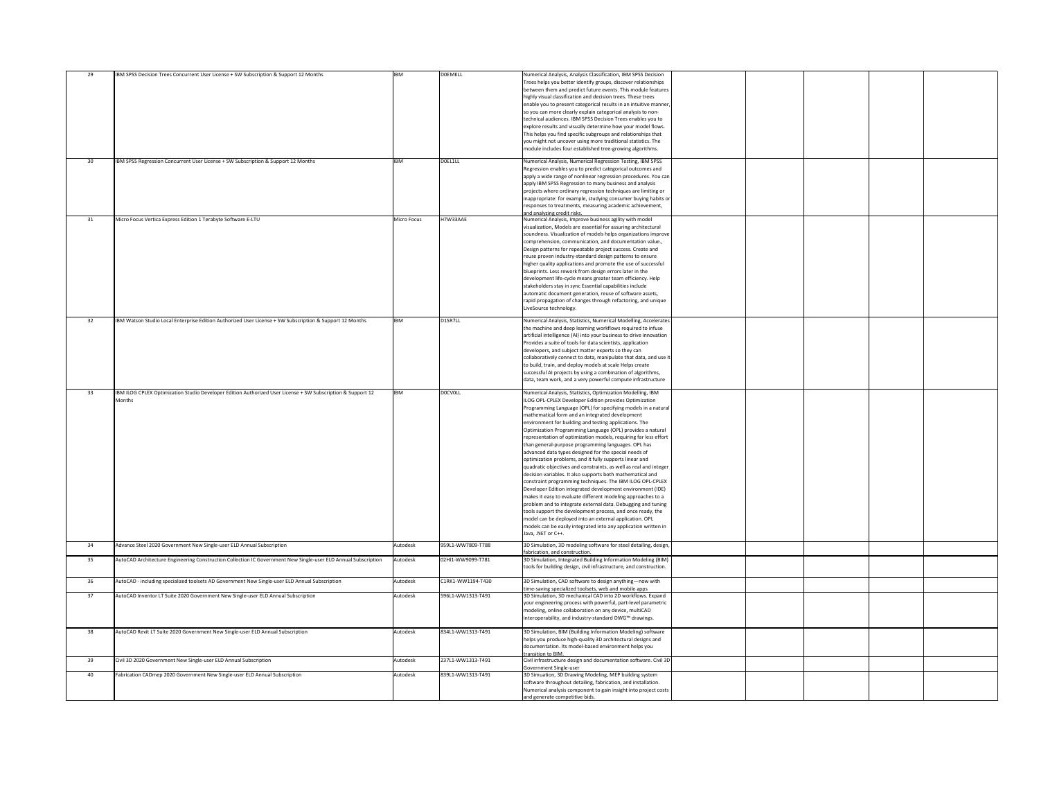| 29<br>30 <sup>°</sup> | <b>IBM SPSS Decision Trees Concurrent User License + SW Subscription &amp; Support 12 Months</b><br><b>IBM SPSS Regression Concurrent User License + SW Subscription &amp; Support 12 Months</b> | <b>IBM</b><br><b>IBM</b> | <b>DOEMKLL</b><br>DOEL1LL | Numerical Analysis, Analysis Classification, IBM SPSS Decision<br>Trees helps you better identify groups, discover relationships<br>between them and predict future events. This module features<br>highly visual classification and decision trees. These trees<br>enable you to present categorical results in an intuitive manner,<br>so you can more clearly explain categorical analysis to non-<br>technical audiences. IBM SPSS Decision Trees enables you to<br>explore results and visually determine how your model flows.<br>This helps you find specific subgroups and relationships that<br>you might not uncover using more traditional statistics. The<br>module includes four established tree-growing algorithms.                                                                                                                                                                                                                                                                                                                                                                                                                                                                                                   |
|-----------------------|--------------------------------------------------------------------------------------------------------------------------------------------------------------------------------------------------|--------------------------|---------------------------|--------------------------------------------------------------------------------------------------------------------------------------------------------------------------------------------------------------------------------------------------------------------------------------------------------------------------------------------------------------------------------------------------------------------------------------------------------------------------------------------------------------------------------------------------------------------------------------------------------------------------------------------------------------------------------------------------------------------------------------------------------------------------------------------------------------------------------------------------------------------------------------------------------------------------------------------------------------------------------------------------------------------------------------------------------------------------------------------------------------------------------------------------------------------------------------------------------------------------------------|
|                       |                                                                                                                                                                                                  |                          |                           | Numerical Analysis, Numerical Regression Testing, IBM SPSS<br>Regression enables you to predict categorical outcomes and<br>apply a wide range of nonlinear regression procedures. You can<br>apply IBM SPSS Regression to many business and analysis<br>projects where ordinary regression techniques are limiting or<br>inappropriate: for example, studying consumer buying habits or<br>responses to treatments, measuring academic achievement,<br>and analyzing credit risks.                                                                                                                                                                                                                                                                                                                                                                                                                                                                                                                                                                                                                                                                                                                                                  |
| 31                    | Micro Focus Vertica Express Edition 1 Terabyte Software E-LTU                                                                                                                                    | <b>Micro Focus</b>       | H7W33AAE                  | Numerical Analysis, Improve business agility with model<br>visualization, Models are essential for assuring architectural<br>soundness. Visualization of models helps organizations improve<br>comprehension, communication, and documentation value.,<br>Design patterns for repeatable project success. Create and<br>reuse proven industry-standard design patterns to ensure<br>higher quality applications and promote the use of successful<br>blueprints. Less rework from design errors later in the<br>development life-cycle means greater team efficiency. Help<br>stakeholders stay in sync Essential capabilities include<br>automatic document generation, reuse of software assets,<br>rapid propagation of changes through refactoring, and unique<br>LiveSource technology.                                                                                                                                                                                                                                                                                                                                                                                                                                         |
| 32                    | IBM Watson Studio Local Enterprise Edition Authorized User License + SW Subscription & Support 12 Months                                                                                         | <b>IBM</b>               | D <sub>1</sub> SR7LL      | Numerical Analysis, Statistics, Numerical Modelling, Accelerates<br>the machine and deep learning workflows required to infuse<br>artificial intelligence (AI) into your business to drive innovation<br>Provides a suite of tools for data scientists, application<br>developers, and subject matter experts so they can<br>collaboratively connect to data, manipulate that data, and use it<br>to build, train, and deploy models at scale Helps create<br>successful AI projects by using a combination of algorithms,<br>data, team work, and a very powerful compute infrastructure                                                                                                                                                                                                                                                                                                                                                                                                                                                                                                                                                                                                                                            |
| 33                    | IBM ILOG CPLEX Optimization Studio Developer Edition Authorized User License + SW Subscription & Support 12<br>Months                                                                            | <b>IBM</b>               | <b>DOCVOLL</b>            | Numerical Analysis, Statistics, Optimization Modelling, IBM<br>ILOG OPL-CPLEX Developer Edition provides Optimization<br>Programming Language (OPL) for specifying models in a natural<br>mathematical form and an integrated development<br>environment for building and testing applications. The<br>Optimization Programming Language (OPL) provides a natural<br>representation of optimization models, requiring far less effort<br>than general-purpose programming languages. OPL has<br>advanced data types designed for the special needs of<br>optimization problems, and it fully supports linear and<br>quadratic objectives and constraints, as well as real and integer<br>decision variables. It also supports both mathematical and<br>constraint programming techniques. The IBM ILOG OPL-CPLEX<br>Developer Edition integrated development environment (IDE)<br>makes it easy to evaluate different modeling approaches to a<br>$ $ problem and to integrate external data. Debugging and tuning<br>tools support the development process, and once ready, the<br>model can be deployed into an external application. OPL<br>models can be easily integrated into any application written in<br>Java, .NET or C++. |
| 34                    | Advance Steel 2020 Government New Single-user ELD Annual Subscription                                                                                                                            | Autodesk                 | 959L1-WW7809-T788         | 3D Simulation, 3D modeling software for steel detailing, design,<br>fabrication, and construction.                                                                                                                                                                                                                                                                                                                                                                                                                                                                                                                                                                                                                                                                                                                                                                                                                                                                                                                                                                                                                                                                                                                                   |
| 35 <sup>5</sup>       | AutoCAD Architecture Engineering Construction Collection IC Government New Single-user ELD Annual Subscription                                                                                   | Autodesk                 | 02HI1-WW9099-T781         | 3D Simulation, Integrated Building Information Modeling (BIM)<br>tools for building design, civil infrastructure, and construction.                                                                                                                                                                                                                                                                                                                                                                                                                                                                                                                                                                                                                                                                                                                                                                                                                                                                                                                                                                                                                                                                                                  |
| 36                    | AutoCAD - including specialized toolsets AD Government New Single-user ELD Annual Subscription                                                                                                   | Autodesk                 | C1RK1-WW1194-T430         | 3D Simulation, CAD software to design anything—now with<br>time-saving specialized toolsets, web and mobile apps                                                                                                                                                                                                                                                                                                                                                                                                                                                                                                                                                                                                                                                                                                                                                                                                                                                                                                                                                                                                                                                                                                                     |
| 37                    | AutoCAD Inventor LT Suite 2020 Government New Single-user ELD Annual Subscription                                                                                                                | Autodesk                 | 596L1-WW1313-T491         | 3D Simulation, 3D mechanical CAD into 2D workflows. Expand<br>your engineering process with powerful, part-level parametric<br>modeling, online collaboration on any device, multiCAD<br>interoperability, and industry-standard DWG™ drawings.                                                                                                                                                                                                                                                                                                                                                                                                                                                                                                                                                                                                                                                                                                                                                                                                                                                                                                                                                                                      |
| 38                    | AutoCAD Revit LT Suite 2020 Government New Single-user ELD Annual Subscription                                                                                                                   | Autodesk                 | 834L1-WW1313-T491         | 3D Simulation, BIM (Building Information Modeling) software<br>helps you produce high-quality 3D architectural designs and<br>documentation. Its model-based environment helps you<br>transition to BIM.                                                                                                                                                                                                                                                                                                                                                                                                                                                                                                                                                                                                                                                                                                                                                                                                                                                                                                                                                                                                                             |
| 39                    | Civil 3D 2020 Government New Single-user ELD Annual Subscription                                                                                                                                 | Autodesk                 | 237L1-WW1313-T491         | Civil infrastructure design and documentation software. Civil 3D<br>Government Single-user                                                                                                                                                                                                                                                                                                                                                                                                                                                                                                                                                                                                                                                                                                                                                                                                                                                                                                                                                                                                                                                                                                                                           |
| 40                    | Fabrication CADmep 2020 Government New Single-user ELD Annual Subscription                                                                                                                       | Autodesk                 | 839L1-WW1313-T491         | 3D Simuation, 3D Drawing Modeling, MEP building system<br>software throughout detailing, fabrication, and installation.<br>Numerical analysis component to gain insight into project costs<br>and generate competitive bids                                                                                                                                                                                                                                                                                                                                                                                                                                                                                                                                                                                                                                                                                                                                                                                                                                                                                                                                                                                                          |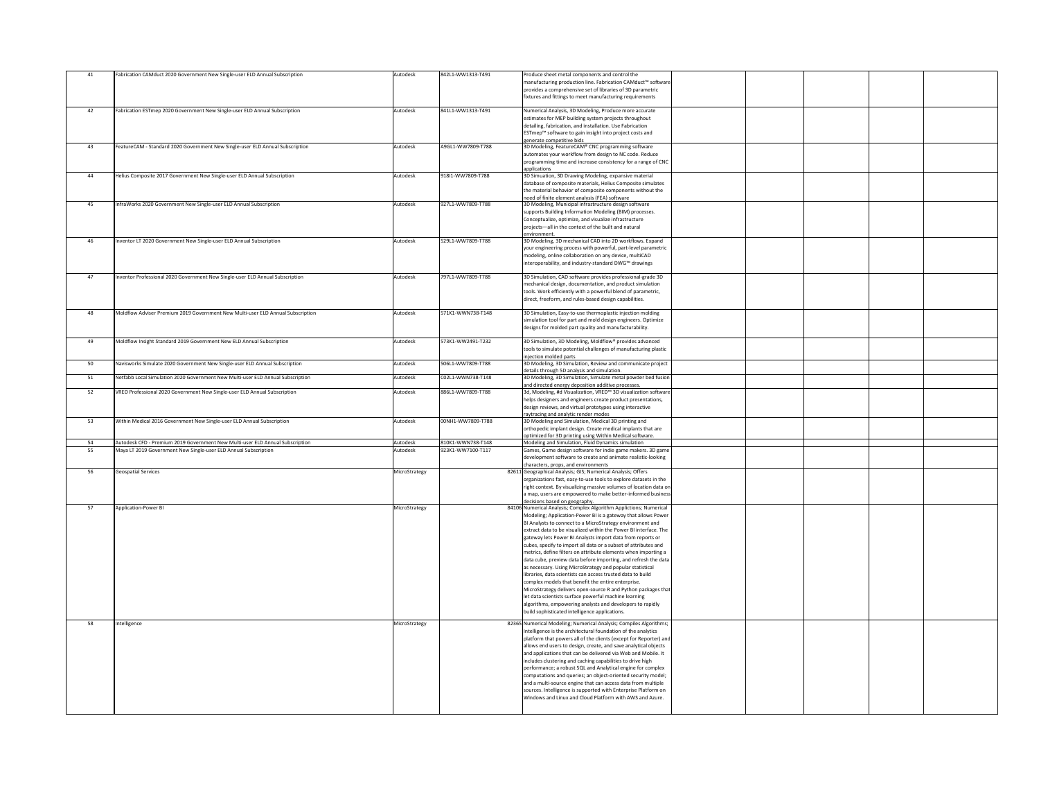|    | Fabrication CAMduct 2020 Government New Single-user ELD Annual Subscription     | Autodesk      | 842L1-WW1313-T491 | Produce sheet metal components and control the                              |  |  |
|----|---------------------------------------------------------------------------------|---------------|-------------------|-----------------------------------------------------------------------------|--|--|
|    |                                                                                 |               |                   | manufacturing production line. Fabrication CAMduct™ software                |  |  |
|    |                                                                                 |               |                   | provides a comprehensive set of libraries of 3D parametric                  |  |  |
|    |                                                                                 |               |                   | fixtures and fittings to meet manufacturing requirements                    |  |  |
|    |                                                                                 |               |                   |                                                                             |  |  |
|    | Fabrication ESTmep 2020 Government New Single-user ELD Annual Subscription      | Autodesk      | 841L1-WW1313-T491 | Numerical Analysis, 3D Modeling, Produce more accurate                      |  |  |
|    |                                                                                 |               |                   |                                                                             |  |  |
|    |                                                                                 |               |                   | estimates for MEP building system projects throughout                       |  |  |
|    |                                                                                 |               |                   | detailing, fabrication, and installation. Use Fabrication                   |  |  |
|    |                                                                                 |               |                   | ESTmep™ software to gain insight into project costs and                     |  |  |
|    |                                                                                 |               |                   | generate competitive bids                                                   |  |  |
| 43 | FeatureCAM - Standard 2020 Government New Single-user ELD Annual Subscription   | Autodesk      | A9GL1-WW7809-T788 | 3D Modeling, FeatureCAM® CNC programming software                           |  |  |
|    |                                                                                 |               |                   | automates your workflow from design to NC code. Reduce                      |  |  |
|    |                                                                                 |               |                   | programming time and increase consistency for a range of CNC                |  |  |
|    |                                                                                 |               |                   | applications                                                                |  |  |
| 44 | Helius Composite 2017 Government New Single-user ELD Annual Subscription        | Autodesk      | 91811-WW7809-T788 | 3D Simuation, 3D Drawing Modeling, expansive material                       |  |  |
|    |                                                                                 |               |                   |                                                                             |  |  |
|    |                                                                                 |               |                   | database of composite materials, Helius Composite simulates                 |  |  |
|    |                                                                                 |               |                   | the material behavior of composite components without the                   |  |  |
|    |                                                                                 |               |                   | need of finite element analysis (FEA) software                              |  |  |
| 45 | InfraWorks 2020 Government New Single-user ELD Annual Subscription              | Autodesk      | 927L1-WW7809-T788 | 3D Modeling, Municipal infrastructure design software                       |  |  |
|    |                                                                                 |               |                   | supports Building Information Modeling (BIM) processes.                     |  |  |
|    |                                                                                 |               |                   | Conceptualize, optimize, and visualize infrastructure                       |  |  |
|    |                                                                                 |               |                   | projects-all in the context of the built and natural                        |  |  |
|    |                                                                                 |               |                   | environment.                                                                |  |  |
| 46 | Inventor LT 2020 Government New Single-user ELD Annual Subscription             | Autodesk      | 529L1-WW7809-T788 | 3D Modeling, 3D mechanical CAD into 2D workflows. Expand                    |  |  |
|    |                                                                                 |               |                   |                                                                             |  |  |
|    |                                                                                 |               |                   | your engineering process with powerful, part-level parametric               |  |  |
|    |                                                                                 |               |                   | modeling, online collaboration on any device, multiCAD                      |  |  |
|    |                                                                                 |               |                   | interoperability, and industry-standard DWG™ drawings                       |  |  |
|    |                                                                                 |               |                   |                                                                             |  |  |
| 47 | Inventor Professional 2020 Government New Single-user ELD Annual Subscription   | Autodesk      | 797L1-WW7809-T788 | 3D Simulation, CAD software provides professional-grade 3D                  |  |  |
|    |                                                                                 |               |                   | mechanical design, documentation, and product simulation                    |  |  |
|    |                                                                                 |               |                   | tools. Work efficiently with a powerful blend of parametric,                |  |  |
|    |                                                                                 |               |                   |                                                                             |  |  |
|    |                                                                                 |               |                   | direct, freeform, and rules-based design capabilities.                      |  |  |
|    |                                                                                 |               |                   |                                                                             |  |  |
| 48 | Moldflow Adviser Premium 2019 Government New Multi-user ELD Annual Subscription | Autodesk      | 571K1-WWN738-T148 | 3D Simulation, Easy-to-use thermoplastic injection molding                  |  |  |
|    |                                                                                 |               |                   | simulation tool for part and mold design engineers. Optimize                |  |  |
|    |                                                                                 |               |                   | designs for molded part quality and manufacturability.                      |  |  |
|    |                                                                                 |               |                   |                                                                             |  |  |
| 49 | Moldflow Insight Standard 2019 Government New ELD Annual Subscription           | Autodesk      | 573K1-WW2491-T232 | 3D Simulation, 3D Modeling, Moldflow® provides advanced                     |  |  |
|    |                                                                                 |               |                   |                                                                             |  |  |
|    |                                                                                 |               |                   | tools to simulate potential challenges of manufacturing plastic             |  |  |
|    |                                                                                 |               |                   | injection molded parts                                                      |  |  |
| 50 | Navisworks Simulate 2020 Government New Single-user ELD Annual Subscription     | Autodesk      | 506L1-WW7809-T788 | 3D Modeling, 3D Simulation, Review and communicate project                  |  |  |
|    |                                                                                 |               |                   | details through 5D analysis and simulation.                                 |  |  |
| 51 | Netfabb Local Simulation 2020 Government New Multi-user ELD Annual Subscription | Autodesk      | C02L1-WWN738-T148 | 3D Modeling, 3D Simulation, Simulate metal powder bed fusion                |  |  |
|    |                                                                                 |               |                   | and directed energy deposition additive processes.                          |  |  |
| 52 | VRED Professional 2020 Government New Single-user ELD Annual Subscription       | Autodesk      | 886L1-WW7809-T788 | 3d, Modeling, #d Visualization, VRED <sup>™</sup> 3D visualization software |  |  |
|    |                                                                                 |               |                   |                                                                             |  |  |
|    |                                                                                 |               |                   | helps designers and engineers create product presentations,                 |  |  |
|    |                                                                                 |               |                   | design reviews, and virtual prototypes using interactive                    |  |  |
|    |                                                                                 |               |                   | raytracing and analytic render modes                                        |  |  |
| 53 | Within Medical 2016 Government New Single-user ELD Annual Subscription          | Autodesk      | 00NH1-WW7809-T788 | 3D Modeling and Simulation, Medical 3D printing and                         |  |  |
|    |                                                                                 |               |                   | orthopedic implant design. Create medical implants that are                 |  |  |
|    |                                                                                 |               |                   | optimized for 3D printing using Within Medical software.                    |  |  |
| 54 | Autodesk CFD - Premium 2019 Government New Multi-user ELD Annual Subscription   | Autodesk      | 810K1-WWN738-T148 | Modeling and Simulation, Fluid Dynamics simulation                          |  |  |
| 55 | Maya LT 2019 Government New Single-user ELD Annual Subscription                 | Autodesk      | 923K1-WW7100-T117 | Games, Game design software for indie game makers. 3D game                  |  |  |
|    |                                                                                 |               |                   |                                                                             |  |  |
|    |                                                                                 |               |                   | development software to create and animate realistic-looking                |  |  |
|    |                                                                                 |               |                   | characters, props, and environments                                         |  |  |
| 56 | <b>Geospatial Services</b>                                                      | MicroStrategy |                   | 82611 Geographical Analysis; GIS; Numerical Analysis; Offers                |  |  |
|    |                                                                                 |               |                   | organizations fast, easy-to-use tools to explore datasets in the            |  |  |
|    |                                                                                 |               |                   | right context. By visualizing massive volumes of location data on           |  |  |
|    |                                                                                 |               |                   | a map, users are empowered to make better-informed business                 |  |  |
|    |                                                                                 |               |                   | decisions based on geography.                                               |  |  |
| 57 | Application-Power BI                                                            | MicroStrategy |                   | 84106 Numerical Analysis; Complex Algorithm Applictions; Numerical          |  |  |
|    |                                                                                 |               |                   |                                                                             |  |  |
|    |                                                                                 |               |                   | Modeling; Application-Power BI is a gateway that allows Power               |  |  |
|    |                                                                                 |               |                   | BI Analysts to connect to a MicroStrategy environment and                   |  |  |
|    |                                                                                 |               |                   | extract data to be visualized within the Power BI interface. The            |  |  |
|    |                                                                                 |               |                   | gateway lets Power BI Analysts import data from reports or                  |  |  |
|    |                                                                                 |               |                   | cubes, specify to import all data or a subset of attributes and             |  |  |
|    |                                                                                 |               |                   | metrics, define filters on attribute elements when importing a              |  |  |
|    |                                                                                 |               |                   | data cube, preview data before importing, and refresh the data              |  |  |
|    |                                                                                 |               |                   |                                                                             |  |  |
|    |                                                                                 |               |                   | as necessary. Using MicroStrategy and popular statistical                   |  |  |
|    |                                                                                 |               |                   | libraries, data scientists can access trusted data to build                 |  |  |
|    |                                                                                 |               |                   | complex models that benefit the entire enterprise.                          |  |  |
|    |                                                                                 |               |                   | MicroStrategy delivers open-source R and Python packages that               |  |  |
|    |                                                                                 |               |                   | let data scientists surface powerful machine learning                       |  |  |
|    |                                                                                 |               |                   | algorithms, empowering analysts and developers to rapidly                   |  |  |
|    |                                                                                 |               |                   |                                                                             |  |  |
|    |                                                                                 |               |                   | build sophisticated intelligence applications.                              |  |  |
| 58 | Intelligence                                                                    | MicroStrategy |                   | 82365 Numerical Modeling; Numerical Analysis; Compiles Algorithms;          |  |  |
|    |                                                                                 |               |                   |                                                                             |  |  |
|    |                                                                                 |               |                   | Intelligence is the architectural foundation of the analytics               |  |  |
|    |                                                                                 |               |                   | platform that powers all of the clients (except for Reporter) and           |  |  |
|    |                                                                                 |               |                   | allows end users to design, create, and save analytical objects             |  |  |
|    |                                                                                 |               |                   | and applications that can be delivered via Web and Mobile. It               |  |  |
|    |                                                                                 |               |                   | includes clustering and caching capabilities to drive high                  |  |  |
|    |                                                                                 |               |                   |                                                                             |  |  |
|    |                                                                                 |               |                   | performance; a robust SQL and Analytical engine for complex                 |  |  |
|    |                                                                                 |               |                   | computations and queries; an object-oriented security model;                |  |  |
|    |                                                                                 |               |                   | and a multi-source engine that can access data from multiple                |  |  |
|    |                                                                                 |               |                   | sources. Intelligence is supported with Enterprise Platform on              |  |  |
|    |                                                                                 |               |                   | Windows and Linux and Cloud Platform with AWS and Azure.                    |  |  |
|    |                                                                                 |               |                   |                                                                             |  |  |
|    |                                                                                 |               |                   |                                                                             |  |  |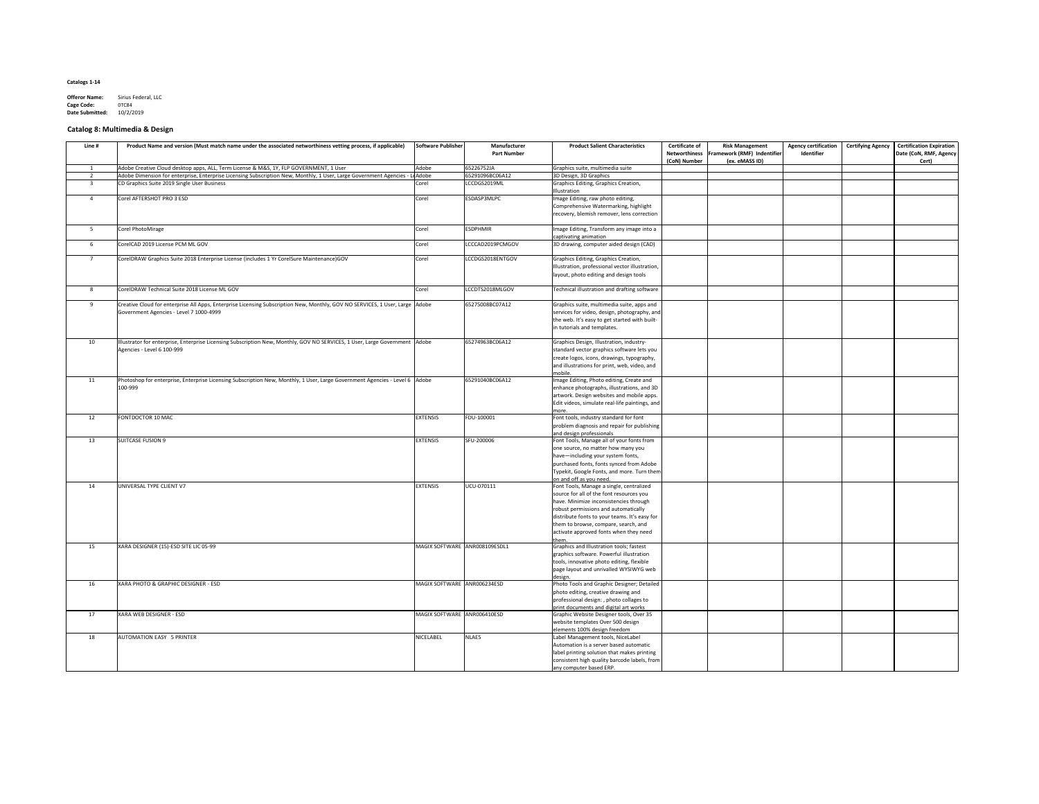| <b>Offeror Name:</b>   | Sirius Federal, LLC |
|------------------------|---------------------|
| <b>Cage Code:</b>      | 0TC84               |
| <b>Date Submitted:</b> | 10/2/2019           |

# **Catalog 8: Multimedia & Design**

| Line #          | Product Name and version (Must match name under the associated networthiness vetting process, if applicable)                  | Software Publisher            | Manufacturer<br><b>Part Number</b> | <b>Product Salient Characteristics</b>                              | <b>Certificate of</b><br><b>Networthiness</b><br>(CoN) Number | <b>Risk Management</b><br><b>Framework (RMF) Indentifier</b><br>(ex. eMASS ID) | <b>Agency certification</b><br>Identifier | <b>Certifying Agency</b> | Certification Expiration<br>Date (CoN, RMF, Agency<br>Cert) |
|-----------------|-------------------------------------------------------------------------------------------------------------------------------|-------------------------------|------------------------------------|---------------------------------------------------------------------|---------------------------------------------------------------|--------------------------------------------------------------------------------|-------------------------------------------|--------------------------|-------------------------------------------------------------|
|                 | Adobe Creative Cloud desktop apps, ALL, Term License & M&S, 1Y, FLP GOVERNMENT, 1 User                                        | Adobe                         | 65226752JA                         | Graphics suite, multimedia suite                                    |                                                               |                                                                                |                                           |                          |                                                             |
|                 | Adobe Dimension for enterprise, Enterprise Licensing Subscription New, Monthly, 1 User, Large Government Agencies -           | LeAdobe                       | 65291096BC06A12                    | 3D Design, 3D Graphics                                              |                                                               |                                                                                |                                           |                          |                                                             |
|                 | CD Graphics Suite 2019 Single User Business                                                                                   | Corel                         | LCCDGS2019ML                       | Graphics Editing, Graphics Creation,                                |                                                               |                                                                                |                                           |                          |                                                             |
|                 |                                                                                                                               |                               |                                    | <b>Illustration</b>                                                 |                                                               |                                                                                |                                           |                          |                                                             |
|                 | Corel AFTERSHOT PRO 3 ESD                                                                                                     | Corel                         | ESDASP3MLPC                        | Image Editing, raw photo editing,                                   |                                                               |                                                                                |                                           |                          |                                                             |
|                 |                                                                                                                               |                               |                                    | Comprehensive Watermarking, highlight                               |                                                               |                                                                                |                                           |                          |                                                             |
|                 |                                                                                                                               |                               |                                    | recovery, blemish remover, lens correction                          |                                                               |                                                                                |                                           |                          |                                                             |
|                 |                                                                                                                               |                               |                                    |                                                                     |                                                               |                                                                                |                                           |                          |                                                             |
| 5               | Corel PhotoMirage                                                                                                             | Corel                         | <b>ESDPHMIR</b>                    | Image Editing, Transform any image into a                           |                                                               |                                                                                |                                           |                          |                                                             |
|                 |                                                                                                                               |                               |                                    | captivating animation                                               |                                                               |                                                                                |                                           |                          |                                                             |
| 6               | CorelCAD 2019 License PCM ML GOV                                                                                              | Corel                         | LCCCAD2019PCMGOV                   | 3D drawing, computer aided design (CAD)                             |                                                               |                                                                                |                                           |                          |                                                             |
|                 |                                                                                                                               |                               |                                    |                                                                     |                                                               |                                                                                |                                           |                          |                                                             |
| 7               | CorelDRAW Graphics Suite 2018 Enterprise License (includes 1 Yr CorelSure Maintenance)GOV                                     | Corel                         | LCCDGS2018ENTGOV                   | Graphics Editing, Graphics Creation,                                |                                                               |                                                                                |                                           |                          |                                                             |
|                 |                                                                                                                               |                               |                                    | Illustration, professional vector illustration,                     |                                                               |                                                                                |                                           |                          |                                                             |
|                 |                                                                                                                               |                               |                                    | layout, photo editing and design tools                              |                                                               |                                                                                |                                           |                          |                                                             |
|                 |                                                                                                                               |                               |                                    |                                                                     |                                                               |                                                                                |                                           |                          |                                                             |
|                 | CorelDRAW Technical Suite 2018 License ML GOV                                                                                 | Corel                         | LCCDTS2018MLGOV                    | Technical illustration and drafting software                        |                                                               |                                                                                |                                           |                          |                                                             |
|                 |                                                                                                                               |                               |                                    |                                                                     |                                                               |                                                                                |                                           |                          |                                                             |
| 9               | Creative Cloud for enterprise All Apps, Enterprise Licensing Subscription New, Monthly, GOV NO SERVICES, 1 User, Large  Adobe |                               | 65275008BC07A12                    | Graphics suite, multimedia suite, apps and                          |                                                               |                                                                                |                                           |                          |                                                             |
|                 | Government Agencies - Level 7 1000-4999                                                                                       |                               |                                    | services for video, design, photography, and                        |                                                               |                                                                                |                                           |                          |                                                             |
|                 |                                                                                                                               |                               |                                    | the web. It's easy to get started with built-                       |                                                               |                                                                                |                                           |                          |                                                             |
|                 |                                                                                                                               |                               |                                    | in tutorials and templates.                                         |                                                               |                                                                                |                                           |                          |                                                             |
|                 |                                                                                                                               |                               |                                    |                                                                     |                                                               |                                                                                |                                           |                          |                                                             |
| 10 <sup>°</sup> | Illustrator for enterprise, Enterprise Licensing Subscription New, Monthly, GOV NO SERVICES, 1 User, Large Government  Adobe  |                               | 65274963BC06A12                    | Graphics Design, Illustration, industry-                            |                                                               |                                                                                |                                           |                          |                                                             |
|                 | Agencies - Level 6 100-999                                                                                                    |                               |                                    | standard vector graphics software lets you                          |                                                               |                                                                                |                                           |                          |                                                             |
|                 |                                                                                                                               |                               |                                    | create logos, icons, drawings, typography,                          |                                                               |                                                                                |                                           |                          |                                                             |
|                 |                                                                                                                               |                               |                                    | and illustrations for print, web, video, and                        |                                                               |                                                                                |                                           |                          |                                                             |
|                 |                                                                                                                               |                               |                                    | mobile                                                              |                                                               |                                                                                |                                           |                          |                                                             |
| 11              | Photoshop for enterprise, Enterprise Licensing Subscription New, Monthly, 1 User, Large Government Agencies - Level 6 Adobe   |                               | 65291040BC06A12                    | Image Editing, Photo editing, Create and                            |                                                               |                                                                                |                                           |                          |                                                             |
|                 | 100-999                                                                                                                       |                               |                                    | enhance photographs, illustrations, and 3D                          |                                                               |                                                                                |                                           |                          |                                                             |
|                 |                                                                                                                               |                               |                                    | artwork. Design websites and mobile apps.                           |                                                               |                                                                                |                                           |                          |                                                             |
|                 |                                                                                                                               |                               |                                    | Edit videos, simulate real-life paintings, and                      |                                                               |                                                                                |                                           |                          |                                                             |
|                 |                                                                                                                               |                               |                                    | more.                                                               |                                                               |                                                                                |                                           |                          |                                                             |
| 12              | FONTDOCTOR 10 MAC                                                                                                             | <b>EXTENSIS</b>               | FDU-100001                         | Font tools, industry standard for font                              |                                                               |                                                                                |                                           |                          |                                                             |
|                 |                                                                                                                               |                               |                                    | problem diagnosis and repair for publishing                         |                                                               |                                                                                |                                           |                          |                                                             |
|                 |                                                                                                                               |                               |                                    | and design professionals                                            |                                                               |                                                                                |                                           |                          |                                                             |
| 13              | SUITCASE FUSION 9                                                                                                             | <b>EXTENSIS</b>               | SFU-200006                         | Font Tools, Manage all of your fonts from                           |                                                               |                                                                                |                                           |                          |                                                             |
|                 |                                                                                                                               |                               |                                    | one source, no matter how many you                                  |                                                               |                                                                                |                                           |                          |                                                             |
|                 |                                                                                                                               |                               |                                    | have-including your system fonts,                                   |                                                               |                                                                                |                                           |                          |                                                             |
|                 |                                                                                                                               |                               |                                    | purchased fonts, fonts synced from Adobe                            |                                                               |                                                                                |                                           |                          |                                                             |
|                 |                                                                                                                               |                               |                                    | Typekit, Google Fonts, and more. Turn them                          |                                                               |                                                                                |                                           |                          |                                                             |
| 14              | UNIVERSAL TYPE CLIENT V7                                                                                                      | <b>EXTENSIS</b>               | UCU-070111                         | on and off as you need.<br>Font Tools, Manage a single, centralized |                                                               |                                                                                |                                           |                          |                                                             |
|                 |                                                                                                                               |                               |                                    | source for all of the font resources you                            |                                                               |                                                                                |                                           |                          |                                                             |
|                 |                                                                                                                               |                               |                                    | have. Minimize inconsistencies through                              |                                                               |                                                                                |                                           |                          |                                                             |
|                 |                                                                                                                               |                               |                                    | robust permissions and automatically                                |                                                               |                                                                                |                                           |                          |                                                             |
|                 |                                                                                                                               |                               |                                    | distribute fonts to your teams. It's easy for                       |                                                               |                                                                                |                                           |                          |                                                             |
|                 |                                                                                                                               |                               |                                    | them to browse, compare, search, and                                |                                                               |                                                                                |                                           |                          |                                                             |
|                 |                                                                                                                               |                               |                                    | activate approved fonts when they need                              |                                                               |                                                                                |                                           |                          |                                                             |
|                 |                                                                                                                               |                               |                                    |                                                                     |                                                               |                                                                                |                                           |                          |                                                             |
| 15              | XARA DESIGNER (15)-ESD SITE LIC 05-99                                                                                         | MAGIX SOFTWARE ANR008109ESDL1 |                                    | Graphics and Illustration tools; fastest                            |                                                               |                                                                                |                                           |                          |                                                             |
|                 |                                                                                                                               |                               |                                    | graphics software. Powerful illustration                            |                                                               |                                                                                |                                           |                          |                                                             |
|                 |                                                                                                                               |                               |                                    | tools, innovative photo editing, flexible                           |                                                               |                                                                                |                                           |                          |                                                             |
|                 |                                                                                                                               |                               |                                    | page layout and unrivalled WYSIWYG web                              |                                                               |                                                                                |                                           |                          |                                                             |
|                 |                                                                                                                               |                               |                                    | <u>design</u>                                                       |                                                               |                                                                                |                                           |                          |                                                             |
| 16              | XARA PHOTO & GRAPHIC DESIGNER - ESD                                                                                           | MAGIX SOFTWARE ANR006234ESD   |                                    | Photo Tools and Graphic Designer; Detailed                          |                                                               |                                                                                |                                           |                          |                                                             |
|                 |                                                                                                                               |                               |                                    | photo editing, creative drawing and                                 |                                                               |                                                                                |                                           |                          |                                                             |
|                 |                                                                                                                               |                               |                                    | professional design:, photo collages to                             |                                                               |                                                                                |                                           |                          |                                                             |
|                 |                                                                                                                               |                               |                                    | print documents and digital art works                               |                                                               |                                                                                |                                           |                          |                                                             |
| 17              | XARA WEB DESIGNER - ESD                                                                                                       | MAGIX SOFTWARE ANR006410ESD   |                                    | Graphic Website Designer tools, Over 35                             |                                                               |                                                                                |                                           |                          |                                                             |
|                 |                                                                                                                               |                               |                                    | website templates Over 500 design                                   |                                                               |                                                                                |                                           |                          |                                                             |
|                 |                                                                                                                               |                               |                                    | elements 100% design freedom                                        |                                                               |                                                                                |                                           |                          |                                                             |
| 18              | AUTOMATION EASY 5 PRINTER                                                                                                     | NICELABEL                     | NLAE5                              | Label Management tools, NiceLabel                                   |                                                               |                                                                                |                                           |                          |                                                             |
|                 |                                                                                                                               |                               |                                    | Automation is a server based automatic                              |                                                               |                                                                                |                                           |                          |                                                             |
|                 |                                                                                                                               |                               |                                    | label printing solution that makes printing                         |                                                               |                                                                                |                                           |                          |                                                             |
|                 |                                                                                                                               |                               |                                    | consistent high quality barcode labels, from                        |                                                               |                                                                                |                                           |                          |                                                             |
|                 |                                                                                                                               |                               |                                    | any computer based ERP.                                             |                                                               |                                                                                |                                           |                          |                                                             |
|                 |                                                                                                                               |                               |                                    |                                                                     |                                                               |                                                                                |                                           |                          |                                                             |

| <b>Certifying Agency</b> | <b>Certification Expiration</b><br>Date (CoN, RMF, Agency<br>Cert) |
|--------------------------|--------------------------------------------------------------------|
|                          |                                                                    |
|                          |                                                                    |
|                          |                                                                    |
|                          |                                                                    |
|                          |                                                                    |
|                          |                                                                    |
|                          |                                                                    |
|                          |                                                                    |
|                          |                                                                    |
|                          |                                                                    |
|                          |                                                                    |
|                          |                                                                    |
|                          |                                                                    |
|                          |                                                                    |
|                          |                                                                    |
|                          |                                                                    |
|                          |                                                                    |
|                          |                                                                    |
|                          |                                                                    |
|                          |                                                                    |
|                          |                                                                    |
|                          |                                                                    |
|                          |                                                                    |
|                          |                                                                    |
|                          |                                                                    |
|                          |                                                                    |
|                          |                                                                    |
|                          |                                                                    |
|                          |                                                                    |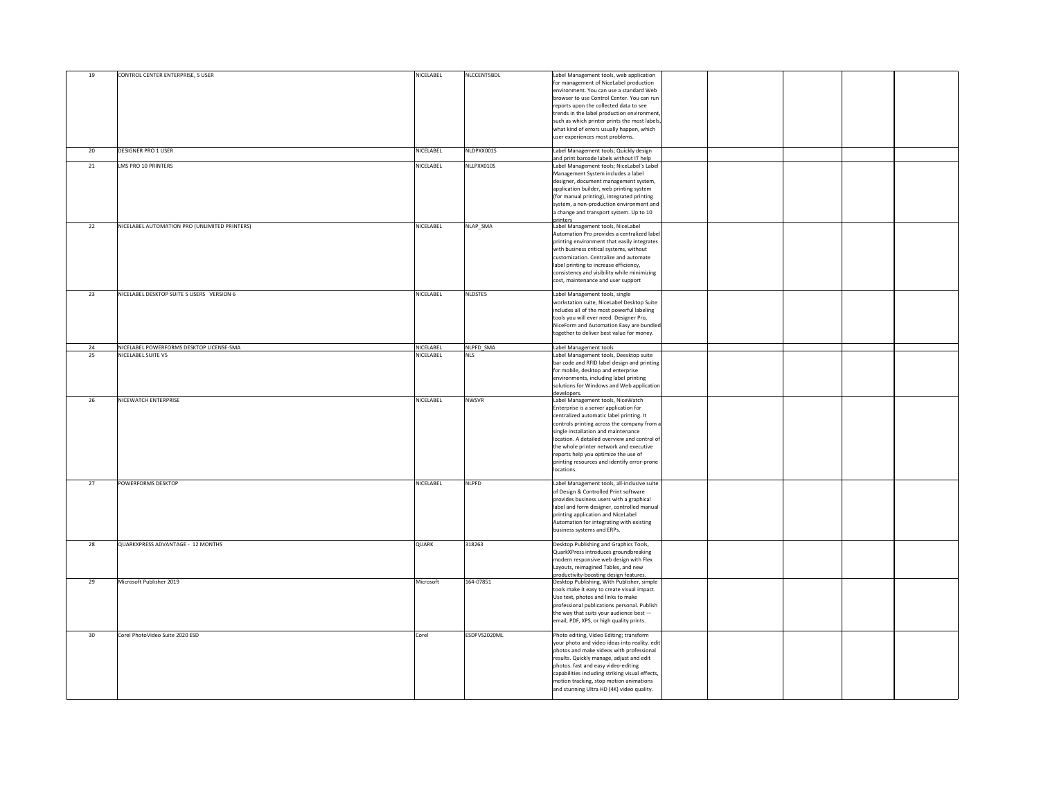| 19 | CONTROL CENTER ENTERPRISE, 5 USER             | NICELABEL    | NLCCENT5BDL  | Label Management tools, web application<br>for management of NiceLabel production<br>environment. You can use a standard Web<br>browser to use Control Center. You can run<br>reports upon the collected data to see<br>trends in the label production environment,<br>such as which printer prints the most labels,<br>what kind of errors usually happen, which<br>user experiences most problems.          |  |
|----|-----------------------------------------------|--------------|--------------|---------------------------------------------------------------------------------------------------------------------------------------------------------------------------------------------------------------------------------------------------------------------------------------------------------------------------------------------------------------------------------------------------------------|--|
| 20 | <b>DESIGNER PRO 1 USER</b>                    | NICELABEL    | NLDPXX001S   | Label Management tools; Quickly design                                                                                                                                                                                                                                                                                                                                                                        |  |
| 21 | LMS PRO 10 PRINTERS                           | NICELABEL    | NLLPXX010S   | and print barcode labels without IT help<br>Label Management tools; NiceLabel's Label<br>Management System includes a label<br>designer, document management system,<br>application builder, web printing system<br>(for manual printing), integrated printing<br>system, a non-production environment and<br>a change and transport system. Up to 10<br><b>I</b> printers                                    |  |
| 22 | NICELABEL AUTOMATION PRO (UNLIMITED PRINTERS) | NICELABEL    | NLAP_SMA     | Label Management tools, NiceLabel<br>Automation Pro provides a centralized label<br>printing environment that easily integrates<br>with business critical systems, without<br>customization. Centralize and automate<br>label printing to increase efficiency,<br>consistency and visibility while minimizing<br>cost, maintenance and user support                                                           |  |
| 23 | NICELABEL DESKTOP SUITE 5 USERS VERSION 6     | NICELABEL    | NLDSTE5      | Label Management tools, single<br>workstation suite, NiceLabel Desktop Suite<br>includes all of the most powerful labeling<br>tools you will ever need. Designer Pro,<br>NiceForm and Automation Easy are bundled<br>together to deliver best value for money.                                                                                                                                                |  |
| 24 | NICELABEL POWERFORMS DESKTOP LICENSE-SMA      | NICELABEL    | NLPFD SMA    | Label Management tools                                                                                                                                                                                                                                                                                                                                                                                        |  |
| 25 | NICELABEL SUITE V5                            | NICELABEL    | <b>NLS</b>   | Label Management tools, Deesktop suite<br>bar code and RFID label design and printing<br>for mobile, desktop and enterprise<br>environments, including label printing<br>solutions for Windows and Web application  <br>developers.                                                                                                                                                                           |  |
| 26 | NICEWATCH ENTERPRISE                          | NICELABEL    | <b>NWSVR</b> | Label Management tools, NiceWatch<br>Enterprise is a server application for<br>centralized automatic label printing. It<br>controls printing across the company from a<br>single installation and maintenance<br>location. A detailed overview and control of<br>the whole printer network and executive<br>reports help you optimize the use of<br>printing resources and identify error-prone<br>locations. |  |
| 27 | <b>POWERFORMS DESKTOP</b>                     | NICELABEL    | <b>NLPFD</b> | Label Management tools, all-inclusive suite<br>of Design & Controlled Print software<br>provides business users with a graphical<br>label and form designer, controlled manual<br>printing application and NiceLabel<br>Automation for integrating with existing<br>business systems and ERPs.                                                                                                                |  |
| 28 | QUARKXPRESS ADVANTAGE - 12 MONTHS             | <b>QUARK</b> | 318263       | Desktop Publishing and Graphics Tools,<br>QuarkXPress introduces groundbreaking<br>modern responsive web design with Flex<br>Layouts, reimagined Tables, and new<br>productivity-boosting design features.                                                                                                                                                                                                    |  |
| 29 | Microsoft Publisher 2019                      | Microsoft    | 164-07851    | Desktop Publishing, With Publisher, simple<br>tools make it easy to create visual impact.<br>Use text, photos and links to make<br>professional publications personal. Publish<br>the way that suits your audience best $-$<br>email, PDF, XPS, or high quality prints.                                                                                                                                       |  |
| 30 | Corel PhotoVideo Suite 2020 ESD               | Corel        | ESDPVS2020ML | Photo editing, Video Editing; transform<br>your photo and video ideas into reality. edit<br>photos and make videos with professional<br>results. Quickly manage, adjust and edit<br>photos. fast and easy video-editing<br>capabilities including striking visual effects,<br>motion tracking, stop motion animations<br>and stunning Ultra HD (4K) video quality.                                            |  |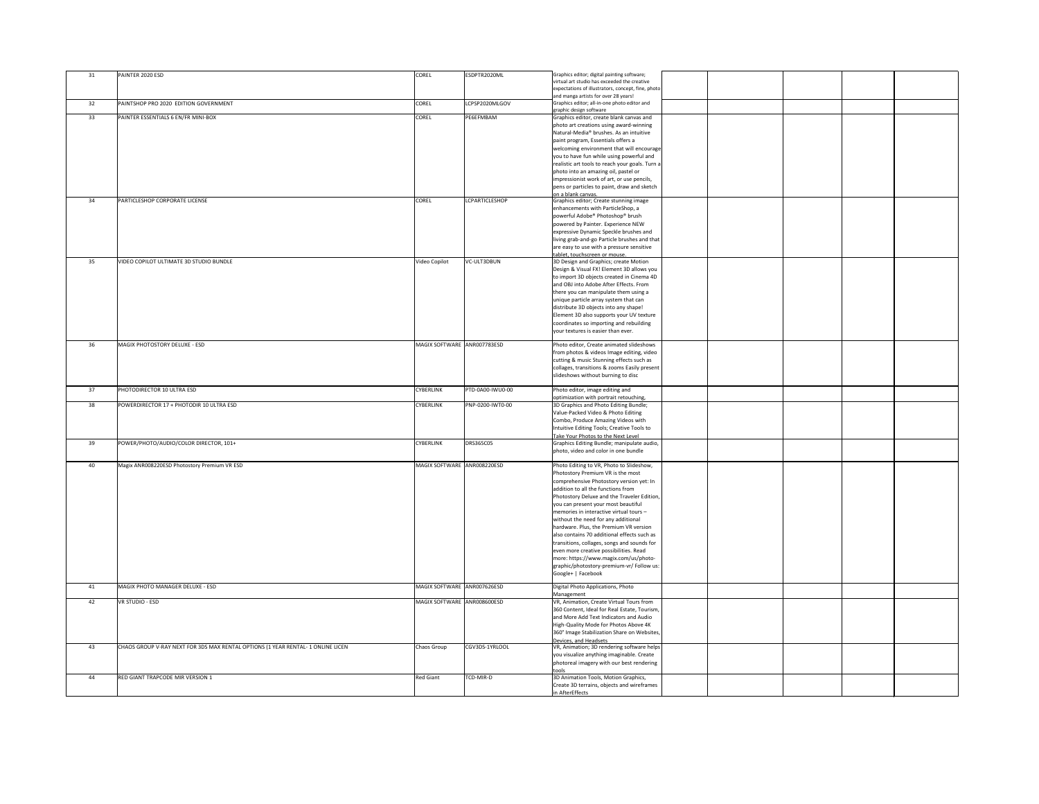| 31 | PAINTER 2020 ESD                                                                 | <b>COREL</b>                | ESDPTR2020ML          | Graphics editor; digital painting software;<br>virtual art studio has exceeded the creative |
|----|----------------------------------------------------------------------------------|-----------------------------|-----------------------|---------------------------------------------------------------------------------------------|
|    |                                                                                  |                             |                       | expectations of illustrators, concept, fine, photo                                          |
|    |                                                                                  |                             |                       | and manga artists for over 28 years!                                                        |
| 32 | PAINTSHOP PRO 2020 EDITION GOVERNMENT                                            | <b>COREL</b>                | LCPSP2020MLGOV        | Graphics editor; all-in-one photo editor and<br>graphic design software                     |
| 33 | PAINTER ESSENTIALS 6 EN/FR MINI-BOX                                              | <b>COREL</b>                | PE6EFMBAM             | Graphics editor, create blank canvas and                                                    |
|    |                                                                                  |                             |                       | photo art creations using award-winning                                                     |
|    |                                                                                  |                             |                       | Natural-Media® brushes. As an intuitive                                                     |
|    |                                                                                  |                             |                       | paint program, Essentials offers a<br>welcoming environment that will encourage             |
|    |                                                                                  |                             |                       | you to have fun while using powerful and                                                    |
|    |                                                                                  |                             |                       | realistic art tools to reach your goals. Turn a                                             |
|    |                                                                                  |                             |                       | photo into an amazing oil, pastel or                                                        |
|    |                                                                                  |                             |                       | impressionist work of art, or use pencils,<br>pens or particles to paint, draw and sketch   |
|    |                                                                                  |                             |                       | lon a blank canvas.                                                                         |
| 34 | <b>PARTICLESHOP CORPORATE LICENSE</b>                                            | <b>COREL</b>                | <b>LCPARTICLESHOP</b> | Graphics editor; Create stunning image                                                      |
|    |                                                                                  |                             |                       | enhancements with ParticleShop, a<br>powerful Adobe® Photoshop® brush                       |
|    |                                                                                  |                             |                       | powered by Painter. Experience NEW                                                          |
|    |                                                                                  |                             |                       | expressive Dynamic Speckle brushes and                                                      |
|    |                                                                                  |                             |                       | living grab-and-go Particle brushes and that                                                |
|    |                                                                                  |                             |                       | are easy to use with a pressure sensitive                                                   |
| 35 | VIDEO COPILOT ULTIMATE 3D STUDIO BUNDLE                                          | Video Copilot               | VC-ULT3DBUN           | tablet, touchscreen or mouse.<br>3D Design and Graphics; create Motion                      |
|    |                                                                                  |                             |                       | Design & Visual FX! Element 3D allows you                                                   |
|    |                                                                                  |                             |                       | to import 3D objects created in Cinema 4D                                                   |
|    |                                                                                  |                             |                       | and OBJ into Adobe After Effects. From<br>there you can manipulate them using a             |
|    |                                                                                  |                             |                       | unique particle array system that can                                                       |
|    |                                                                                  |                             |                       | distribute 3D objects into any shape!                                                       |
|    |                                                                                  |                             |                       | Element 3D also supports your UV texture                                                    |
|    |                                                                                  |                             |                       | coordinates so importing and rebuilding                                                     |
|    |                                                                                  |                             |                       | your textures is easier than ever.                                                          |
| 36 | MAGIX PHOTOSTORY DELUXE - ESD                                                    | MAGIX SOFTWARE ANR007783ESD |                       | Photo editor, Create animated slideshows                                                    |
|    |                                                                                  |                             |                       | from photos & videos Image editing, video                                                   |
|    |                                                                                  |                             |                       | cutting & music Stunning effects such as<br>collages, transitions & zooms Easily present    |
|    |                                                                                  |                             |                       | slideshows without burning to disc                                                          |
|    |                                                                                  |                             |                       |                                                                                             |
|    |                                                                                  |                             |                       |                                                                                             |
| 37 | PHOTODIRECTOR 10 ULTRA ESD                                                       | <b>CYBERLINK</b>            | PTD-0A00-IWU0-00      | Photo editor, image editing and                                                             |
| 38 | POWERDIRECTOR 17 + PHOTODIR 10 ULTRA ESD                                         | <b>CYBERLINK</b>            | PNP-0200-IWT0-00      | optimization with portrait retouching,                                                      |
|    |                                                                                  |                             |                       | 3D Graphics and Photo Editing Bundle;<br>Value-Packed Video & Photo Editing                 |
|    |                                                                                  |                             |                       | Combo, Produce Amazing Videos with                                                          |
|    |                                                                                  |                             |                       | Intuitive Editing Tools; Creative Tools to                                                  |
| 39 | POWER/PHOTO/AUDIO/COLOR DIRECTOR, 101+                                           | <b>CYBERLINK</b>            | <b>DRS365C05</b>      | Take Your Photos to the Next Level<br>Graphics Editing Bundle; manipulate audio,            |
|    |                                                                                  |                             |                       | photo, video and color in one bundle                                                        |
|    |                                                                                  |                             |                       |                                                                                             |
| 40 | Magix ANR008220ESD Photostory Premium VR ESD                                     | MAGIX SOFTWARE ANR008220ESD |                       | Photo Editing to VR, Photo to Slideshow,                                                    |
|    |                                                                                  |                             |                       | Photostory Premium VR is the most<br>comprehensive Photostory version yet: In               |
|    |                                                                                  |                             |                       | addition to all the functions from                                                          |
|    |                                                                                  |                             |                       | Photostory Deluxe and the Traveler Edition,                                                 |
|    |                                                                                  |                             |                       | you can present your most beautiful                                                         |
|    |                                                                                  |                             |                       | memories in interactive virtual tours -<br>without the need for any additional              |
|    |                                                                                  |                             |                       | hardware. Plus, the Premium VR version                                                      |
|    |                                                                                  |                             |                       | also contains 70 additional effects such as                                                 |
|    |                                                                                  |                             |                       | transitions, collages, songs and sounds for                                                 |
|    |                                                                                  |                             |                       | even more creative possibilities. Read                                                      |
|    |                                                                                  |                             |                       | more: https://www.magix.com/us/photo-<br>graphic/photostory-premium-vr/ Follow us:          |
|    |                                                                                  |                             |                       | Google+   Facebook                                                                          |
| 41 | MAGIX PHOTO MANAGER DELUXE - ESD                                                 | MAGIX SOFTWARE ANR007626ESD |                       | Digital Photo Applications, Photo                                                           |
|    |                                                                                  |                             |                       | Management                                                                                  |
| 42 | VR STUDIO - ESD                                                                  | MAGIX SOFTWARE ANR008600ESD |                       | VR, Animation, Create Virtual Tours from                                                    |
|    |                                                                                  |                             |                       | 360 Content, Ideal for Real Estate, Tourism,                                                |
|    |                                                                                  |                             |                       | and More Add Text Indicators and Audio<br>High-Quality Mode for Photos Above 4K             |
|    |                                                                                  |                             |                       | 360° Image Stabilization Share on Websites,                                                 |
|    |                                                                                  |                             |                       | Devices, and Headsets                                                                       |
| 43 | CHAOS GROUP V-RAY NEXT FOR 3DS MAX RENTAL OPTIONS (1 YEAR RENTAL- 1 ONLINE LICEN | Chaos Group                 | CGV3DS-1YRLOOL        | VR, Animation; 3D rendering software helps                                                  |
|    |                                                                                  |                             |                       | you visualize anything imaginable. Create<br>photoreal imagery with our best rendering      |
|    |                                                                                  |                             |                       | tools                                                                                       |
| 44 | <b>RED GIANT TRAPCODE MIR VERSION 1</b>                                          | <b>Red Giant</b>            | TCD-MIR-D             | 3D Animation Tools, Motion Graphics,                                                        |
|    |                                                                                  |                             |                       | Create 3D terrains, objects and wireframes<br>in AfterEffects                               |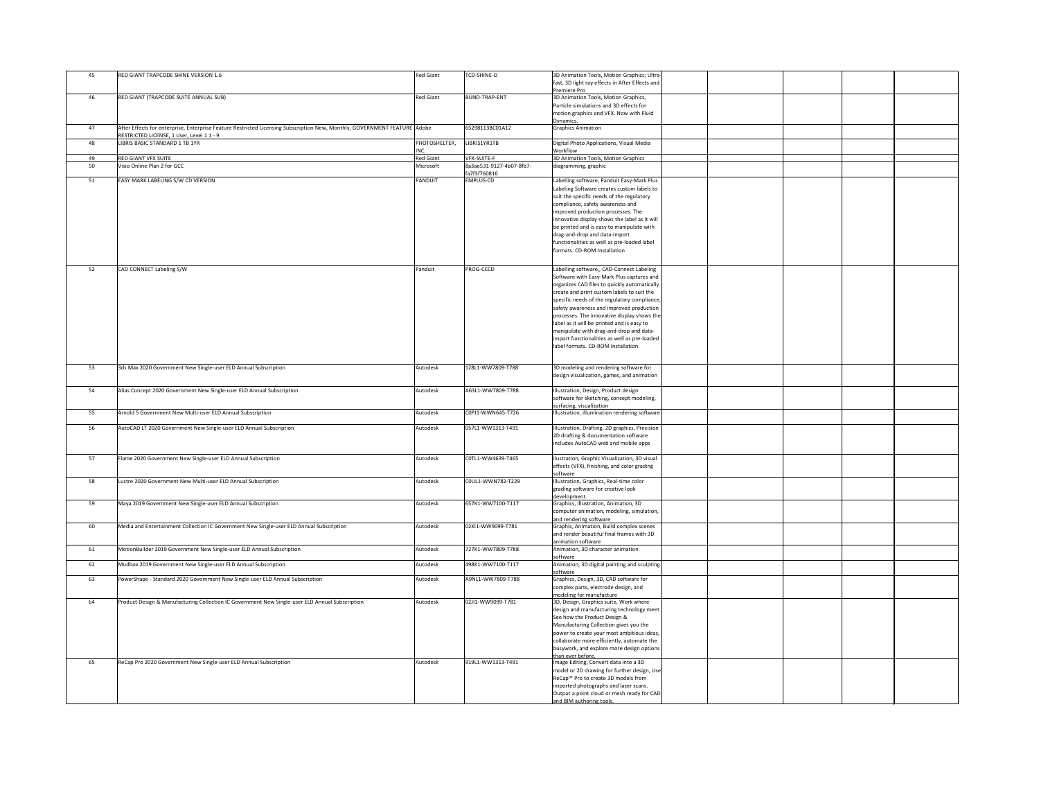| 45 | RED GIANT TRAPCODE SHINE VERSION 1.6                                                                                                                                   | <b>Red Giant</b>      | TCD-SHINE-D                              | 3D Animation Tools, Motion Graphics; Ultra-<br>fast, 3D light ray effects in After Effects and |  |  |
|----|------------------------------------------------------------------------------------------------------------------------------------------------------------------------|-----------------------|------------------------------------------|------------------------------------------------------------------------------------------------|--|--|
| 46 | RED GIANT (TRAPCODE SUITE ANNUAL SUB)                                                                                                                                  | <b>Red Giant</b>      | <b>BUND-TRAP-ENT</b>                     | Premiere Pro<br>3D Animation Tools, Motion Graphics,                                           |  |  |
|    |                                                                                                                                                                        |                       |                                          | Particle simulations and 3D effects for                                                        |  |  |
|    |                                                                                                                                                                        |                       |                                          | motion graphics and VFX. Now with Fluid                                                        |  |  |
|    |                                                                                                                                                                        |                       |                                          | Dynamics.                                                                                      |  |  |
| 47 | After Effects for enterprise, Enterprise Feature Restricted Licensing Subscription New, Monthly, GOVERNMENT FEATURE Adobe<br>RESTRICTED LICENSE, 1 User, Level 1 1 - 9 |                       | 65298113BC01A12                          | <b>Graphics Animation</b>                                                                      |  |  |
| 48 | LIBRIS BASIC STANDARD 1 TB 1YR                                                                                                                                         | PHOTOSHELTER,<br>INC. | LIBRIS1YR1TB                             | Digital Photo Applications, Visual Media<br>Workflow                                           |  |  |
| 49 | <b>RED GIANT VFX SUITE</b>                                                                                                                                             | <b>Red Giant</b>      | <b>VFX-SUITE-F</b>                       | 3D Animation Tools, Motion Graphics                                                            |  |  |
| 50 | Visio Online Plan 2 for GCC                                                                                                                                            | Microsoft             | 8a3ae531-9127-4b07-8fb7-<br>fa7f3f760816 | diagramming, graphic                                                                           |  |  |
| 51 | EASY MARK LABELING S/W CD VERSION                                                                                                                                      | PANDUIT               | <b>EMPLUS-CD</b>                         | Labelling software, Panduit Easy-Mark Plus                                                     |  |  |
|    |                                                                                                                                                                        |                       |                                          | Labeling Software creates custom labels to                                                     |  |  |
|    |                                                                                                                                                                        |                       |                                          | suit the specific needs of the regulatory                                                      |  |  |
|    |                                                                                                                                                                        |                       |                                          | compliance, safety awareness and                                                               |  |  |
|    |                                                                                                                                                                        |                       |                                          | improved production processes. The<br>innovative display shows the label as it will            |  |  |
|    |                                                                                                                                                                        |                       |                                          | be printed and is easy to manipulate with                                                      |  |  |
|    |                                                                                                                                                                        |                       |                                          | drag-and-drop and data-import                                                                  |  |  |
|    |                                                                                                                                                                        |                       |                                          | functionalities as well as pre-loaded label                                                    |  |  |
|    |                                                                                                                                                                        |                       |                                          | formats. CD-ROM Installation                                                                   |  |  |
|    |                                                                                                                                                                        |                       |                                          |                                                                                                |  |  |
| 52 | CAD CONNECT Labeling S/W                                                                                                                                               | Panduit               | PROG-CCCD                                | Labelling software,, CAD-Connect Labeling                                                      |  |  |
|    |                                                                                                                                                                        |                       |                                          | Software with Easy-Mark Plus captures and                                                      |  |  |
|    |                                                                                                                                                                        |                       |                                          | organizes CAD files to quickly automatically<br>create and print custom labels to suit the     |  |  |
|    |                                                                                                                                                                        |                       |                                          | specific needs of the regulatory compliance,                                                   |  |  |
|    |                                                                                                                                                                        |                       |                                          | safety awareness and improved production                                                       |  |  |
|    |                                                                                                                                                                        |                       |                                          | processes. The innovative display shows the                                                    |  |  |
|    |                                                                                                                                                                        |                       |                                          | label as it will be printed and is easy to                                                     |  |  |
|    |                                                                                                                                                                        |                       |                                          | manipulate with drag-and-drop and data-                                                        |  |  |
|    |                                                                                                                                                                        |                       |                                          | import functionalities as well as pre-loaded<br>label formats. CD-ROM Installation.            |  |  |
|    |                                                                                                                                                                        |                       |                                          |                                                                                                |  |  |
|    | 3ds Max 2020 Government New Single-user ELD Annual Subscription                                                                                                        |                       | 128L1-WW7809-T788                        | 3D modeling and rendering software for                                                         |  |  |
| 53 |                                                                                                                                                                        | Autodesk              |                                          | design visualization, games, and animation                                                     |  |  |
|    |                                                                                                                                                                        |                       |                                          |                                                                                                |  |  |
| 54 | Alias Concept 2020 Government New Single-user ELD Annual Subscription                                                                                                  | Autodesk              | A63L1-WW7809-T788                        | Ilustration, Design, Product design                                                            |  |  |
|    |                                                                                                                                                                        |                       |                                          | software for sketching, concept modeling,                                                      |  |  |
| 55 | Arnold 5 Government New Multi-user ELD Annual Subscription                                                                                                             | Autodesk              | C0PJ1-WWN645-T726                        | surfacing, visualization<br>Illustration, illumination rendering software                      |  |  |
|    |                                                                                                                                                                        |                       |                                          |                                                                                                |  |  |
| 56 | AutoCAD LT 2020 Government New Single-user ELD Annual Subscription                                                                                                     | Autodesk              | 057L1-WW1313-T491                        | Illustration, Drafting, 2D graphics, Precision                                                 |  |  |
|    |                                                                                                                                                                        |                       |                                          | 2D drafting & documentation software                                                           |  |  |
|    |                                                                                                                                                                        |                       |                                          | includes AutoCAD web and mobile apps                                                           |  |  |
| 57 | Flame 2020 Government New Single-user ELD Annual Subscription                                                                                                          | Autodesk              | C0TL1-WW4639-T465                        | Ilustration, Graphic Visualization, 3D visual                                                  |  |  |
|    |                                                                                                                                                                        |                       |                                          | effects (VFX), finishing, and color grading                                                    |  |  |
| 58 | Lustre 2020 Government New Multi-user ELD Annual Subscription                                                                                                          | Autodesk              | COUL1-WWN782-T229                        | software<br>Illustration, Graphics, Real-time color                                            |  |  |
|    |                                                                                                                                                                        |                       |                                          | grading software for creative look                                                             |  |  |
|    |                                                                                                                                                                        |                       |                                          | development.                                                                                   |  |  |
| 59 | Maya 2019 Government New Single-user ELD Annual Subscription                                                                                                           | Autodesk              | 657K1-WW7100-T117                        | Graphics, Illustration, Animation, 3D                                                          |  |  |
|    |                                                                                                                                                                        |                       |                                          | computer animation, modeling, simulation,                                                      |  |  |
| 60 | Media and Entertainment Collection IC Government New Single-user ELD Annual Subscription                                                                               | Autodesk              | 02KI1-WW9099-T781                        | and rendering software<br>Graphic, Animation, Build complex scenes                             |  |  |
|    |                                                                                                                                                                        |                       |                                          | and render beautiful final frames with 3D                                                      |  |  |
|    |                                                                                                                                                                        |                       |                                          | animation software                                                                             |  |  |
| 61 | MotionBuilder 2019 Government New Single-user ELD Annual Subscription                                                                                                  | Autodesk              | 727K1-WW7809-T788                        | Animation, 3D character animation<br>software                                                  |  |  |
| 62 | Mudbox 2019 Government New Single-user ELD Annual Subscription                                                                                                         | Autodesk              | 498K1-WW7100-T117                        | Animation, 3D digital painting and sculpting                                                   |  |  |
|    |                                                                                                                                                                        |                       |                                          | software                                                                                       |  |  |
| 63 | PowerShape - Standard 2020 Government New Single-user ELD Annual Subscription                                                                                          | Autodesk              | A9NL1-WW7809-T788                        | Graphics, Design, 3D, CAD software for<br>complex parts, electrode design, and                 |  |  |
|    |                                                                                                                                                                        |                       |                                          | modeling for manufacture                                                                       |  |  |
| 64 | Product Design & Manufacturing Collection IC Government New Single-user ELD Annual Subscription                                                                        | Autodesk              | 02JI1-WW9099-T781                        | 3D, Design, Graphics suite, Work where                                                         |  |  |
|    |                                                                                                                                                                        |                       |                                          | design and manufacturing technology meet                                                       |  |  |
|    |                                                                                                                                                                        |                       |                                          | See how the Product Design &                                                                   |  |  |
|    |                                                                                                                                                                        |                       |                                          | Manufacturing Collection gives you the<br>power to create your most ambitious ideas,           |  |  |
|    |                                                                                                                                                                        |                       |                                          | collaborate more efficiently, automate the                                                     |  |  |
|    |                                                                                                                                                                        |                       |                                          | busywork, and explore more design options                                                      |  |  |
|    |                                                                                                                                                                        |                       |                                          | than ever before.                                                                              |  |  |
| 65 | ReCap Pro 2020 Government New Single-user ELD Annual Subscription                                                                                                      | Autodesk              | 919L1-WW1313-T491                        | Image Editing, Convert data into a 3D<br>model or 2D drawing for further design, Use           |  |  |
|    |                                                                                                                                                                        |                       |                                          | ReCap <sup>™</sup> Pro to create 3D models from                                                |  |  |
|    |                                                                                                                                                                        |                       |                                          | imported photographs and laser scans.                                                          |  |  |
|    |                                                                                                                                                                        |                       |                                          | Output a point cloud or mesh ready for CAD                                                     |  |  |
|    |                                                                                                                                                                        |                       |                                          | and BIM authoring tools.                                                                       |  |  |
|    |                                                                                                                                                                        |                       |                                          |                                                                                                |  |  |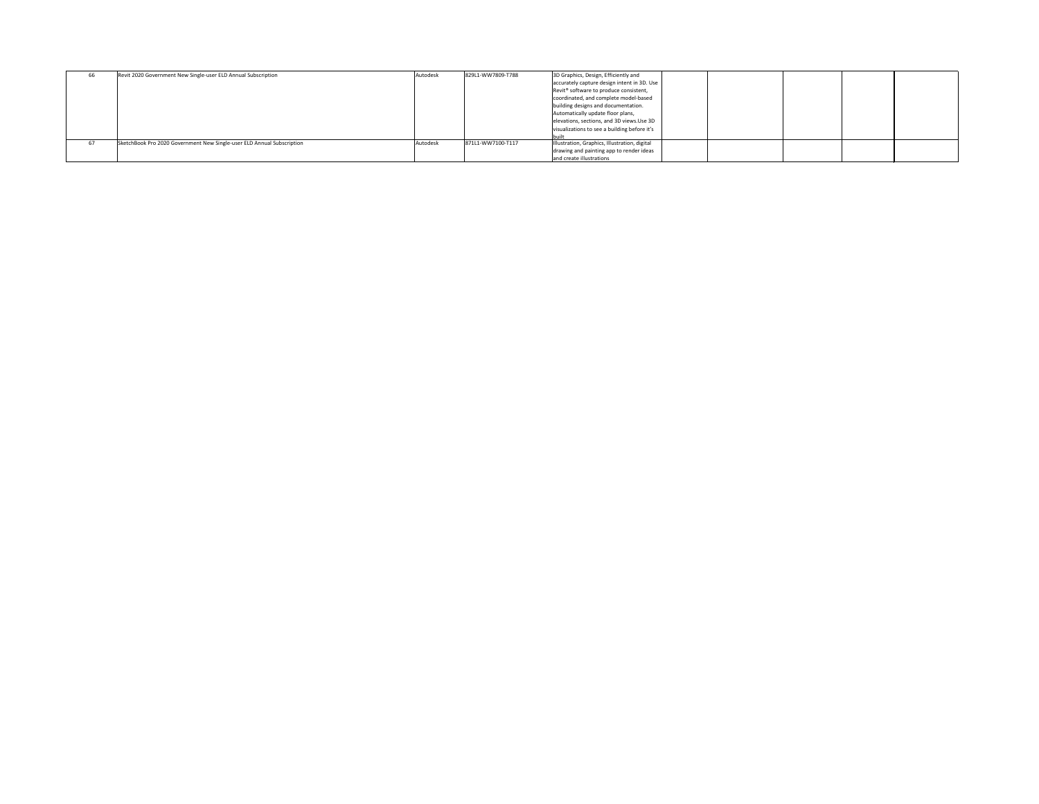| 66 | Revit 2020 Government New Single-user ELD Annual Subscription          | Autodesk | 829L1-WW7809-T788 | 3D Graphics, Design, Efficiently and                            |  |
|----|------------------------------------------------------------------------|----------|-------------------|-----------------------------------------------------------------|--|
|    |                                                                        |          |                   | accurately capture design intent in 3D. Use                     |  |
|    |                                                                        |          |                   | $\sqrt{\text{Revit}^{\otimes}}$ software to produce consistent, |  |
|    |                                                                        |          |                   | coordinated, and complete model-based                           |  |
|    |                                                                        |          |                   | building designs and documentation.                             |  |
|    |                                                                        |          |                   | Automatically update floor plans,                               |  |
|    |                                                                        |          |                   | elevations, sections, and 3D views. Use 3D                      |  |
|    |                                                                        |          |                   | visualizations to see a building before it's                    |  |
|    |                                                                        |          |                   |                                                                 |  |
| 67 | SketchBook Pro 2020 Government New Single-user ELD Annual Subscription | Autodesk | 871L1-WW7100-T117 | Illustration, Graphics, Illustration, digital                   |  |
|    |                                                                        |          |                   | drawing and painting app to render ideas                        |  |
|    |                                                                        |          |                   | and create illustrations                                        |  |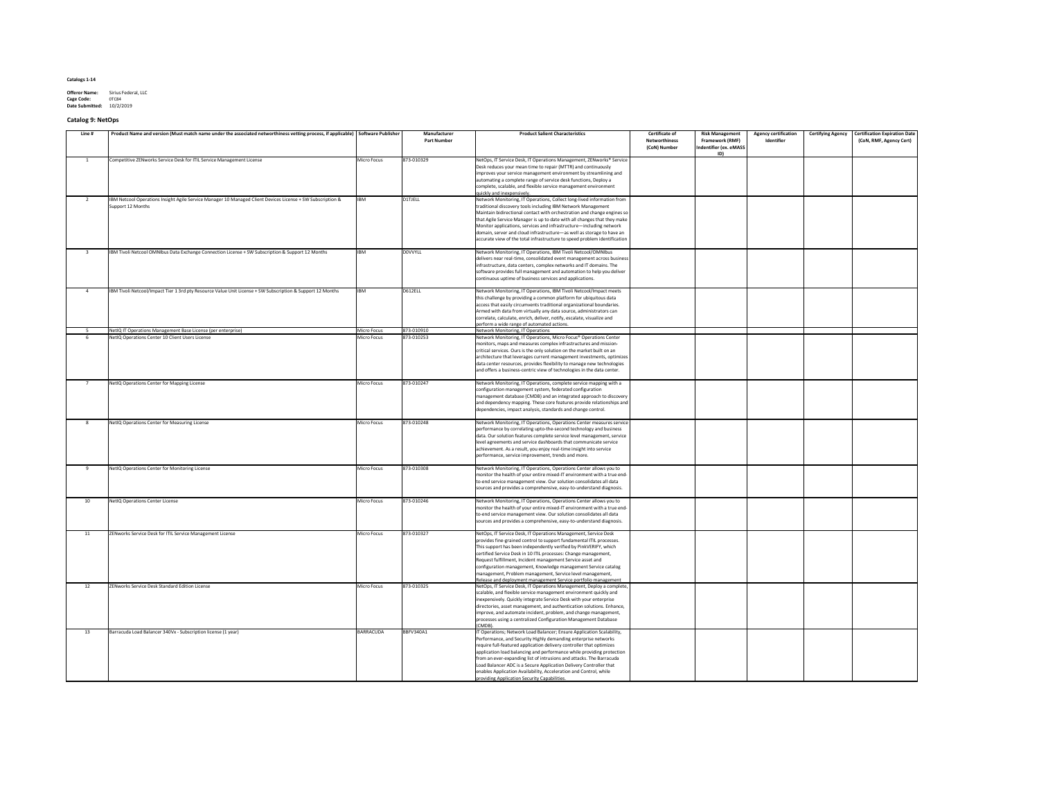| <b>Offeror Name:</b>   | Sirius Federal, LLC |
|------------------------|---------------------|
| <b>Cage Code:</b>      | 0TC84               |
| <b>Date Submitted:</b> | 10/2/2019           |

# **Catalog 9: NetOps**

| Line # | Product Name and version (Must match name under the associated networthiness vetting process, if applicable) Software Publisher |                    | Manufacturer<br><b>Part Number</b> | <b>Product Salient Characteristics</b>                                                                                                                                                                                                                                                                                                                                                                                                                                                                                                                      | <b>Certificate of</b><br><b>Networthiness</b><br>(CoN) Number | <b>Risk Management</b><br><b>Framework (RMF)</b><br>Indentifier (ex. eMASS<br>ID) | <b>Agency certification</b><br>Identifier | <b>Certifying Agency</b> | <b>Certification Expiration Date</b><br>(CoN, RMF, Agency Cert) |
|--------|---------------------------------------------------------------------------------------------------------------------------------|--------------------|------------------------------------|-------------------------------------------------------------------------------------------------------------------------------------------------------------------------------------------------------------------------------------------------------------------------------------------------------------------------------------------------------------------------------------------------------------------------------------------------------------------------------------------------------------------------------------------------------------|---------------------------------------------------------------|-----------------------------------------------------------------------------------|-------------------------------------------|--------------------------|-----------------------------------------------------------------|
|        | Competitive ZENworks Service Desk for ITIL Service Management License                                                           | <b>Micro Focus</b> | 873-010329                         | NetOps, IT Service Desk, IT Operations Management, ZENworks® Service  <br>Desk reduces your mean time to repair (MTTR) and continuously<br>improves your service management environment by streamlining and<br>automating a complete range of service desk functions, Deploy a<br>complete, scalable, and flexible service management environment                                                                                                                                                                                                           |                                                               |                                                                                   |                                           |                          |                                                                 |
|        | IBM Netcool Operations Insight Agile Service Manager 10 Managed Client Devices License + SW Subscription &<br>Support 12 Months | <b>IBM</b>         | D1TJELL                            | quickly and inexpensively.<br>Network Monitoring, IT Operations, Collect long-lived information from<br>traditional discovery tools including IBM Network Management<br>Maintain bidirectional contact with orchestration and change engines so<br>that Agile Service Manager is up to date with all changes that they make<br>Monitor applications, services and infrastructure-including network<br>domain, server and cloud infrastructure-as well as storage to have an<br>accurate view of the total infrastructure to speed problem identification    |                                                               |                                                                                   |                                           |                          |                                                                 |
|        | IBM Tivoli Netcool OMNIbus Data Exchange Connection License + SW Subscription & Support 12 Months                               | <b>IBM</b>         | <b>DOVVYLL</b>                     | Network Monitoring, IT Operations, IBM Tivoli Netcool/OMNIbus<br>delivers near real-time, consolidated event management across business<br>infrastructure, data centers, complex networks and IT domains. The<br>software provides full management and automation to help you deliver<br>continuous uptime of business services and applications.                                                                                                                                                                                                           |                                                               |                                                                                   |                                           |                          |                                                                 |
|        | IBM Tivoli Netcool/Impact Tier 1 3rd pty Resource Value Unit License + SW Subscription & Support 12 Months                      | <b>IBM</b>         | D612ELL                            | Network Monitoring, IT Operations, IBM Tivoli Netcool/Impact meets<br>this challenge by providing a common platform for ubiquitous data<br>access that easily circumvents traditional organizational boundaries.<br>Armed with data from virtually any data source, administrators can<br>correlate, calculate, enrich, deliver, notify, escalate, visualize and<br>perform a wide range of automated actions.                                                                                                                                              |                                                               |                                                                                   |                                           |                          |                                                                 |
|        | NetIQ IT Operations Management Base License (per enterprise)                                                                    | <b>Micro Focus</b> | 873-010910                         | Network Monitoring, IT Operations                                                                                                                                                                                                                                                                                                                                                                                                                                                                                                                           |                                                               |                                                                                   |                                           |                          |                                                                 |
|        | NetIQ Operations Center 10 Client Users License                                                                                 | Micro Focus        | 873-010253                         | Network Monitoring, IT Operations, Micro Focus <sup>®</sup> Operations Center<br>monitors, maps and measures complex infrastructures and mission-<br>critical services. Ours is the only solution on the market built on an<br>architecture that leverages current management investments, optimizes<br>data center resources, provides flexibility to manage new technologies<br>and offers a business-centric view of technologies in the data center.                                                                                                    |                                                               |                                                                                   |                                           |                          |                                                                 |
|        | NetIQ Operations Center for Mapping License                                                                                     | <b>Micro Focus</b> | 873-010247                         | Network Monitoring, IT Operations, complete service mapping with a<br>configuration management system, federated configuration<br>management database (CMDB) and an integrated approach to discovery<br>and dependency mapping. These core features provide relationships and<br>dependencies, impact analysis, standards and change control.                                                                                                                                                                                                               |                                                               |                                                                                   |                                           |                          |                                                                 |
|        | NetIQ Operations Center for Measuring License                                                                                   | <b>Micro Focus</b> | 873-010248                         | Network Monitoring, IT Operations, Operations Center measures service<br>performance by correlating upto-the-second technology and business<br>data. Our solution features complete service level management, service<br>level agreements and service dashboards that communicate service<br>achievement. As a result, you enjoy real-time insight into service<br>performance, service improvement, trends and more.                                                                                                                                       |                                                               |                                                                                   |                                           |                          |                                                                 |
|        | NetIQ Operations Center for Monitoring License                                                                                  | Micro Focus        | 873-010308                         | Network Monitoring, IT Operations, Operations Center allows you to<br>monitor the health of your entire mixed-IT environment with a true end-<br>to-end service management view. Our solution consolidates all data<br>sources and provides a comprehensive, easy-to-understand diagnosis.                                                                                                                                                                                                                                                                  |                                                               |                                                                                   |                                           |                          |                                                                 |
| 10     | <b>NetIQ Operations Center License</b>                                                                                          | Micro Focus        | 873-010246                         | Network Monitoring, IT Operations, Operations Center allows you to<br>monitor the health of your entire mixed-IT environment with a true end-<br>to-end service management view. Our solution consolidates all data<br>sources and provides a comprehensive, easy-to-understand diagnosis.                                                                                                                                                                                                                                                                  |                                                               |                                                                                   |                                           |                          |                                                                 |
| 11     | ZENworks Service Desk for ITIL Service Management License                                                                       | <b>Micro Focus</b> | 873-010327                         | NetOps, IT Service Desk, IT Operations Management, Service Desk<br>provides fine-grained control to support fundamental ITIL processes.<br>This support has been independently verified by PinkVERIFY, which<br>certified Service Desk in 10 ITIL processes: Change management,<br>Request fulfillment, Incident management Service asset and<br>configuration management, Knowledge management Service catalog<br>management, Problem management, Service level management,<br>Release and deployment management Service portfolio management              |                                                               |                                                                                   |                                           |                          |                                                                 |
| 12     | <b>ZENworks Service Desk Standard Edition License</b>                                                                           | Micro Focus        | 873-010325                         | NetOps, IT Service Desk, IT Operations Management, Deploy a complete,<br>scalable, and flexible service management environment quickly and<br>inexpensively. Quickly integrate Service Desk with your enterprise<br>directories, asset management, and authentication solutions. Enhance,<br>improve, and automate incident, problem, and change management,<br>processes using a centralized Configuration Management Database<br>(CMDB).                                                                                                                  |                                                               |                                                                                   |                                           |                          |                                                                 |
| 13     | Barracuda Load Balancer 340Vx - Subscription license (1 year)                                                                   | BARRACUDA          | <b>BBFV340A1</b>                   | IT Operations; Network Load Balancer; Ensure Application Scalability,<br>Performance, and Security Highly demanding enterprise networks<br>require full-featured application delivery controller that optimizes<br>application load balancing and performance while providing protection<br>from an ever-expanding list of intrusions and attacks. The Barracuda<br>Load Balancer ADC is a Secure Application Delivery Controller that<br>enables Application Availability, Acceleration and Control, while<br>providing Application Security Capabilities. |                                                               |                                                                                   |                                           |                          |                                                                 |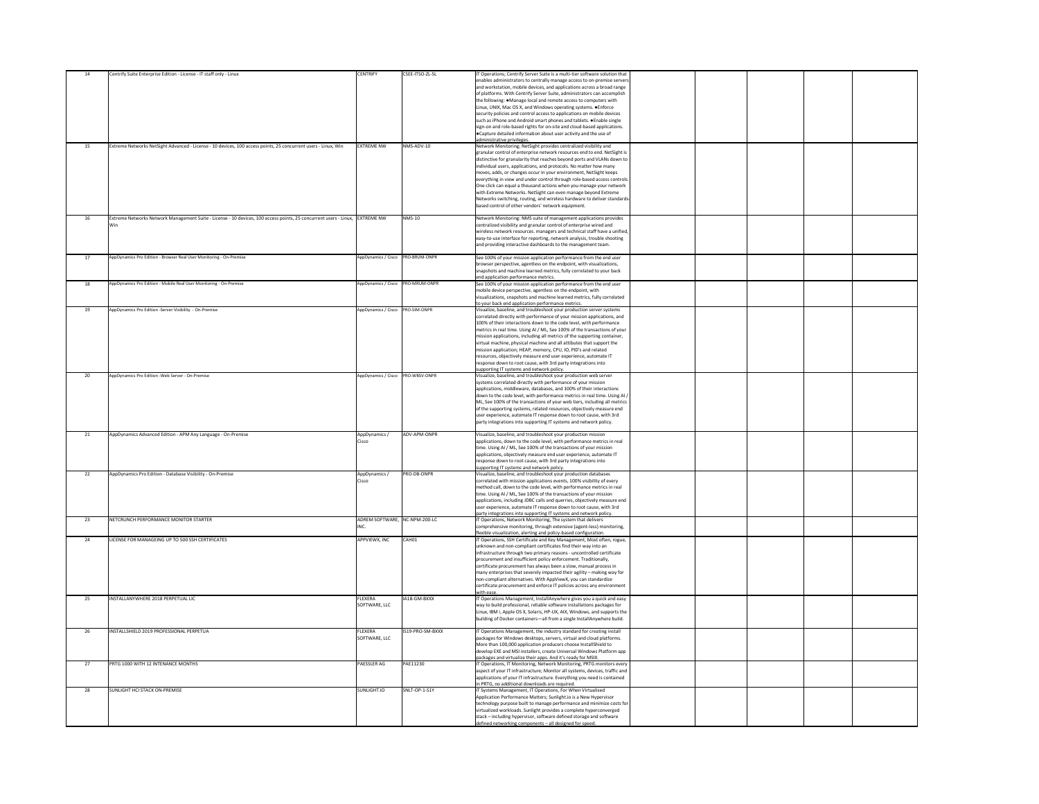|                 | Centrify Suite Enterprise Edition - License - IT staff only - Linux                                                          | <b>CENTRIFY</b>                     | CSEE-ITSO-ZL-SL    | IT Operations; Centrify Server Suite is a multi-tier software solution that<br>enables administrators to centrally manage access to on-premise servers           |  |
|-----------------|------------------------------------------------------------------------------------------------------------------------------|-------------------------------------|--------------------|------------------------------------------------------------------------------------------------------------------------------------------------------------------|--|
|                 |                                                                                                                              |                                     |                    | and workstation, mobile devices, and applications across a broad range<br>of platforms. With Centrify Server Suite, administrators can accomplish                |  |
|                 |                                                                                                                              |                                     |                    | the following: • Manage local and remote access to computers with                                                                                                |  |
|                 |                                                                                                                              |                                     |                    | Linux, UNIX, Mac OS X, and Windows operating systems. • Enforce<br>security policies and control access to applications on mobile devices                        |  |
|                 |                                                                                                                              |                                     |                    | such as iPhone and Android smart phones and tablets. • Enable single                                                                                             |  |
|                 |                                                                                                                              |                                     |                    | sign-on and role-based rights for on-site and cloud-based applications.<br>$\epsilon$ $\epsilon$ Capture detailed information about user activity and the use of |  |
|                 |                                                                                                                              |                                     |                    | administrative privileges.                                                                                                                                       |  |
| 15              | Extreme Networks NetSight Advanced - License - 10 devices, 100 access points, 25 concurrent users - Linux, Win               | <b>EXTREME NW</b>                   | NMS-ADV-10         | Network Monitoring; NetSight provides centralized visibility and<br>granular control of enterprise network resources end to end. NetSight is                     |  |
|                 |                                                                                                                              |                                     |                    | distinctive for granularity that reaches beyond ports and VLANs down to                                                                                          |  |
|                 |                                                                                                                              |                                     |                    | individual users, applications, and protocols. No matter how many                                                                                                |  |
|                 |                                                                                                                              |                                     |                    | moves, adds, or changes occur in your environment, NetSight keeps<br>everything in view and under control through role-based access controls.                    |  |
|                 |                                                                                                                              |                                     |                    | One click can equal a thousand actions when you manage your network                                                                                              |  |
|                 |                                                                                                                              |                                     |                    | with Extreme Networks. NetSight can even manage beyond Extreme<br>Networks switching, routing, and wireless hardware to deliver standards                        |  |
|                 |                                                                                                                              |                                     |                    | based control of other vendors' network equipment.                                                                                                               |  |
| 16              | Extreme Networks Network Management Suite - License - 10 devices, 100 access points, 25 concurrent users - Linux, EXTREME NW |                                     | NMS-10             | Network Monitoring: NMS suite of management applications provides                                                                                                |  |
|                 |                                                                                                                              |                                     |                    | centralized visibility and granular control of enterprise wired and<br> wireless network resources. managers and technical staff have a unified,                 |  |
|                 |                                                                                                                              |                                     |                    | easy-to-use interface for reporting, network analysis, trouble shooting                                                                                          |  |
|                 |                                                                                                                              |                                     |                    | and providing interactive dashboards to the management team.                                                                                                     |  |
|                 | AppDynamics Pro Edition - Browser Real User Monitoring - On-Premise                                                          | AppDynamics / Cisco   PRO-BRUM-ONPR |                    | See 100% of your mission application performance from the end user<br> browser perspective, agentless on the endpoint, with visualizations,                      |  |
|                 |                                                                                                                              |                                     |                    | snapshots and machine learned metrics, fully correlated to your back                                                                                             |  |
| 18              | AppDynamics Pro Edition - Mobile Real User Monitoring - On-Premise                                                           | AppDynamics / Cisco   PRO-MRUM-ONPR |                    | end application performance metrics.<br>See 100% of your mission application performance from the end user                                                       |  |
|                 |                                                                                                                              |                                     |                    | mobile device perspective, agentless on the endpoint, with                                                                                                       |  |
|                 |                                                                                                                              |                                     |                    | visualizations, snapshots and machine learned metrics, fully correlated<br>to your back end application performance metrics.                                     |  |
| 19              | AppDynamics Pro Edition -Server Visibility - On-Premise                                                                      | AppDynamics / Cisco   PRO-SIM-ONPR  |                    | Visualize, baseline, and troubleshoot your production server systems                                                                                             |  |
|                 |                                                                                                                              |                                     |                    | correlated directly with performance of your mission applications, and<br>100% of their interactions down to the code level, with performance                    |  |
|                 |                                                                                                                              |                                     |                    | metrics in real time. Using AI / ML, See 100% of the transactions of your                                                                                        |  |
|                 |                                                                                                                              |                                     |                    | mission applications, including all metrics of the supporting container,<br>virtual machine, physical machine and all attibutes that support the                 |  |
|                 |                                                                                                                              |                                     |                    | mission application; HEAP, memory, CPU, IO, PID's and related                                                                                                    |  |
|                 |                                                                                                                              |                                     |                    | resources, objectively measure end user experience, automate IT<br>response down to root cause, with 3rd party integrations into                                 |  |
|                 |                                                                                                                              |                                     |                    | supporting IT systems and network policy.                                                                                                                        |  |
| 20 <sub>2</sub> | AppDynamics Pro Edition - Web Server - On-Premise                                                                            | AppDynamics / Cisco   PRO-WBSV-ONPR |                    | Visualize, baseline, and troubleshoot your production web server<br>systems correlated directly with performance of your mission                                 |  |
|                 |                                                                                                                              |                                     |                    | applications, middleware, databases, and 100% of their interactions                                                                                              |  |
|                 |                                                                                                                              |                                     |                    | down to the code level, with performance metrics in real time. Using AI /<br>ML, See 100% of the transactions of your web tiers, including all metrics           |  |
|                 |                                                                                                                              |                                     |                    | of the supporting systems, related resources, objectively measure end                                                                                            |  |
|                 |                                                                                                                              |                                     |                    | user experience, automate IT response down to root cause, with 3rd<br>party integrations into supporting IT systems and network policy.                          |  |
| 21              | AppDynamics Advanced Edition - APM Any Language - On-Premise                                                                 | AppDynamics /<br>Cisco              | ADV-APM-ONPR       | Visualize, baseline, and troubleshoot your production mission<br>applications, down to the code level, with performance metrics in real                          |  |
|                 |                                                                                                                              |                                     |                    | time. Using AI / ML, See 100% of the transactions of your mission                                                                                                |  |
|                 |                                                                                                                              |                                     |                    | applications, objectively measure end user experience, automate IT<br>response down to root cause, with 3rd party integrations into                              |  |
|                 |                                                                                                                              |                                     |                    | supporting IT systems and network policy.                                                                                                                        |  |
| 22              | AppDynamics Pro Edition - Database Visibility - On-Premise                                                                   | AppDynamics /<br>Cisco              | <b>PRO-DB-ONPR</b> | Visualize, baseline, and troubleshoot your production databases<br>correlated with mission applications events, 100% visibility of every                         |  |
|                 |                                                                                                                              |                                     |                    | method call, down to the code level, with performance metrics in real                                                                                            |  |
|                 |                                                                                                                              |                                     |                    | time. Using AI / ML, See 100% of the transactions of your mission                                                                                                |  |
|                 |                                                                                                                              |                                     |                    | applications, including JDBC calls and querries, objectively measure end<br>user experience, automate IT response down to root cause, with 3rd                   |  |
|                 | NETCRUNCH PERFORMANCE MONITOR STARTER                                                                                        | ADREM SOFTWARE, NC-NPM-200-LC       |                    | party integrations into supporting IT systems and network policy                                                                                                 |  |
| 23              |                                                                                                                              |                                     |                    | IT Operations, Network Monitoring, The system that delivers<br>comprehensive monitoring, through extensive (agent-less) monitoring,                              |  |
| 24              | LICENSE FOR MANAGEING UP TO 500 SSH CERTIFICATES                                                                             | APPVIEWX, INC                       | CAH01              | flexible visualization, alerting and policy-based configuration.<br>IT Operations, SSH Certificate and Key Management, Most often, rogue,                        |  |
|                 |                                                                                                                              |                                     |                    | unknown and non-compliant certificates find their way into an                                                                                                    |  |
|                 |                                                                                                                              |                                     |                    | infrastructure through two primary reasons - uncontrolled certificate<br>procurement and insufficient policy enforcement. Traditionally,                         |  |
|                 |                                                                                                                              |                                     |                    | certificate procurement has always been a slow, manual process in                                                                                                |  |
|                 |                                                                                                                              |                                     |                    | $\vert$ many enterprises that severely impacted their agility – making way for<br>non-compliant alternatives. With AppViewX, you can standardize                 |  |
|                 |                                                                                                                              |                                     |                    | certificate procurement and enforce IT policies across any environment                                                                                           |  |
| 25              | INSTALLANYWHERE 2018 PERPETUAL LIC                                                                                           | <b>FLEXERA</b>                      | IA18-GM-BXXX       | with ease.<br>IT Operations Management, InstallAnywhere gives you a quick and easy                                                                               |  |
|                 |                                                                                                                              | SOFTWARE, LLC                       |                    | way to build professional, reliable software installations packages for<br>Linux, IBM i, Apple OS X, Solaris, HP-UX, AIX, Windows, and supports the              |  |
|                 |                                                                                                                              |                                     |                    | building of Docker containers—all from a single InstallAnywhere build.                                                                                           |  |
| 26              | INSTALLSHIELD 2019 PROFESSIONAL PERPETUA                                                                                     | <b>FLEXERA</b>                      | IS19-PRO-SM-BXXX   | IT Operations Management, the industry standard for creating install                                                                                             |  |
|                 |                                                                                                                              | SOFTWARE, LLC                       |                    | packages for Windows desktops, servers, virtual and cloud platforms.                                                                                             |  |
|                 |                                                                                                                              |                                     |                    | More than 100,000 application producers choose InstallShield to<br>develop EXE and MSI installers, create Universal Windows Platform app                         |  |
| 27              | PRTG 1000 WITH 12 INTENANCE MONTHS                                                                                           | <b>PAESSLER AG</b>                  | PAE11230           | packages and virtualize their apps. And it's ready for MSIX.<br>IT Operations, IT Monitoring, Network Monitoring, PRTG monitors every                            |  |
|                 |                                                                                                                              |                                     |                    | aspect of your IT infrastructure; Monitor all systems, devices, traffic and                                                                                      |  |
|                 |                                                                                                                              |                                     |                    | applications of your IT infrastructure. Everything you need is contained<br>in PRTG, no additional downloads are required.                                       |  |
| 28              | <b>SUNLIGHT HCI STACK ON-PREMISE</b>                                                                                         | SUNLIGHT.IO                         | SNLT-OP-1-S1Y      | IT Systems Management, IT Operations, For When Virtualised                                                                                                       |  |
|                 |                                                                                                                              |                                     |                    | Application Performance Matters; Sunlight.io is a New Hypervisor<br> technology purpose built to manage performance and minimize costs for                       |  |
|                 |                                                                                                                              |                                     |                    | virtualized workloads. Sunlight provides a complete hyperconverged                                                                                               |  |
|                 |                                                                                                                              |                                     |                    | stack – including hypervisor, software defined storage and software<br>defined networking components - all designed for speed.                                   |  |
|                 |                                                                                                                              |                                     |                    |                                                                                                                                                                  |  |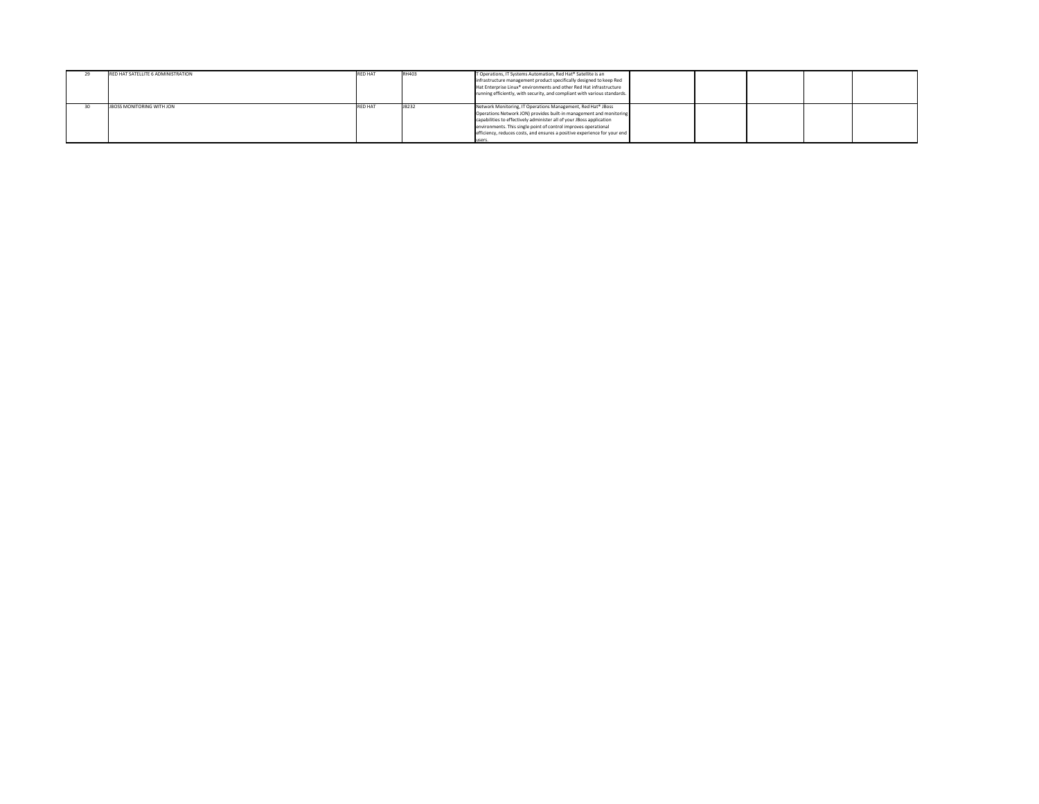| 29 | RED HAT SATELLITE 6 ADMINISTRATION | <b>RED HAT</b> | RH403 | T Operations, IT Systems Automation, Red Hat® Satellite is an<br>infrastructure management product specifically designed to keep Red<br>$H$ at Enterprise Linux® environments and other Red Hat infrastructure<br>  running efficiently, with security, and compliant with various standards.                                                                                                        |  |
|----|------------------------------------|----------------|-------|------------------------------------------------------------------------------------------------------------------------------------------------------------------------------------------------------------------------------------------------------------------------------------------------------------------------------------------------------------------------------------------------------|--|
|    | <b>JBOSS MONITORING WITH JON</b>   | <b>RED HAT</b> | JB232 | Network Monitoring, IT Operations Management, Red Hat <sup>®</sup> JBoss<br> Operations Network JON) provides built-in management and monitoring  <br>capabilities to effectively administer all of your JBoss application<br>environments. This single point of control improves operational<br>$\vert$ efficiency, reduces costs, and ensures a positive experience for your end $\vert$<br>luser: |  |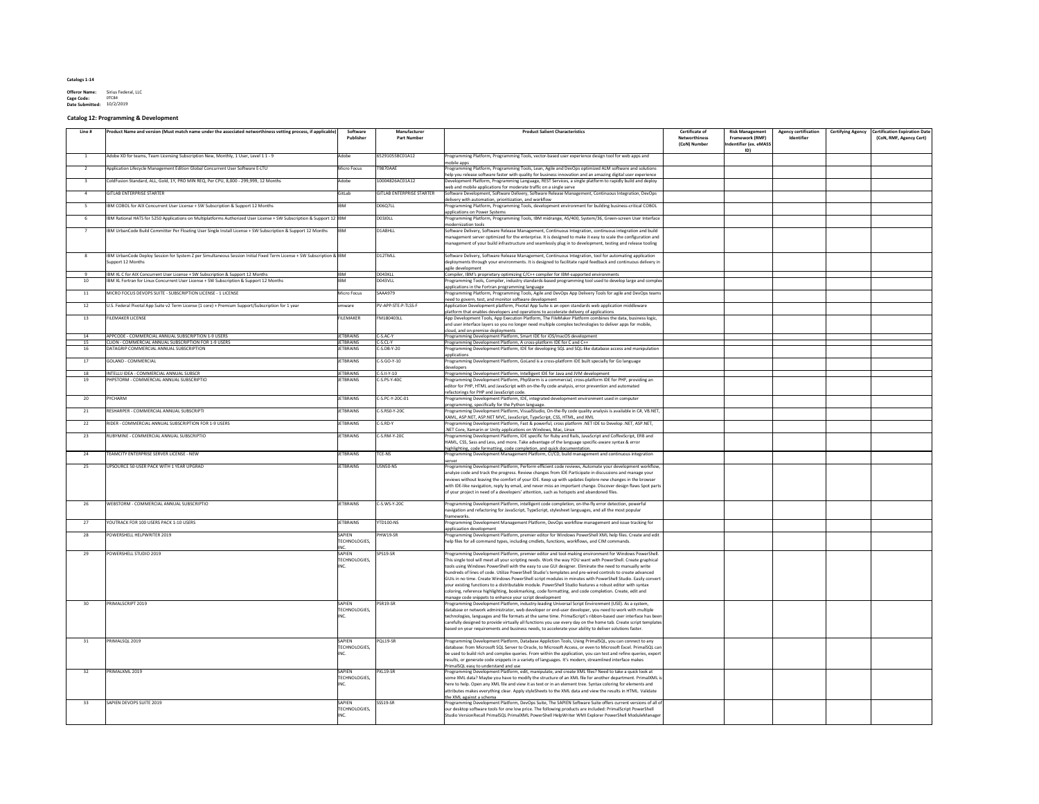**Offeror Name:** Sirius Federal, LLC **Cage Code:** 0TC84 **Date Submitted:** 10/2/2019

# **Catalog 12: Programming & Development**

| Line #    | Product Name and version (Must match name under the associated networthiness vetting process, if applicable                                                              | Software<br>Publisher                | Manufacturer<br><b>Part Number</b> | <b>Product Salient Characteristics</b>                                                                                                                                                                                                        | <b>Certificate of</b><br><b>Networthiness</b><br>(CoN) Number | <b>Risk Management</b><br><b>Framework (RMF)</b><br>Indentifier (ex. eMASS<br>ID) | <b>Agency certification</b><br>Identifier | <b>Certifying Agency</b> | <b>Certification Expiration Date</b><br>(CoN, RMF, Agency Cert) |
|-----------|--------------------------------------------------------------------------------------------------------------------------------------------------------------------------|--------------------------------------|------------------------------------|-----------------------------------------------------------------------------------------------------------------------------------------------------------------------------------------------------------------------------------------------|---------------------------------------------------------------|-----------------------------------------------------------------------------------|-------------------------------------------|--------------------------|-----------------------------------------------------------------|
|           | Adobe XD for teams, Team Licensing Subscription New, Monthly, 1 User, Level 1 1 - 9                                                                                      | Adobe                                | 65291055BC01A12                    | Programming Platform, Programming Tools, vector-based user experience design tool for web apps and<br>mobile apps                                                                                                                             |                                                               |                                                                                   |                                           |                          |                                                                 |
|           | Application Lifecycle Management Edition Global Concurrent User Software E-LTU                                                                                           | Micro Focus                          | <b>T9870AAE</b>                    | Programming Platform, Programming Tools, Lean, Agile and DevOps optimized ALM software and solutions<br>help you release software faster with quality for business innovation and an amazing digital user experience                          |                                                               |                                                                                   |                                           |                          |                                                                 |
|           | ColdFusion Standard, ALL, Gold, 1Y, PRO MIN REQ, Per CPU, 8,000 - 299,999, 12 Months                                                                                     | Adobe                                | 10004826AC01A12                    | Development Platform, Programming Language, REST Services, a single platform to rapidly build and deploy                                                                                                                                      |                                                               |                                                                                   |                                           |                          |                                                                 |
|           | <b>GITLAB ENTERPRISE STARTER</b>                                                                                                                                         | GitLab                               | <b>GITLAB ENTERPRISE STARTER</b>   | web and mobile applications for moderate traffic on a single serve<br>Software Development, Software Delivery, Software Release Management, Continuous Integration, DevOps                                                                    |                                                               |                                                                                   |                                           |                          |                                                                 |
|           | IBM COBOL for AIX Concurrent User License + SW Subscription & Support 12 Months                                                                                          |                                      | D06Q7LL                            | delivery with automation, prioritization, and workflow<br>Programming Platform, Programming Tools, development environment for building business-critical COBOL                                                                               |                                                               |                                                                                   |                                           |                          |                                                                 |
|           | BM Rational HATS for 5250 Applications on Multiplatforms Authorized User License + SW Subscription & Support 12  IBM                                                     |                                      | D03J0LL                            | applications on Power Systems<br>Programming Platform, Programming Tools, IBM midrange, AS/400, System/36, Green-screen User Interface                                                                                                        |                                                               |                                                                                   |                                           |                          |                                                                 |
|           | IBM UrbanCode Build Committer Per Floating User Single Install License + SW Subscription & Support 12 Months                                                             |                                      | D1ABHLL                            | modernization tools<br>Software Delivery, Software Release Management, Continuous Integration, continuous integration and build                                                                                                               |                                                               |                                                                                   |                                           |                          |                                                                 |
|           |                                                                                                                                                                          |                                      |                                    | management server optimized for the enterprise. It is designed to make it easy to scale the configuration and<br>management of your build infrastructure and seamlessly plug in to development, testing and release tooling                   |                                                               |                                                                                   |                                           |                          |                                                                 |
|           | IBM UrbanCode Deploy Session for System Z per Simultaneous Session Initial Fixed Term License + SW Subscription & IBM<br>Support 12 Months                               |                                      | D12TMLL                            | Software Delivery, Software Release Management, Continuous Integration, tool for automating application<br>deployments through your environments. It is designed to facilitate rapid feedback and continuous delivery in<br>agile development |                                                               |                                                                                   |                                           |                          |                                                                 |
| 10        | IBM XL C for AIX Concurrent User License + SW Subscription & Support 12 Months<br>IBM XL Fortran for Linux Concurrent User License + SW Subscription & Support 12 Months | IBM                                  | D043KLL<br>D043VLL                 | Compiler, IBM's proprietary optimizing C/C++ compiler for IBM-supported environments<br>Programming Tools, Compiler, industry standards-based programming tool used to develop large and complex                                              |                                                               |                                                                                   |                                           |                          |                                                                 |
| -11       | MICRO FOCUS DEVOPS SUITE - SUBSCRIPTION LICENSE - 1 LICENSE                                                                                                              | Micro Focus                          | <b>SAAA979</b>                     | applications in the Fortran programming language<br>Programming Platform, Programming Tools, Agile and DevOps App Delivery Tools for agile and DevOps teams                                                                                   |                                                               |                                                                                   |                                           |                          |                                                                 |
| 12        | U.S. Federal Pivotal App Suite v2 Term License (1 core) + Premium Support/Subscription for 1 year                                                                        | vmware                               | PV-APP-STE-P-TLSS-F                | need to govern, test, and monitor software development<br>Application Development platform, Pivotal App Suite is an open standards web application middleware                                                                                 |                                                               |                                                                                   |                                           |                          |                                                                 |
| 13        | <b>FILEMAKER LICENSE</b>                                                                                                                                                 | <b>ILEMAKER</b>                      | FM180403LL                         | platform that enables developers and operations to accelerate delivery of applications<br>App Development Tools, App Execution Platform, The FileMaker Platform combines the data, business logic,                                            |                                                               |                                                                                   |                                           |                          |                                                                 |
|           |                                                                                                                                                                          |                                      |                                    | and user interface layers so you no longer need multiple complex technologies to deliver apps for mobile,<br>cloud, and on-premise deployments                                                                                                |                                                               |                                                                                   |                                           |                          |                                                                 |
| -14<br>15 | APPCODE - COMMERCIAL ANNUAL SUBSCRIPTION 1-9 USERS<br>CLION - COMMERCIAL ANNUAL SUBSCRIPTION FOR 1-9 USERS                                                               | <b>JETBRAINS</b><br><b>JETBRAINS</b> | C-S.AC-Y<br>C-S.CL-Y               | Programming Development Platform, Smart IDE for iOS/macOS development<br>Programming Development Platform, A cross-platform IDE for C and C++                                                                                                 |                                                               |                                                                                   |                                           |                          |                                                                 |
| 16        | DATAGRIP COMMERCIAL ANNUAL SUBSCRIPTION                                                                                                                                  | <b>JETBRAINS</b>                     | $C-S.DB-Y-20$                      | Programming Development Platform, IDE for developing SQL and SQL-like database access and manipulation                                                                                                                                        |                                                               |                                                                                   |                                           |                          |                                                                 |
| -17       | <b>GOLAND - COMMERCIAL</b>                                                                                                                                               | <b>JETBRAINS</b>                     | C-S.GO-Y-10                        | applications<br>Programming Development Platform, GoLand is a cross-platform IDE built specially for Go language                                                                                                                              |                                                               |                                                                                   |                                           |                          |                                                                 |
| 18        | IINTELLIJ IDEA - COMMERCIAL ANNUAL SUBSCR                                                                                                                                | <b>JETBRAINS</b>                     | $C-S.II-Y-10$                      | developers<br>Programming Development Platform, Intelligent IDE for Java and JVM development                                                                                                                                                  |                                                               |                                                                                   |                                           |                          |                                                                 |
| 19        | PHPSTORM - COMMERCIAL ANNUAL SUBSCRIPTIO                                                                                                                                 | <b>JETBRAINS</b>                     | C-S.PS-Y-40C                       | Programming Development Platform, PhpStorm is a commercial, cross-platform IDE for PHP, providing an<br>editor for PHP, HTML and JavaScript with on-the-fly code analysis, error prevention and automated                                     |                                                               |                                                                                   |                                           |                          |                                                                 |
| 20        | <b>PYCHARM</b>                                                                                                                                                           | <b>JETBRAINS</b>                     | C-S.PC-Y-20C-01                    | refactorings for PHP and JavaScript code.<br>Programming Development Platform, IDE, integrated development environment used in computer                                                                                                       |                                                               |                                                                                   |                                           |                          |                                                                 |
| 21        | RESHARPER - COMMERCIAL ANNUAL SUBSCRIPTI                                                                                                                                 | <b>JETBRAINS</b>                     | C-S.RSO-Y-20C                      | programming, specifically for the Python language.<br>Programming Development Platform, VisualStudio, On-the-fly code quality analysis is available in C#, VB.NET                                                                             |                                                               |                                                                                   |                                           |                          |                                                                 |
| 22        | RIDER - COMMERCIAL ANNUAL SUBSCRIPTION FOR 1-9 USERS                                                                                                                     | <b>JETBRAINS</b>                     | $C-S.RD-Y$                         | XAML, ASP.NET, ASP.NET MVC, JavaScript, TypeScript, CSS, HTML, and XML<br>Programming Development Platform, Fast & powerful, cross platform .NET IDE to Develop .NET, ASP.NET,                                                                |                                                               |                                                                                   |                                           |                          |                                                                 |
|           | RUBYMINE - COMMERCIAL ANNUAL SUBSCRIPTIO                                                                                                                                 | <b>JETBRAINS</b>                     | C-S.RM-Y-20C                       | NET Core, Xamarin or Unity applications on Windows, Mac, Linux                                                                                                                                                                                |                                                               |                                                                                   |                                           |                          |                                                                 |
| 23        |                                                                                                                                                                          |                                      |                                    | Programming Development Platform, IDE specific for Ruby and Rails, JavaScript and CoffeeScript, ERB and<br>HAML, CSS, Sass and Less, and more. Take advantage of the language specific-aware syntax & error                                   |                                                               |                                                                                   |                                           |                          |                                                                 |
|           | TEAMCITY ENTERPRISE SERVER LICENSE - NEW                                                                                                                                 | <b>JETBRAINS</b>                     | <b>TCE-NS</b>                      | highlighting, code formatting, code completion, and quick documentation.<br>Programming Development Management Platform, CI/CD, build management and continuous integration                                                                   |                                                               |                                                                                   |                                           |                          |                                                                 |
| 25        | UPSOURCE 50-USER PACK WITH 1 YEAR UPGRAD                                                                                                                                 | <b>JETBRAINS</b>                     | USN50-NS                           | server<br>Programming Development Platform, Perform efficient code reviews, Automate your development workflow,                                                                                                                               |                                                               |                                                                                   |                                           |                          |                                                                 |
|           |                                                                                                                                                                          |                                      |                                    | analyze code and track the progress. Review changes from IDE Participate in discussions and manage your<br>reviews without leaving the comfort of your IDE. Keep up with updates Explore new changes in the browser                           |                                                               |                                                                                   |                                           |                          |                                                                 |
|           |                                                                                                                                                                          |                                      |                                    | with IDE-like navigation, reply by email, and never miss an important change. Discover design flaws Spot parts<br>of your project in need of a developers' attention, such as hotspots and abandoned files.                                   |                                                               |                                                                                   |                                           |                          |                                                                 |
| 26        | WEBSTORM - COMMERCIAL ANNUAL SUBSCRIPTIO                                                                                                                                 | <b>JETBRAINS</b>                     | $C-S.WS-Y-20C$                     | Programming Development Platform, intelligent code completion, on-the-fly error detection, powerful<br>navigation and refactoring for JavaScript, TypeScript, stylesheet languages, and all the most popular                                  |                                                               |                                                                                   |                                           |                          |                                                                 |
|           | YOUTRACK FOR 100 USERS PACK 1-10 USERS                                                                                                                                   | <b>JETBRAINS</b>                     | YTD100-NS                          | frameworks.<br>Programming Development Management Platform, DevOps workflow management and issue tracking for                                                                                                                                 |                                                               |                                                                                   |                                           |                          |                                                                 |
|           | POWERSHELL HELPWRITER 2019                                                                                                                                               | SAPIEN                               | PHW19-SR                           | applicaation development<br>Programming Development Platform, premier editor for Windows PowerShell XML help files. Create and edit                                                                                                           |                                                               |                                                                                   |                                           |                          |                                                                 |
|           |                                                                                                                                                                          | TECHNOLOGIES,                        |                                    | help files for all command types, including cmdlets, functions, workflows, and CIM commands.                                                                                                                                                  |                                                               |                                                                                   |                                           |                          |                                                                 |
| 29        | POWERSHELL STUDIO 2019                                                                                                                                                   | SAPIEN<br><b>TECHNOLOGIES</b>        | SPS19-SR                           | Programming Development Platform, premier editor and tool-making environment for Windows PowerShell.<br>This single tool will meet all your scripting needs. Work the way YOU want with PowerShell. Create graphical                          |                                                               |                                                                                   |                                           |                          |                                                                 |
|           |                                                                                                                                                                          |                                      |                                    | tools using Windows PowerShell with the easy to use GUI designer. Eliminate the need to manually write<br>hundreds of lines of code. Utilize PowerShell Studio's templates and pre-wired controls to create advanced                          |                                                               |                                                                                   |                                           |                          |                                                                 |
|           |                                                                                                                                                                          |                                      |                                    | GUIs in no time. Create Windows PowerShell script modules in minutes with PowerShell Studio. Easily convert                                                                                                                                   |                                                               |                                                                                   |                                           |                          |                                                                 |
|           |                                                                                                                                                                          |                                      |                                    | your existing functions to a distributable module. PowerShell Studio features a robust editor with syntax<br>coloring, reference highlighting, bookmarking, code formatting, and code completion. Create, edit and                            |                                                               |                                                                                   |                                           |                          |                                                                 |
| 30        | <b>PRIMALSCRIPT 2019</b>                                                                                                                                                 | SAPIEN                               | PSR19-SR                           | manage code snippets to enhance your script development<br>Programming Development Platform, industry-leading Universal Script Environment (USE). As a system,                                                                                |                                                               |                                                                                   |                                           |                          |                                                                 |
|           |                                                                                                                                                                          | <b>TECHNOLOGIES</b>                  |                                    | database or network administrator, web developer or end-user developer, you need to work with multiple                                                                                                                                        |                                                               |                                                                                   |                                           |                          |                                                                 |
|           |                                                                                                                                                                          |                                      |                                    | technologies, languages and file formats at the same time. PrimalScript's ribbon-based user interface has been<br>carefully designed to provide virtually all functions you use every day on the home tab. Create script templates            |                                                               |                                                                                   |                                           |                          |                                                                 |
|           |                                                                                                                                                                          |                                      |                                    | based on your requirements and business needs, to accelerate your ability to deliver solutions faster.                                                                                                                                        |                                                               |                                                                                   |                                           |                          |                                                                 |
| 31        | <b>PRIMALSQL 2019</b>                                                                                                                                                    | SAPIEN<br>TECHNOLOGIES,              | PQL19-SR                           | Programming Development Platform, Database Appliction Tools, Using PrimalSQL, you can connect to any<br>database: from Microsoft SQL Server to Oracle, to Microsoft Access, or even to Microsoft Excel. PrimalSQL can                         |                                                               |                                                                                   |                                           |                          |                                                                 |
|           |                                                                                                                                                                          |                                      |                                    | be used to build rich and complex queries. From within the application, you can test and refine queries, export                                                                                                                               |                                                               |                                                                                   |                                           |                          |                                                                 |
|           |                                                                                                                                                                          |                                      |                                    | results, or generate code snippets in a variety of languages. It's modern, streamlined interface makes<br>PrimalSQL easy to understand and use                                                                                                |                                                               |                                                                                   |                                           |                          |                                                                 |
|           | <b>PRIMALXML 2019</b>                                                                                                                                                    | <b>SAPIEN</b><br>TECHNOLOGIES,       | PXL19-SR                           | Programming Development Platform, edit, manipulate, and create XML files? Need to take a quick look at<br>some XML data? Maybe you have to modify the structure of an XML file for another department. PrimalXML is                           |                                                               |                                                                                   |                                           |                          |                                                                 |
|           |                                                                                                                                                                          |                                      |                                    | here to help. Open any XML file and view it as text or in an element tree. Syntax coloring for elements and                                                                                                                                   |                                                               |                                                                                   |                                           |                          |                                                                 |
|           |                                                                                                                                                                          |                                      |                                    | attributes makes everything clear. Apply styleSheets to the XML data and view the results in HTML. Validate<br>the XML against a schema                                                                                                       |                                                               |                                                                                   |                                           |                          |                                                                 |
| 33        | SAPIEN DEVOPS SUITE 2019                                                                                                                                                 | <b>SAPIEN</b><br>TECHNOLOGIES,       | SSS19-SR                           | Programming Development Platform, DevOps Suite, The SAPIEN Software Suite offers current versions of all of<br>our desktop software tools for one low price. The following products are included: PrimalScript PowerShell                     |                                                               |                                                                                   |                                           |                          |                                                                 |
|           |                                                                                                                                                                          |                                      |                                    | Studio VersionRecall PrimalSQL PrimalXML PowerShell HelpWriter WMI Explorer PowerShell ModuleManager                                                                                                                                          |                                                               |                                                                                   |                                           |                          |                                                                 |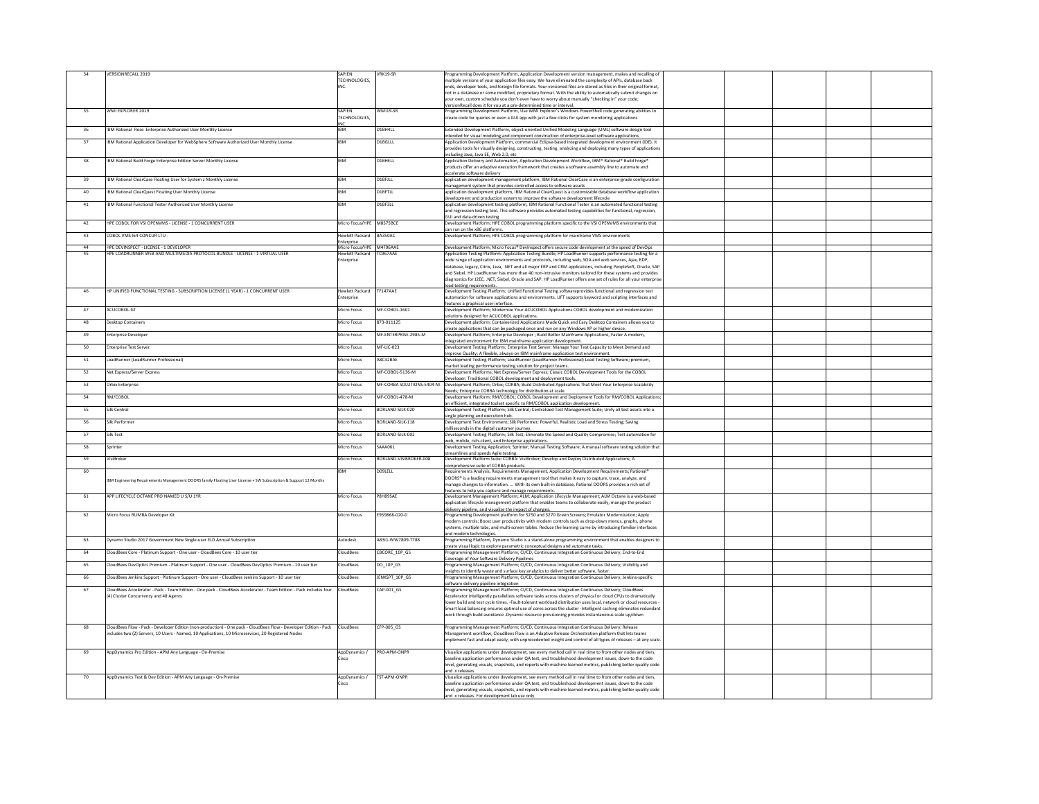|     | <b>VERSIONRECALL 2019</b>                                                                                          | <b>SAPIEN</b>            | VRK19-SR               | Programming Development Platform, Application Development version management, makes and recalling of                                                                                                                                   |  |
|-----|--------------------------------------------------------------------------------------------------------------------|--------------------------|------------------------|----------------------------------------------------------------------------------------------------------------------------------------------------------------------------------------------------------------------------------------|--|
|     |                                                                                                                    | <b>TECHNOLOGIES</b>      |                        | multiple versions of your application files easy. We have eliminated the complexity of APIs, database back                                                                                                                             |  |
|     |                                                                                                                    |                          |                        | ends, developer tools, and foreign file formats. Your versioned files are stored as files in their original format,                                                                                                                    |  |
|     |                                                                                                                    |                          |                        | not in a database or some modified, proprietary format. With the ability to automatically submit changes on                                                                                                                            |  |
|     |                                                                                                                    |                          |                        | your own, custom schedule you don't even have to worry about manually "checking in" your code;                                                                                                                                         |  |
|     |                                                                                                                    |                          |                        | VersionRecall does it for you at a pre-determined time or interval.                                                                                                                                                                    |  |
|     | WMI EXPLORER 2019                                                                                                  | <b>SAPIEN</b>            | WMI19-SR               | Programming Development Platform, Use WMI Explorer's Windows PowerShell code generating abilities to                                                                                                                                   |  |
|     |                                                                                                                    | TECHNOLOGIES,            |                        | create code for queries or even a GUI app with just a few clicks for system monitoring applications                                                                                                                                    |  |
|     | IBM Rational Rose Enterprise Authorized User Monthly License                                                       |                          | D1BH4LL                | Extended Development Platform, object-oriented Unified Modeling Language (UML) software design tool                                                                                                                                    |  |
| 36  |                                                                                                                    |                          |                        | intended for visual modeling and component construction of enterprise-level software applications                                                                                                                                      |  |
| -37 | IBM Rational Application Developer for WebSphere Software Authorized User Monthly License                          |                          | D1BGLLL                | Application Development Platform, commercial Eclipse-based integrated development environment (IDE). It                                                                                                                                |  |
|     |                                                                                                                    |                          |                        | provides tools for visually designing, constructing, testing, analyzing and deploying many types of applications                                                                                                                       |  |
|     |                                                                                                                    |                          |                        | including Java, Java EE, Web 2.0, etc                                                                                                                                                                                                  |  |
| 38  | IBM Rational Build Forge Enterprise Edition Server Monthly License                                                 |                          | D1BHELL                | Application Delivery and Automation, Application Development Workflow, IBM® Rational® Build Forge®                                                                                                                                     |  |
|     |                                                                                                                    |                          |                        | products offer an adaptive execution framework that creates a software assembly line to automate and                                                                                                                                   |  |
|     |                                                                                                                    |                          |                        | accelerate software delivery                                                                                                                                                                                                           |  |
| 39  | IBM Rational ClearCase Floating User for System z Monthly License                                                  |                          | D1BFJLL                | application development management platform, IBM Rational ClearCase is an enterprise-grade configuration<br>management system that provides controlled access to software assets                                                       |  |
| -40 | IBM Rational ClearQuest Floating User Monthly License                                                              |                          | D1BFTLL                | application development platform, IBM Rational ClearQuest is a customizable database workflow application                                                                                                                              |  |
|     |                                                                                                                    |                          |                        | development and production system to improve the software development lifecycle                                                                                                                                                        |  |
| -41 | IBM Rational Functional Tester Authorized User Monthly License                                                     |                          | D <sub>1</sub> BF3LL   | application development testing platform, IBM Rational Functional Tester is an automated functional testing                                                                                                                            |  |
|     |                                                                                                                    |                          |                        | and regression testing tool. This software provides automated testing capabilities for functional, regression,                                                                                                                         |  |
|     |                                                                                                                    |                          |                        | <b>GUI</b> and data-driven testing                                                                                                                                                                                                     |  |
| 42  | HPE COBOL FOR VSI OPENVMS - LICENSE - 1 CONCURRENT USER                                                            | Micro Focus/HPE M8S75BCE |                        | Development Platform; HPE COBOL programming platform specific to the VSI OPENVMS environments that                                                                                                                                     |  |
| -43 | COBOL VMS 164 CONCUR LTU -                                                                                         | Hewlett Packard          | BA350AC                | can run on the x86 platforms.<br>Development Platform; HPE COBOL programming platform for mainframe VMS environments                                                                                                                   |  |
|     |                                                                                                                    | Enterprise               |                        |                                                                                                                                                                                                                                        |  |
|     | HPE DEVINSPECT - LICENSE - 1 DEVELOPER                                                                             | Micro Focus/HPE M4F96AAE |                        | Development Platform; Micro Focus® DevInspect offers secure code development at the speed of DevOps                                                                                                                                    |  |
|     | HPE LOADRUNNER WEB AND MULTIMEDIA PROTOCOL BUNDLE - LICENSE - 1 VIRTUAL USER                                       | Hewlett Packard          | TC967AAE               | Application Testing Platform: Application Testing Bundle; HP LoadRunner supports performance testing for a                                                                                                                             |  |
|     |                                                                                                                    | Enterprise               |                        | wide range of application environments and protocols, including web, SOA and web services, Ajax, RDP,                                                                                                                                  |  |
|     |                                                                                                                    |                          |                        | database, legacy, Citrix, Java, .NET and all major ERP and CRM applications, including PeopleSoft, Oracle, SAP                                                                                                                         |  |
|     |                                                                                                                    |                          |                        | and Siebel. HP LoadRunner has more than 40 non-intrusive monitors tailored for these systems and provides                                                                                                                              |  |
|     |                                                                                                                    |                          |                        | diagnostics for J2EE, .NET, Siebel, Oracle and SAP. HP LoadRunner offers one set of rules for all your enterprise                                                                                                                      |  |
| 46  | HP UNIFIED FUNCTIONAL TESTING - SUBSCRIPTION LICENSE (1 YEAR) - 1 CONCURRENT USER                                  | Hewlett Packard          | TF147AAE               | load testing requirements.<br>Development Testing Platform; Unified Functional Testing softwareprovides functional and regression test                                                                                                 |  |
|     |                                                                                                                    | Enterprise               |                        | automation for software applications and environments. UFT supports keyword and scripting interfaces and                                                                                                                               |  |
|     |                                                                                                                    |                          |                        | features a graphical user interface.                                                                                                                                                                                                   |  |
| 47  | ACUCOBOL-GT                                                                                                        | <b>Micro Focus</b>       | MF-COBOL-1601          | Development Platform; Modernize Your ACUCOBOL Applications COBOL development and modernization                                                                                                                                         |  |
|     |                                                                                                                    |                          |                        | solutions designed for ACUCOBOL applications.                                                                                                                                                                                          |  |
| -48 | <b>Desktop Containers</b>                                                                                          | Micro Focus              | 873-011125             | Development platform; Containerized Applications Made Quick and Easy Desktop Containers allows you to                                                                                                                                  |  |
|     |                                                                                                                    |                          |                        | create applications that can be packaged once and run on any Windows XP or higher device.                                                                                                                                              |  |
| -49 | <b>Enterprise Developer</b>                                                                                        | Micro Focus              | MF-ENTERPRISE-2985-M   | Development Platform; Enterprise Developer; Build Better Mainframe Applications, Faster A modern,                                                                                                                                      |  |
|     |                                                                                                                    |                          |                        | integrated environment for IBM mainframe application development                                                                                                                                                                       |  |
| 50  | <b>Enterprise Test Server</b>                                                                                      | Micro Focus              | $MF-LIC-023$           | Development Testing Platform; Enterprise Test Server; Manage Your Test Capacity to Meet Demand and<br>Improve Quality; A flexible, always-on IBM mainframe application test environment.                                               |  |
| -51 | LoadRunner (LoadRunner Professional)                                                                               | Micro Focus              | A8C32BAE               | Development Testing Platform; LoadRunner (LoadRunner Professional) Load Testing Software; premium,                                                                                                                                     |  |
|     |                                                                                                                    |                          |                        | market leading performance testing solution for project teams.                                                                                                                                                                         |  |
| 52  | Net Express/Server Express                                                                                         | Micro Focus              | MF-COBOL-5136-M        | Development Platforms; Net Express/Server Express; Classic COBOL Development Tools for the COBOL                                                                                                                                       |  |
|     |                                                                                                                    |                          |                        | Developer; Traditional COBOL development and deployment tools.                                                                                                                                                                         |  |
| 53  | <b>Orbix Enterprise</b>                                                                                            | Micro Focus              |                        | MF-CORBA SOLUTIONS-5404-M  Development Platform; Orbix; CORBA; Build Distributed Applications That Meet Your Enterprise Scalability                                                                                                    |  |
|     |                                                                                                                    |                          |                        | Needs; Enterprise CORBA technology for distribution at scale.                                                                                                                                                                          |  |
| 54  | RM/COBOL                                                                                                           | <b>Micro Focus</b>       | MF-COBOL-478-M         | Development Platform; RM/COBOL; COBOL Development and Deployment Tools for RM/COBOL Applications;                                                                                                                                      |  |
| 55  | <b>Silk Central</b>                                                                                                | Micro Focus              | BORLAND-SILK-020       | an efficient, integrated toolset specific to RM/COBOL application development.<br>Development Testing Platform; Silk Central; Centralized Test Management Suite; Unify all test assets into a                                          |  |
|     |                                                                                                                    |                          |                        | single planning and execution hub.                                                                                                                                                                                                     |  |
| 56  | Silk Performer                                                                                                     | Micro Focus              | BORLAND-SILK-118       | Development Test Environment; Silk Performer; Powerful, Realistic Load and Stress Testing; Saving                                                                                                                                      |  |
|     |                                                                                                                    |                          |                        | milliseconds in the digital customer journey.                                                                                                                                                                                          |  |
|     | Silk Test                                                                                                          | Micro Focus              | BORLAND-SILK-002       | Development Testing Platform; Silk Test; Eliminate the Speed and Quality Compromise; Test automation for                                                                                                                               |  |
|     |                                                                                                                    |                          |                        | web, mobile, rich-client, and Enterprise applications.                                                                                                                                                                                 |  |
| 58  | Sprinter                                                                                                           | <b>Micro Focus</b>       | SAAA061                | Development Testing Application; Sprinter; Manual Testing Software; A manual software testing solution that                                                                                                                            |  |
| 59  | VisiBroker                                                                                                         | Micro Focus              | BORLAND-VISIBROKER-008 | streamlines and speeds Agile testing.<br>Development Platform Suite: CORBA: VisiBroker; Develop and Deploy Distributed Applications; A                                                                                                 |  |
|     |                                                                                                                    |                          |                        | comprehensive suite of CORBA products.                                                                                                                                                                                                 |  |
| 60  |                                                                                                                    |                          | D09LELL                | Requirements Analysis, Requirements Management, Application Development Requirements; Rational®                                                                                                                                        |  |
|     | IBM Engineering Requirements Management DOORS family Floating User License + SW Subscription & Support 12 Months   |                          |                        | DOORS® is a leading requirements management tool that makes it easy to capture, trace, analyze, and                                                                                                                                    |  |
|     |                                                                                                                    |                          |                        | manage changes to information.  With its own built-in database, Rational DOORS provides a rich set of                                                                                                                                  |  |
|     |                                                                                                                    |                          |                        | features to help you capture and manage requirements.                                                                                                                                                                                  |  |
|     | APP LIFECYCLE OCTANE PRO NAMED U S/U 1YR                                                                           | Micro Focus              | P8H89SAE               | Development Management Platform; ALM; Application Lifecycle Management; ALM Octane is a web-based                                                                                                                                      |  |
|     |                                                                                                                    |                          |                        | application lifecycle management platform that enables teams to collaborate easily, manage the product                                                                                                                                 |  |
|     | Micro Focus RUMBA Developer Kit                                                                                    | Micro Focus              | E959868-020-D          | delivery pipeline, and visualize the impact of changes.<br>Programming Development platform for 5250 and 3270 Green Screens; Emulator Modernization; Apply                                                                             |  |
|     |                                                                                                                    |                          |                        | modern controls; Boost user productivity with modern controls such as drop-down menus, graphs, phone                                                                                                                                   |  |
|     |                                                                                                                    |                          |                        | systems, multiple tabs, and multi-screen tables. Reduce the learning curve by introducing familiar interfaces                                                                                                                          |  |
|     |                                                                                                                    |                          |                        | and modern technologies.                                                                                                                                                                                                               |  |
| 63  | Dynamo Studio 2017 Government New Single-user ELD Annual Subscription                                              | Autodesk                 | A83I1-WW7809-T788      | Programming Platform, Dynamo Studio is a stand-alone programming environment that enables designers to                                                                                                                                 |  |
|     |                                                                                                                    |                          |                        | create visual logic to explore parametric conceptual designs and automate tasks.                                                                                                                                                       |  |
| 64  | CloudBees Core - Platinum Support - One user - CloudBees Core - 10 user tier                                       | CloudBees                | CBCORE_10P_GS          | Programming Management Platform; CI/CD, Continuous Integration Continuous Delivery; End-to-End                                                                                                                                         |  |
| 65  | CloudBees DevOptics Premium - Platinum Support - One user - CloudBees DevOptics Premium - 10 user tier             | CloudBees                | $DO_1OP_S$             | Coverage of Your Software Delivery Pipelines<br>Programming Management Platform; CI/CD, Continuous Integration Continuous Delivery; Visibility and                                                                                     |  |
|     |                                                                                                                    |                          |                        | insights to identify waste and surface key analytics to deliver better software, faster.                                                                                                                                               |  |
| 66  | CloudBees Jenkins Support - Platinum Support - One user - CloudBees Jenkins Support - 10 user tier                 | CloudBees                | JENKSPT_10P_GS         | Programming Management Platform; CI/CD, Continuous Integration Continuous Delivery; Jenkins-specific                                                                                                                                   |  |
|     |                                                                                                                    |                          |                        | software delivery pipeline integration                                                                                                                                                                                                 |  |
| -67 | CloudBees Accelerator - Pack - Team Edition - One pack - CloudBees Accelerator - Team Edition - Pack includes four | <b>CloudBees</b>         | CAP-001_GS             | Programming Management Platform; CI/CD, Continuous Integration Continuous Delivery; CloudBees                                                                                                                                          |  |
|     | (4) Cluster Concurrency and 48 Agents                                                                              |                          |                        | Accelerator intelligently parallelizes software tasks across clusters of physical or cloud CPUs to dramatically                                                                                                                        |  |
|     |                                                                                                                    |                          |                        | lower build and test cycle times. -Fault-tolerant workload distribution uses local, network or cloud resources -<br>Smart load balancing ensures optimal use of cores across the cluster -Intelligent caching eliminates redundant $ $ |  |
|     |                                                                                                                    |                          |                        | work through build avoidance -Dynamic resource provisioning provides instantaneous scale up/down                                                                                                                                       |  |
|     |                                                                                                                    |                          |                        |                                                                                                                                                                                                                                        |  |
| 68  | CloudBees Flow - Pack - Developer Edition (non-production) - One pack - CloudBees Flow - Developer Edition - Pack  | <b>CloudBees</b>         | CFP-005_GS             | Programming Management Platform; CI/CD, Continuous Integration Continuous Delivery; Release                                                                                                                                            |  |
|     | includes two (2) Servers, 10 Users - Named, 10 Applications, 10 Microservices, 20 Registered Nodes                 |                          |                        | Management workflow; CloudBees Flow is an Adaptive Release Orchestration platform that lets teams                                                                                                                                      |  |
|     |                                                                                                                    |                          |                        | implement fast and adapt easily, with unprecedented insight and control of all types of releases – at any scale.                                                                                                                       |  |
|     |                                                                                                                    |                          |                        |                                                                                                                                                                                                                                        |  |
| 69  | AppDynamics Pro Edition - APM Any Language - On-Premise                                                            | AppDynamics /            | <b>PRO-APM-ONPR</b>    | Visualize applications under development, see every method call in real time to from other nodes and tiers,                                                                                                                            |  |
|     |                                                                                                                    | Cisco                    |                        | baseline application performance under QA test, and troubleshood development issues, down to the code<br>level, generating visuals, snapshots, and reports with machine learned metrics, publishing better quality code                |  |
|     |                                                                                                                    |                          |                        | and .x releases.                                                                                                                                                                                                                       |  |
| 70  | AppDynamics Test & Dev Edition - APM Any Language - On-Premise                                                     | AppDynamics /            | <b>TST-APM-ONPR</b>    | Visualize applications under development, see every method call in real time to from other nodes and tiers,                                                                                                                            |  |
|     |                                                                                                                    | Cisco                    |                        | baseline application performance under QA test, and troubleshood development issues, down to the code                                                                                                                                  |  |
|     |                                                                                                                    |                          |                        | level, generating visuals, snapshots, and reports with machine learned metrics, publishing better quality code                                                                                                                         |  |
|     |                                                                                                                    |                          |                        | and x releases. For development lab use only.                                                                                                                                                                                          |  |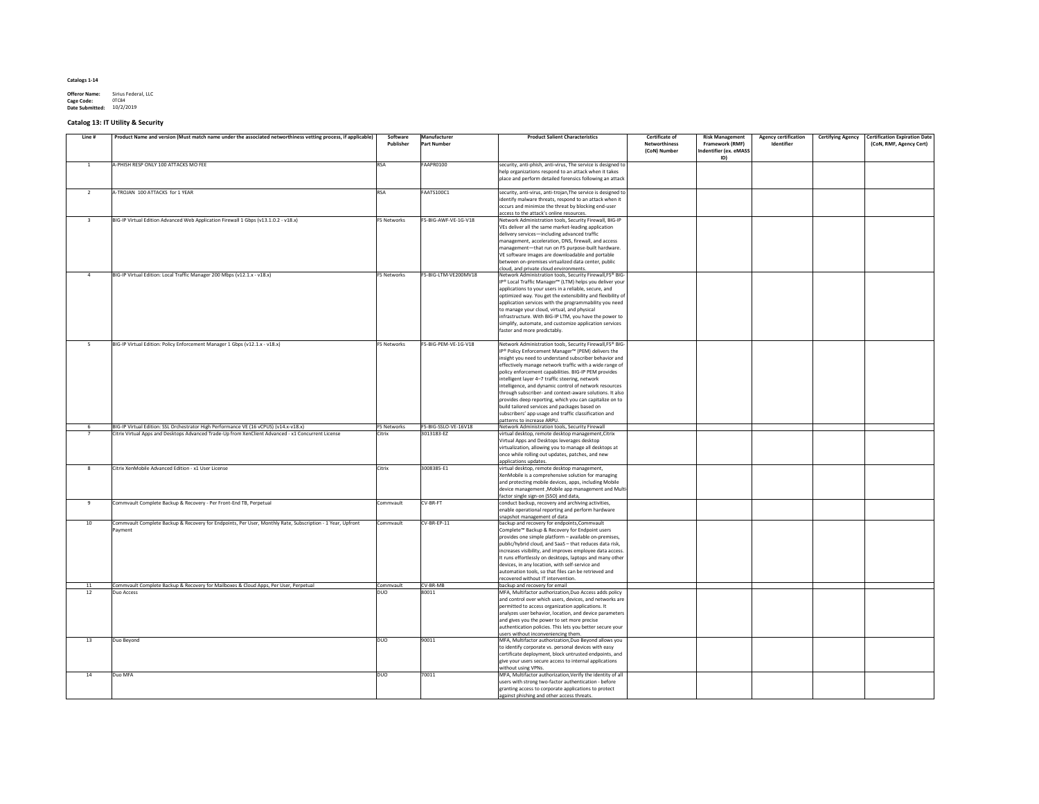| <b>Offeror Name:</b>   | Sirius Federal, LLC |
|------------------------|---------------------|
| Cage Code:             | 0TC84               |
| <b>Date Submitted:</b> | 10/2/2019           |

# **Catalog 13: IT Utility & Security**

| Line # | Product Name and version (Must match name under the associated networthiness vetting process, if applicable) | Software<br>Publisher | Manufacturer<br><b>Part Number</b> | <b>Product Salient Characteristics</b>                                                                                                                                                 | <b>Certificate of</b><br><b>Networthiness</b><br>(CoN) Number | <b>Risk Management</b><br><b>Framework (RMF)</b><br><b>Indentifier (ex. eMASS</b><br>ID) | <b>Agency certification</b><br>Identifier | <b>Certification Expiration Date</b><br><b>Certifying Agency</b><br>(CoN, RMF, Agency Cert) |
|--------|--------------------------------------------------------------------------------------------------------------|-----------------------|------------------------------------|----------------------------------------------------------------------------------------------------------------------------------------------------------------------------------------|---------------------------------------------------------------|------------------------------------------------------------------------------------------|-------------------------------------------|---------------------------------------------------------------------------------------------|
|        | A-PHISH RESP ONLY 100 ATTACKS MO FEE                                                                         | <b>RSA</b>            | FAAPR0100                          | security, anti-phish, anti-virus, The service is designed to $ $<br>help organizations respond to an attack when it takes<br>place and perform detailed forensics following an attack  |                                                               |                                                                                          |                                           |                                                                                             |
|        | A-TROJAN 100 ATTACKS for 1 YEAR                                                                              | <b>RSA</b>            | FAATS100C1                         | security, anti-virus, anti-trojan, The service is designed to $\vert$<br>identify malware threats, respond to an attack when it<br>occurs and minimize the threat by blocking end-user |                                                               |                                                                                          |                                           |                                                                                             |
|        |                                                                                                              |                       |                                    | access to the attack's online resources.                                                                                                                                               |                                                               |                                                                                          |                                           |                                                                                             |
|        | BIG-IP Virtual Edition Advanced Web Application Firewall 1 Gbps (v13.1.0.2 - v18.x)                          | <b>F5 Networks</b>    | F5-BIG-AWF-VE-1G-V18               | Network Administration tools, Security Firewall, BIG-IP<br>VEs deliver all the same market-leading application                                                                         |                                                               |                                                                                          |                                           |                                                                                             |
|        |                                                                                                              |                       |                                    | delivery services—including advanced traffic                                                                                                                                           |                                                               |                                                                                          |                                           |                                                                                             |
|        |                                                                                                              |                       |                                    | management, acceleration, DNS, firewall, and access                                                                                                                                    |                                                               |                                                                                          |                                           |                                                                                             |
|        |                                                                                                              |                       |                                    | management-that run on F5 purpose-built hardware.                                                                                                                                      |                                                               |                                                                                          |                                           |                                                                                             |
|        |                                                                                                              |                       |                                    | VE software images are downloadable and portable                                                                                                                                       |                                                               |                                                                                          |                                           |                                                                                             |
|        |                                                                                                              |                       |                                    | between on-premises virtualized data center, public                                                                                                                                    |                                                               |                                                                                          |                                           |                                                                                             |
|        | BIG-IP Virtual Edition: Local Traffic Manager 200 Mbps (v12.1.x - v18.x)                                     | <b>F5 Networks</b>    | F5-BIG-LTM-VE200MV18               | cloud, and private cloud environments.<br>Network Administration tools, Security Firewall, F5 <sup>®</sup> BIG-                                                                        |                                                               |                                                                                          |                                           |                                                                                             |
|        |                                                                                                              |                       |                                    | IP® Local Traffic Manager™ (LTM) helps you deliver your                                                                                                                                |                                                               |                                                                                          |                                           |                                                                                             |
|        |                                                                                                              |                       |                                    | applications to your users in a reliable, secure, and                                                                                                                                  |                                                               |                                                                                          |                                           |                                                                                             |
|        |                                                                                                              |                       |                                    | optimized way. You get the extensibility and flexibility of                                                                                                                            |                                                               |                                                                                          |                                           |                                                                                             |
|        |                                                                                                              |                       |                                    | application services with the programmability you need                                                                                                                                 |                                                               |                                                                                          |                                           |                                                                                             |
|        |                                                                                                              |                       |                                    | to manage your cloud, virtual, and physical                                                                                                                                            |                                                               |                                                                                          |                                           |                                                                                             |
|        |                                                                                                              |                       |                                    | infrastructure. With BIG-IP LTM, you have the power to<br>simplify, automate, and customize application services                                                                       |                                                               |                                                                                          |                                           |                                                                                             |
|        |                                                                                                              |                       |                                    | faster and more predictably.                                                                                                                                                           |                                                               |                                                                                          |                                           |                                                                                             |
|        |                                                                                                              |                       |                                    |                                                                                                                                                                                        |                                                               |                                                                                          |                                           |                                                                                             |
|        | BIG-IP Virtual Edition: Policy Enforcement Manager 1 Gbps (v12.1.x - v18.x)                                  | F5 Networks           | F5-BIG-PEM-VE-1G-V18               | Network Administration tools, Security Firewall, F5 <sup>®</sup> BIG-                                                                                                                  |                                                               |                                                                                          |                                           |                                                                                             |
|        |                                                                                                              |                       |                                    | IP <sup>®</sup> Policy Enforcement Manager <sup>™</sup> (PEM) delivers the                                                                                                             |                                                               |                                                                                          |                                           |                                                                                             |
|        |                                                                                                              |                       |                                    | insight you need to understand subscriber behavior and<br>effectively manage network traffic with a wide range of                                                                      |                                                               |                                                                                          |                                           |                                                                                             |
|        |                                                                                                              |                       |                                    | policy enforcement capabilities. BIG-IP PEM provides                                                                                                                                   |                                                               |                                                                                          |                                           |                                                                                             |
|        |                                                                                                              |                       |                                    | intelligent layer 4-7 traffic steering, network                                                                                                                                        |                                                               |                                                                                          |                                           |                                                                                             |
|        |                                                                                                              |                       |                                    | intelligence, and dynamic control of network resources                                                                                                                                 |                                                               |                                                                                          |                                           |                                                                                             |
|        |                                                                                                              |                       |                                    | through subscriber- and context-aware solutions. It also                                                                                                                               |                                                               |                                                                                          |                                           |                                                                                             |
|        |                                                                                                              |                       |                                    | provides deep reporting, which you can capitalize on to                                                                                                                                |                                                               |                                                                                          |                                           |                                                                                             |
|        |                                                                                                              |                       |                                    | build tailored services and packages based on<br>subscribers' app usage and traffic classification and                                                                                 |                                                               |                                                                                          |                                           |                                                                                             |
|        |                                                                                                              |                       |                                    | patterns to increase ARPU.                                                                                                                                                             |                                                               |                                                                                          |                                           |                                                                                             |
|        | BIG-IP Virtual Edition: SSL Orchestrator High Performance VE (16 vCPUS) (v14.x-v18.x)                        | <b>F5 Networks</b>    | F5-BIG-SSLO-VE-16V18               | Network Administration tools, Security Firewall                                                                                                                                        |                                                               |                                                                                          |                                           |                                                                                             |
|        | Citrix Virtual Apps and Desktops Advanced Trade-Up from XenClient Advanced - x1 Concurrent License           | Citrix                | 3013183-EZ                         | virtual desktop, remote desktop management, Citrix                                                                                                                                     |                                                               |                                                                                          |                                           |                                                                                             |
|        |                                                                                                              |                       |                                    | Virtual Apps and Desktops leverages desktop                                                                                                                                            |                                                               |                                                                                          |                                           |                                                                                             |
|        |                                                                                                              |                       |                                    | virtualization, allowing you to manage all desktops at<br>once while rolling out updates, patches, and new                                                                             |                                                               |                                                                                          |                                           |                                                                                             |
|        |                                                                                                              |                       |                                    | applications updates.                                                                                                                                                                  |                                                               |                                                                                          |                                           |                                                                                             |
|        | Citrix XenMobile Advanced Edition - x1 User License                                                          | Citrix                | 3008385-E1                         | virtual desktop, remote desktop management,                                                                                                                                            |                                                               |                                                                                          |                                           |                                                                                             |
|        |                                                                                                              |                       |                                    | XenMobile is a comprehensive solution for managing                                                                                                                                     |                                                               |                                                                                          |                                           |                                                                                             |
|        |                                                                                                              |                       |                                    | and protecting mobile devices, apps, including Mobile<br>device management, Mobile app management and Multi                                                                            |                                                               |                                                                                          |                                           |                                                                                             |
|        |                                                                                                              |                       |                                    | factor single sign-on (SSO) and data,                                                                                                                                                  |                                                               |                                                                                          |                                           |                                                                                             |
|        | Commvault Complete Backup & Recovery - Per Front-End TB, Perpetual                                           | Commvault             | CV-BR-FT                           | conduct backup, recovery and archiving activities,                                                                                                                                     |                                                               |                                                                                          |                                           |                                                                                             |
|        |                                                                                                              |                       |                                    | enable operational reporting and perform hardware                                                                                                                                      |                                                               |                                                                                          |                                           |                                                                                             |
|        |                                                                                                              |                       |                                    | snapshot management of data                                                                                                                                                            |                                                               |                                                                                          |                                           |                                                                                             |
| 10     | Commvault Complete Backup & Recovery for Endpoints, Per User, Monthly Rate, Subscription - 1 Year, Upfront   | Commvault             | $CV-BR-EP-11$                      | backup and recovery for endpoints, Commvault                                                                                                                                           |                                                               |                                                                                          |                                           |                                                                                             |
|        | Payment                                                                                                      |                       |                                    | Complete <sup>™</sup> Backup & Recovery for Endpoint users<br>provides one simple platform - available on-premises,                                                                    |                                                               |                                                                                          |                                           |                                                                                             |
|        |                                                                                                              |                       |                                    | public/hybrid cloud, and SaaS - that reduces data risk,                                                                                                                                |                                                               |                                                                                          |                                           |                                                                                             |
|        |                                                                                                              |                       |                                    | increases visibility, and improves employee data access.                                                                                                                               |                                                               |                                                                                          |                                           |                                                                                             |
|        |                                                                                                              |                       |                                    | It runs effortlessly on desktops, laptops and many other                                                                                                                               |                                                               |                                                                                          |                                           |                                                                                             |
|        |                                                                                                              |                       |                                    | devices, in any location, with self-service and                                                                                                                                        |                                                               |                                                                                          |                                           |                                                                                             |
|        |                                                                                                              |                       |                                    | automation tools, so that files can be retrieved and<br>recovered without IT intervention.                                                                                             |                                                               |                                                                                          |                                           |                                                                                             |
|        | Commvault Complete Backup & Recovery for Mailboxes & Cloud Apps, Per User, Perpetual                         | Commvault             | $CV-BR-MB$                         | backup and recovery for email                                                                                                                                                          |                                                               |                                                                                          |                                           |                                                                                             |
| 12     | Duo Access                                                                                                   | <b>DUO</b>            | 80011                              | MFA, Multifactor authorization, Duo Access adds policy                                                                                                                                 |                                                               |                                                                                          |                                           |                                                                                             |
|        |                                                                                                              |                       |                                    | and control over which users, devices, and networks are                                                                                                                                |                                                               |                                                                                          |                                           |                                                                                             |
|        |                                                                                                              |                       |                                    | permitted to access organization applications. It                                                                                                                                      |                                                               |                                                                                          |                                           |                                                                                             |
|        |                                                                                                              |                       |                                    | analyzes user behavior, location, and device parameters<br>and gives you the power to set more precise                                                                                 |                                                               |                                                                                          |                                           |                                                                                             |
|        |                                                                                                              |                       |                                    | authentication policies. This lets you better secure your                                                                                                                              |                                                               |                                                                                          |                                           |                                                                                             |
|        |                                                                                                              |                       |                                    | users without inconveniencing them.                                                                                                                                                    |                                                               |                                                                                          |                                           |                                                                                             |
| 13     | Duo Beyond                                                                                                   | <b>DUO</b>            | 90011                              | MFA, Multifactor authorization, Duo Beyond allows you                                                                                                                                  |                                                               |                                                                                          |                                           |                                                                                             |
|        |                                                                                                              |                       |                                    | to identify corporate vs. personal devices with easy                                                                                                                                   |                                                               |                                                                                          |                                           |                                                                                             |
|        |                                                                                                              |                       |                                    | certificate deployment, block untrusted endpoints, and<br>give your users secure access to internal applications                                                                       |                                                               |                                                                                          |                                           |                                                                                             |
|        |                                                                                                              |                       |                                    | without using VPNs.                                                                                                                                                                    |                                                               |                                                                                          |                                           |                                                                                             |
| 14     | Duo MFA                                                                                                      | <b>DUO</b>            | 70011                              | MFA, Multifactor authorization, Verify the identity of all                                                                                                                             |                                                               |                                                                                          |                                           |                                                                                             |
|        |                                                                                                              |                       |                                    | users with strong two-factor authentication - before                                                                                                                                   |                                                               |                                                                                          |                                           |                                                                                             |
|        |                                                                                                              |                       |                                    | granting access to corporate applications to protect                                                                                                                                   |                                                               |                                                                                          |                                           |                                                                                             |
|        |                                                                                                              |                       |                                    | against phishing and other access threats.                                                                                                                                             |                                                               |                                                                                          |                                           |                                                                                             |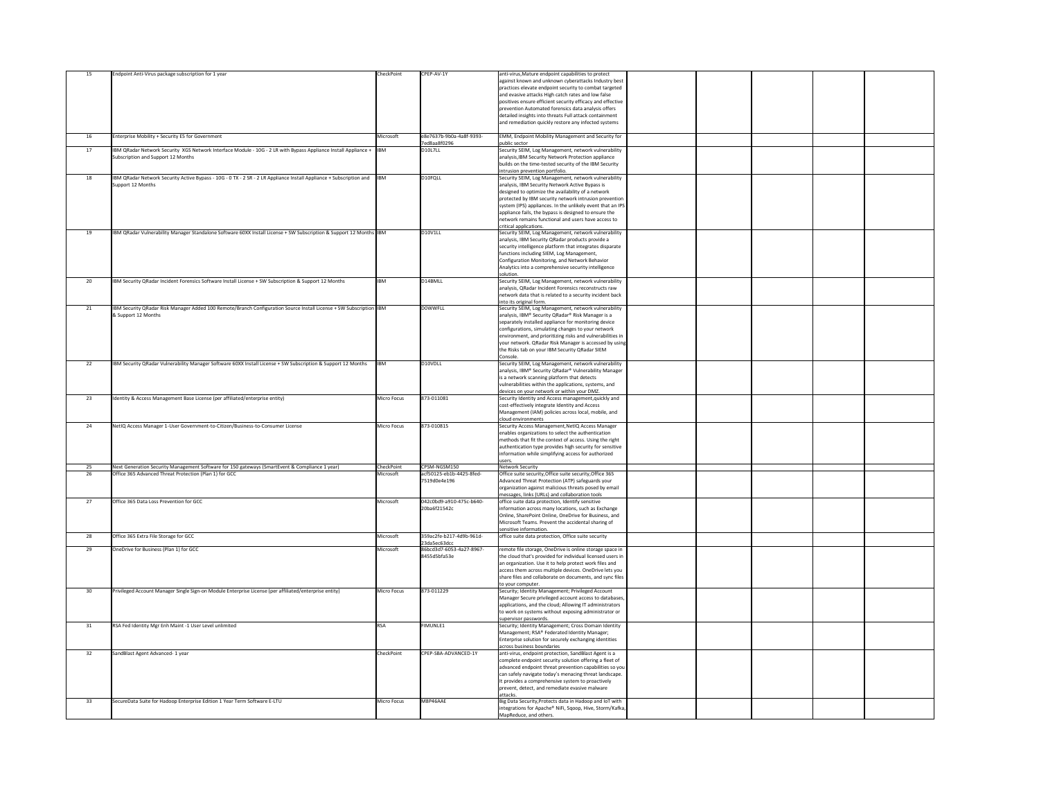| 15              | Endpoint Anti-Virus package subscription for 1 year                                                                      | CheckPoint         | CPEP-AV-1Y                               | anti-virus, Mature endpoint capabilities to protect                                                               |  |
|-----------------|--------------------------------------------------------------------------------------------------------------------------|--------------------|------------------------------------------|-------------------------------------------------------------------------------------------------------------------|--|
|                 |                                                                                                                          |                    |                                          | against known and unknown cyberattacks Industry best                                                              |  |
|                 |                                                                                                                          |                    |                                          | practices elevate endpoint security to combat targeted                                                            |  |
|                 |                                                                                                                          |                    |                                          | and evasive attacks High catch rates and low false                                                                |  |
|                 |                                                                                                                          |                    |                                          | positives ensure efficient security efficacy and effective<br>prevention Automated forensics data analysis offers |  |
|                 |                                                                                                                          |                    |                                          | detailed insights into threats Full attack containment                                                            |  |
|                 |                                                                                                                          |                    |                                          | and remediation quickly restore any infected systems                                                              |  |
|                 |                                                                                                                          |                    |                                          |                                                                                                                   |  |
| 16              | Enterprise Mobility + Security E5 for Government                                                                         | Microsoft          | e8e7637b-9b0a-4a8f-9393-                 | EMM, Endpoint Mobility Management and Security for                                                                |  |
|                 |                                                                                                                          |                    | 7ed8aa8f0296                             | public sector                                                                                                     |  |
| 17              | IBM QRadar Network Security XGS Network Interface Module - 10G - 2 LR with Bypass Appliance Install Appliance +  IBM     |                    | D10L7LL                                  | Security SEIM, Log Management, network vulnerability                                                              |  |
|                 | Subscription and Support 12 Months                                                                                       |                    |                                          | analysis, IBM Security Network Protection appliance                                                               |  |
|                 |                                                                                                                          |                    |                                          | builds on the time-tested security of the IBM Security<br>intrusion prevention portfolio.                         |  |
| 18              | IBM QRadar Network Security Active Bypass - 10G - 0 TX - 2 SR - 2 LR Appliance Install Appliance + Subscription and  IBM |                    | D <sub>10FQLL</sub>                      | Security SEIM, Log Management, network vulnerability                                                              |  |
|                 | Support 12 Months                                                                                                        |                    |                                          | analysis, IBM Security Network Active Bypass is                                                                   |  |
|                 |                                                                                                                          |                    |                                          | designed to optimize the availability of a network                                                                |  |
|                 |                                                                                                                          |                    |                                          | protected by IBM security network intrusion prevention                                                            |  |
|                 |                                                                                                                          |                    |                                          | system (IPS) appliances. In the unlikely event that an IPS                                                        |  |
|                 |                                                                                                                          |                    |                                          | appliance fails, the bypass is designed to ensure the<br>network remains functional and users have access to      |  |
|                 |                                                                                                                          |                    |                                          | critical applications.                                                                                            |  |
| 19              | IBM QRadar Vulnerability Manager Standalone Software 60XX Install License + SW Subscription & Support 12 Months IBM      |                    | D10V1LL                                  | Security SEIM, Log Management, network vulnerability                                                              |  |
|                 |                                                                                                                          |                    |                                          | analysis, IBM Security QRadar products provide a                                                                  |  |
|                 |                                                                                                                          |                    |                                          | security intelligence platform that integrates disparate                                                          |  |
|                 |                                                                                                                          |                    |                                          | functions including SIEM, Log Management,                                                                         |  |
|                 |                                                                                                                          |                    |                                          | Configuration Monitoring, and Network Behavior                                                                    |  |
|                 |                                                                                                                          |                    |                                          | Analytics into a comprehensive security intelligence<br>solution.                                                 |  |
| 20              | IBM Security QRadar Incident Forensics Software Install License + SW Subscription & Support 12 Months                    | <b>IBM</b>         | D14BMLL                                  | Security SEIM, Log Management, network vulnerability                                                              |  |
|                 |                                                                                                                          |                    |                                          | analysis, QRadar Incident Forensics reconstructs raw                                                              |  |
|                 |                                                                                                                          |                    |                                          | network data that is related to a security incident back                                                          |  |
|                 |                                                                                                                          |                    |                                          | into its original form.                                                                                           |  |
| 21              | IBM Security QRadar Risk Manager Added 100 Remote/Branch Configuration Source Install License + SW Subscription  IBM     |                    | D0WWFLL                                  | Security SEIM, Log Management, network vulnerability                                                              |  |
|                 | & Support 12 Months                                                                                                      |                    |                                          | analysis, IBM® Security QRadar® Risk Manager is a<br>separately installed appliance for monitoring device         |  |
|                 |                                                                                                                          |                    |                                          | configurations, simulating changes to your network                                                                |  |
|                 |                                                                                                                          |                    |                                          | environment, and prioritizing risks and vulnerabilities in                                                        |  |
|                 |                                                                                                                          |                    |                                          | your network. QRadar Risk Manager is accessed by using                                                            |  |
|                 |                                                                                                                          |                    |                                          | the Risks tab on your IBM Security QRadar SIEM                                                                    |  |
|                 |                                                                                                                          |                    |                                          | Console.                                                                                                          |  |
| 22              | IBM Security QRadar Vulnerability Manager Software 60XX Install License + SW Subscription & Support 12 Months            | <b>IBM</b>         | D10VDLL                                  | Security SEIM, Log Management, network vulnerability                                                              |  |
|                 |                                                                                                                          |                    |                                          | analysis, IBM® Security QRadar® Vulnerability Manager                                                             |  |
|                 |                                                                                                                          |                    |                                          | is a network scanning platform that detects<br>vulnerabilities within the applications, systems, and              |  |
|                 |                                                                                                                          |                    |                                          | devices on your network or within your DMZ.                                                                       |  |
| 23              | Identity & Access Management Base License (per affiliated/enterprise entity)                                             | Micro Focus        | 873-011081                               | Security Identity and Access management, quickly and                                                              |  |
|                 |                                                                                                                          |                    |                                          | cost-effectively integrate Identity and Access                                                                    |  |
|                 |                                                                                                                          |                    |                                          | Management (IAM) policies across local, mobile, and                                                               |  |
| 24              | NetIQ Access Manager 1-User Government-to-Citizen/Business-to-Consumer License                                           | <b>Micro Focus</b> | 873-010815                               | cloud environments<br>Security Access Management, NetIQ Access Manager                                            |  |
|                 |                                                                                                                          |                    |                                          | enables organizations to select the authentication                                                                |  |
|                 |                                                                                                                          |                    |                                          | methods that fit the context of access. Using the right                                                           |  |
|                 |                                                                                                                          |                    |                                          | authentication type provides high security for sensitive                                                          |  |
|                 |                                                                                                                          |                    |                                          | information while simplifying access for authorized                                                               |  |
|                 |                                                                                                                          |                    |                                          | users.                                                                                                            |  |
| 25              | Next Generation Security Management Software for 150 gateways (SmartEvent & Compliance 1 year)                           | CheckPoint         | CPSM-NGSM150                             | <b>Network Security</b>                                                                                           |  |
| 26              | Office 365 Advanced Threat Protection (Plan 1) for GCC                                                                   | Microsoft          | acf50125-eb1b-4425-8fed-<br>7519d0e4e196 | Office suite security,Office suite security,Office 365<br>Advanced Threat Protection (ATP) safeguards your        |  |
|                 |                                                                                                                          |                    |                                          | organization against malicious threats posed by email                                                             |  |
|                 |                                                                                                                          |                    |                                          | messages, links (URLs) and collaboration tools                                                                    |  |
| 27              | Office 365 Data Loss Prevention for GCC                                                                                  | Microsoft          | 042c0bd9-a910-475c-b640-                 | office suite data protection, Identify sensitive                                                                  |  |
|                 |                                                                                                                          |                    | 20ba6f21542c                             | information across many locations, such as Exchange                                                               |  |
|                 |                                                                                                                          |                    |                                          | Online, SharePoint Online, OneDrive for Business, and                                                             |  |
|                 |                                                                                                                          |                    |                                          | Microsoft Teams. Prevent the accidental sharing of<br>sensitive information.                                      |  |
| 28              | Office 365 Extra File Storage for GCC                                                                                    | Microsoft          | 359ac2fe-b217-4d9b-961d-                 | office suite data protection, Office suite security                                                               |  |
|                 |                                                                                                                          |                    |                                          |                                                                                                                   |  |
|                 |                                                                                                                          |                    | 23da5ec63dcc                             |                                                                                                                   |  |
| 29              | OneDrive for Business (Plan 1) for GCC                                                                                   | Microsoft          | 86bcd3d7-6053-4a27-8967-                 | remote file storage, OneDrive is online storage space in                                                          |  |
|                 |                                                                                                                          |                    | 8455d5bfa53e                             | the cloud that's provided for individual licensed users in                                                        |  |
|                 |                                                                                                                          |                    |                                          | an organization. Use it to help protect work files and                                                            |  |
|                 |                                                                                                                          |                    |                                          | access them across multiple devices. OneDrive lets you                                                            |  |
|                 |                                                                                                                          |                    |                                          | share files and collaborate on documents, and sync files<br>to your computer.                                     |  |
| 30 <sup>°</sup> | Privileged Account Manager Single Sign-on Module Enterprise License (per affiliated/enterprise entity)                   | <b>Micro Focus</b> | 873-011229                               | Security; Identity Management; Privileged Account                                                                 |  |
|                 |                                                                                                                          |                    |                                          | Manager Secure privileged account access to databases,                                                            |  |
|                 |                                                                                                                          |                    |                                          | applications, and the cloud; Allowing IT administrators                                                           |  |
|                 |                                                                                                                          |                    |                                          | to work on systems without exposing administrator or                                                              |  |
|                 |                                                                                                                          |                    |                                          | supervisor passwords.                                                                                             |  |
| 31              | RSA Fed Identity Mgr Enh Maint -1 User Level unlimited                                                                   | <b>RSA</b>         | <b>FIMUNLE1</b>                          | Security; Identity Management; Cross Domain Identity                                                              |  |
|                 |                                                                                                                          |                    |                                          | Management; RSA® Federated Identity Manager;<br>Enterprise solution for securely exchanging identities            |  |
|                 |                                                                                                                          |                    |                                          | across business boundaries                                                                                        |  |
| 32              | SandBlast Agent Advanced- 1 year                                                                                         | CheckPoint         | CPEP-SBA-ADVANCED-1Y                     | anti-virus, endpoint protection, SandBlast Agent is a                                                             |  |
|                 |                                                                                                                          |                    |                                          | complete endpoint security solution offering a fleet of                                                           |  |
|                 |                                                                                                                          |                    |                                          | advanced endpoint threat prevention capabilities so you                                                           |  |
|                 |                                                                                                                          |                    |                                          | can safely navigate today's menacing threat landscape.                                                            |  |
|                 |                                                                                                                          |                    |                                          | It provides a comprehensive system to proactively                                                                 |  |
|                 |                                                                                                                          |                    |                                          | prevent, detect, and remediate evasive malware<br>attacks.                                                        |  |
| 33              | SecureData Suite for Hadoop Enterprise Edition 1 Year Term Software E-LTU                                                | <b>Micro Focus</b> | M8P46AAE                                 | Big Data Security, Protects data in Hadoop and IoT with                                                           |  |
|                 |                                                                                                                          |                    |                                          | integrations for Apache® NiFi, Sqoop, Hive, Storm/Kafka,<br>MapReduce, and others.                                |  |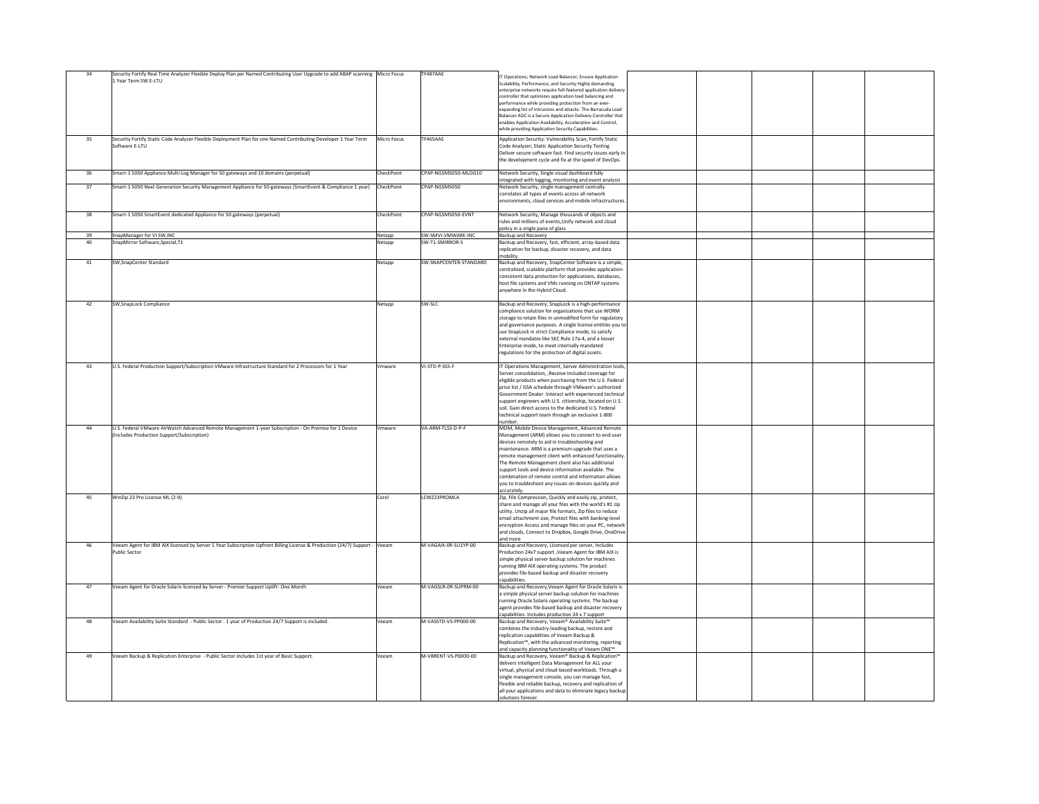| 34 | Security Fortify Real Time Analyzer Flexible Deploy Plan per Named Contributing User Upgrade to add ABAP scanning   Micro Focus<br>1 Year Term SW E-LTU |                    | TF487AAE               | IT Operations; Network Load Balancer; Ensure Application                                                                  |  |
|----|---------------------------------------------------------------------------------------------------------------------------------------------------------|--------------------|------------------------|---------------------------------------------------------------------------------------------------------------------------|--|
|    |                                                                                                                                                         |                    |                        | Scalability, Performance, and Security Highly demanding<br>enterprise networks require full-featured application delivery |  |
|    |                                                                                                                                                         |                    |                        | controller that optimizes application load balancing and                                                                  |  |
|    |                                                                                                                                                         |                    |                        | performance while providing protection from an ever-<br>expanding list of intrusions and attacks. The Barracuda Load      |  |
|    |                                                                                                                                                         |                    |                        | Balancer ADC is a Secure Application Delivery Controller that                                                             |  |
|    |                                                                                                                                                         |                    |                        | enables Application Availability, Acceleration and Control,                                                               |  |
|    |                                                                                                                                                         |                    |                        | while providing Application Security Capabilities.                                                                        |  |
| 35 | Security Fortify Static Code Analyzer Flexible Deployment Plan for one Named Contributing Developer 1 Year Term<br>Software E-LTU                       | <b>Micro Focus</b> | TF465AAE               | Application Security: Vulnerability Scan; Fortify Static<br>Code Analyzer; Static Application Security Testing            |  |
|    |                                                                                                                                                         |                    |                        | Deliver secure software fast. Find security issues early in                                                               |  |
|    |                                                                                                                                                         |                    |                        | the development cycle and fix at the speed of DevOps.                                                                     |  |
| 36 | Smart-1 5050 Appliance Multi-Log Manager for 50 gateways and 10 domains (perpetual)                                                                     | CheckPoint         | CPAP-NGSM5050-MLOG10   | Network Security, Single visual dashboard fully                                                                           |  |
|    |                                                                                                                                                         |                    |                        | integrated with logging, monitoring and event analysis                                                                    |  |
| 37 | Smart-1 5050 Next Generation Security Management Appliance for 50 gateways (SmartEvent & Compliance 1 year)                                             | CheckPoint         | CPAP-NGSM5050          | Network Security, single management centrally<br>correlates all types of events across all network                        |  |
|    |                                                                                                                                                         |                    |                        | environments, cloud services and mobile infrastructures.                                                                  |  |
|    |                                                                                                                                                         |                    |                        |                                                                                                                           |  |
| 38 | Smart-1 5050 SmartEvent dedicated Appliance for 50 gateways (perpetual)                                                                                 | CheckPoint         | CPAP-NGSM5050-EVNT     | Network Security, Manage thousands of objects and<br>rules and millions of events, Unify network and cloud                |  |
|    |                                                                                                                                                         |                    |                        | policy in a single pane of glass                                                                                          |  |
| 39 | SnapManager for VI SW, INC                                                                                                                              | Netapp             | SW-SMVI-VMWARE-INC     | <b>Backup and Recovery</b>                                                                                                |  |
| 40 | SnapMirror Software, Special, T1                                                                                                                        | Netapp             | SW-T1-SMIRROR-S        | Backup and Recovery, fast, efficient, array-based data<br>replication for backup, disaster recovery, and data             |  |
|    |                                                                                                                                                         |                    |                        | mobility.                                                                                                                 |  |
| 41 | SW, SnapCenter Standard                                                                                                                                 | Netapp             | SW-SNAPCENTER-STANDARD | Backup and Recovery, SnapCenter Software is a simple,                                                                     |  |
|    |                                                                                                                                                         |                    |                        | centralized, scalable platform that provides application-                                                                 |  |
|    |                                                                                                                                                         |                    |                        | consistent data protection for applications, databases,<br>host file systems and VMs running on ONTAP systems             |  |
|    |                                                                                                                                                         |                    |                        | anywhere in the Hybrid Cloud.                                                                                             |  |
| 42 | SW, SnapLock Compliance                                                                                                                                 | Netapp             | SW-SLC                 | Backup and Recovery, SnapLock is a high-performance                                                                       |  |
|    |                                                                                                                                                         |                    |                        | compliance solution for organizations that use WORM                                                                       |  |
|    |                                                                                                                                                         |                    |                        | storage to retain files in unmodified form for regulatory                                                                 |  |
|    |                                                                                                                                                         |                    |                        | and governance purposes. A single license entitles you to                                                                 |  |
|    |                                                                                                                                                         |                    |                        | use SnapLock in strict Compliance mode, to satisfy<br>external mandates like SEC Rule 17a-4, and a looser                 |  |
|    |                                                                                                                                                         |                    |                        | Enterprise mode, to meet internally mandated                                                                              |  |
|    |                                                                                                                                                         |                    |                        | regulations for the protection of digital assets.                                                                         |  |
| 43 | U.S. Federal Production Support/Subscription VMware Infrastructure Standard for 2 Processors for 1 Year                                                 | Vmware             | VI-STD-P-SSS-F         | IT Operations Management, Server Administration tools,                                                                    |  |
|    |                                                                                                                                                         |                    |                        | Server consolidation, , Receive included coverage for                                                                     |  |
|    |                                                                                                                                                         |                    |                        | eligible products when purchasing from the U.S. Federal                                                                   |  |
|    |                                                                                                                                                         |                    |                        | price list / GSA schedule through VMware's authorized<br>Government Dealer. Interact with experienced technical           |  |
|    |                                                                                                                                                         |                    |                        | support engineers with U.S. citizenship, located on U.S.                                                                  |  |
|    |                                                                                                                                                         |                    |                        | soil. Gain direct access to the dedicated U.S. Federal                                                                    |  |
|    |                                                                                                                                                         |                    |                        | technical support team through an exclusive 1-800<br>number.                                                              |  |
| 44 | U.S. Federal VMware AirWatch Advanced Remote Management 1-year Subscription - On Premise for 1 Device                                                   | Vmware             | VA-ARM-TLSS-D-P-F      | MDM, Mobile Device Management, Advanced Remote                                                                            |  |
|    | (Includes Production Support/Subscription)                                                                                                              |                    |                        | Management (ARM) allows you to connect to end-user                                                                        |  |
|    |                                                                                                                                                         |                    |                        | devices remotely to aid in troubleshooting and<br>maintenance. ARM is a premium upgrade that uses a                       |  |
|    |                                                                                                                                                         |                    |                        | remote management client with enhanced functionality.                                                                     |  |
|    |                                                                                                                                                         |                    |                        | The Remote Management client also has additional                                                                          |  |
|    |                                                                                                                                                         |                    |                        | support tools and device information available. The<br>combination of remote control and information allows               |  |
|    |                                                                                                                                                         |                    |                        | you to troubleshoot any issues on devices quickly and                                                                     |  |
| 45 | WinZip 23 Pro License ML (2-9)                                                                                                                          | Corel              | LCWZ23PROMLA           | accurately.<br>Zip, File Compression, Quickly and easily zip, protect,                                                    |  |
|    |                                                                                                                                                         |                    |                        | share and manage all your files with the world's #1 zip                                                                   |  |
|    |                                                                                                                                                         |                    |                        | utility. Unzip all major file formats, Zip files to reduce                                                                |  |
|    |                                                                                                                                                         |                    |                        | email attachment size, Protect files with banking-level<br>encryption Access and manage files on your PC, network         |  |
|    |                                                                                                                                                         |                    |                        | and clouds, Connect to Dropbox, Google Drive, OneDrive                                                                    |  |
|    |                                                                                                                                                         |                    |                        | and more                                                                                                                  |  |
| 46 | Veeam Agent for IBM AIX licensed by Server 1 Year Subscription Upfront Billing License & Production (24/7) Support - Veeam<br><b>Public Sector</b>      |                    | M-VAGAIX-0R-SU1YP-00   | Backup and Recovery, Licensed per server, Includes<br>Production 24x7 support, Veeam Agent for IBM AIX is                 |  |
|    |                                                                                                                                                         |                    |                        | simple physical server backup solution for machines                                                                       |  |
|    |                                                                                                                                                         |                    |                        | running IBM AIX operating systems. The product                                                                            |  |
|    |                                                                                                                                                         |                    |                        | provides file-based backup and disaster recovery<br>capabilities.                                                         |  |
| 47 | Veeam Agent for Oracle Solaris licensed by Server - Premier Support Uplift- One Month                                                                   | Veeam              | M-VAGSLR-0R-SUPRM-00   | Backup and Recovery, Veeam Agent for Oracle Solaris is                                                                    |  |
|    |                                                                                                                                                         |                    |                        | a simple physical server backup solution for machines                                                                     |  |
|    |                                                                                                                                                         |                    |                        | running Oracle Solaris operating systems. The backup<br>agent provides file-based backup and disaster recovery            |  |
|    |                                                                                                                                                         |                    |                        | capabilities. Includes production 24 x 7 support                                                                          |  |
| 48 | Veeam Availability Suite Standard - Public Sector . 1 year of Production 24/7 Support is included.                                                      | Veeam              | M-VASSTD-VS-PP000-00   | Backup and Recovery, Veeam® Availability Suite™                                                                           |  |
|    |                                                                                                                                                         |                    |                        | combines the industry-leading backup, restore and<br>replication capabilities of Veeam Backup &                           |  |
|    |                                                                                                                                                         |                    |                        | Replication <sup>™</sup> , with the advanced monitoring, reporting                                                        |  |
|    |                                                                                                                                                         |                    |                        | and capacity planning functionality of Veeam ONE <sup>™</sup>                                                             |  |
| 49 | Veeam Backup & Replication Enterprise - Public Sector. Includes 1st year of Basic Support.                                                              | Veeam              | M-VBRENT-VS-P0000-00   | Backup and Recovery, Veeam® Backup & Replication™<br>delivers Intelligent Data Management for ALL your                    |  |
|    |                                                                                                                                                         |                    |                        | virtual, physical and cloud-based workloads. Through a                                                                    |  |
|    |                                                                                                                                                         |                    |                        | single management console, you can manage fast,                                                                           |  |
|    |                                                                                                                                                         |                    |                        | flexible and reliable backup, recovery and replication of                                                                 |  |
|    |                                                                                                                                                         |                    |                        | all your applications and data to eliminate legacy backup<br>solutions forever.                                           |  |
|    |                                                                                                                                                         |                    |                        |                                                                                                                           |  |